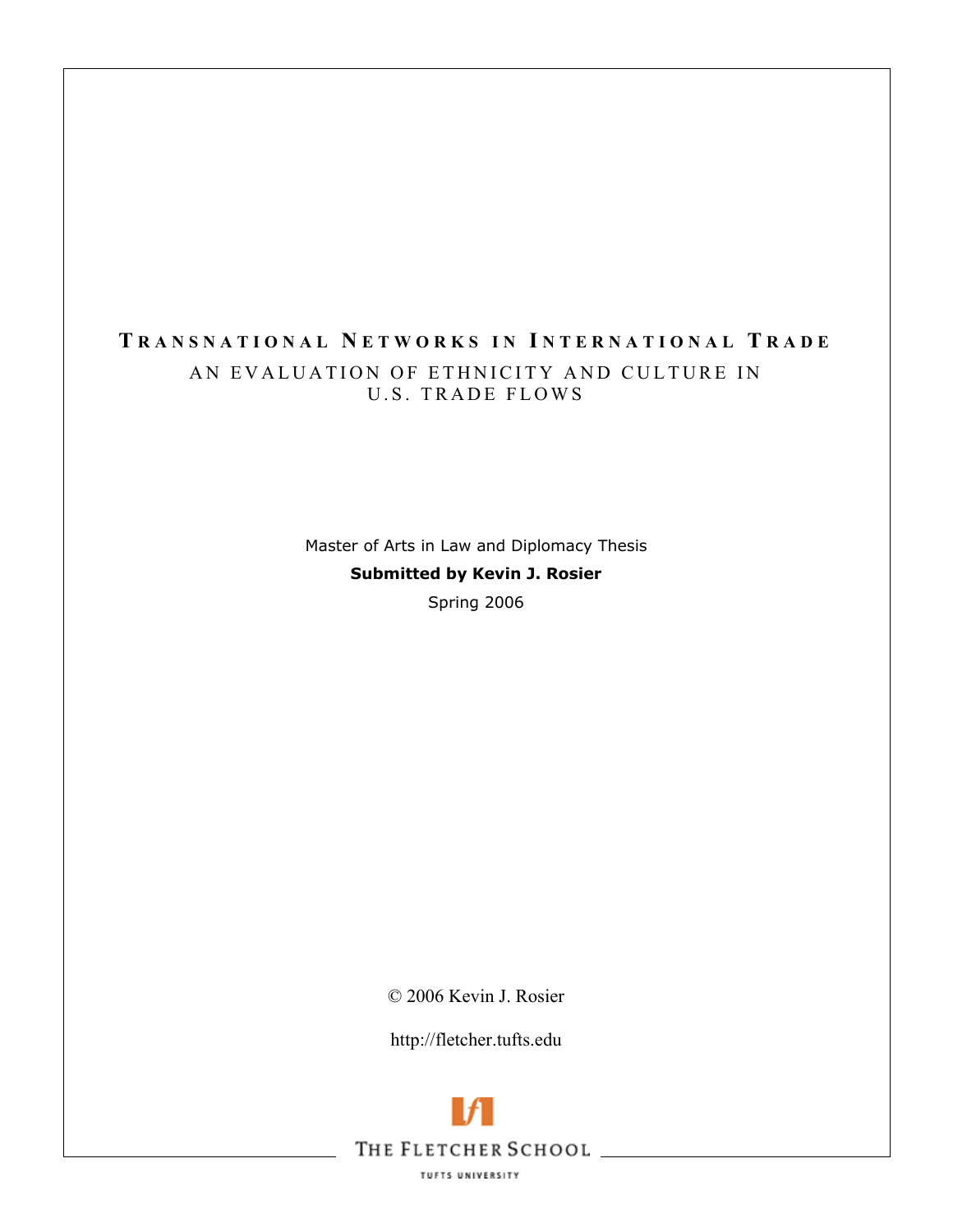### **T RANSNATIONAL N ETWORKS IN I NTERNATIONAL T RADE** AN EVALUATION OF ETHNICITY AND CULTURE IN U.S. TRADE FLOWS

Master of Arts in Law and Diplomacy Thesis **Submitted by Kevin J. Rosier**  Spring 2006

© 2006 Kevin J. Rosier

http://fletcher.tufts.edu



TUFTS UNIVERSITY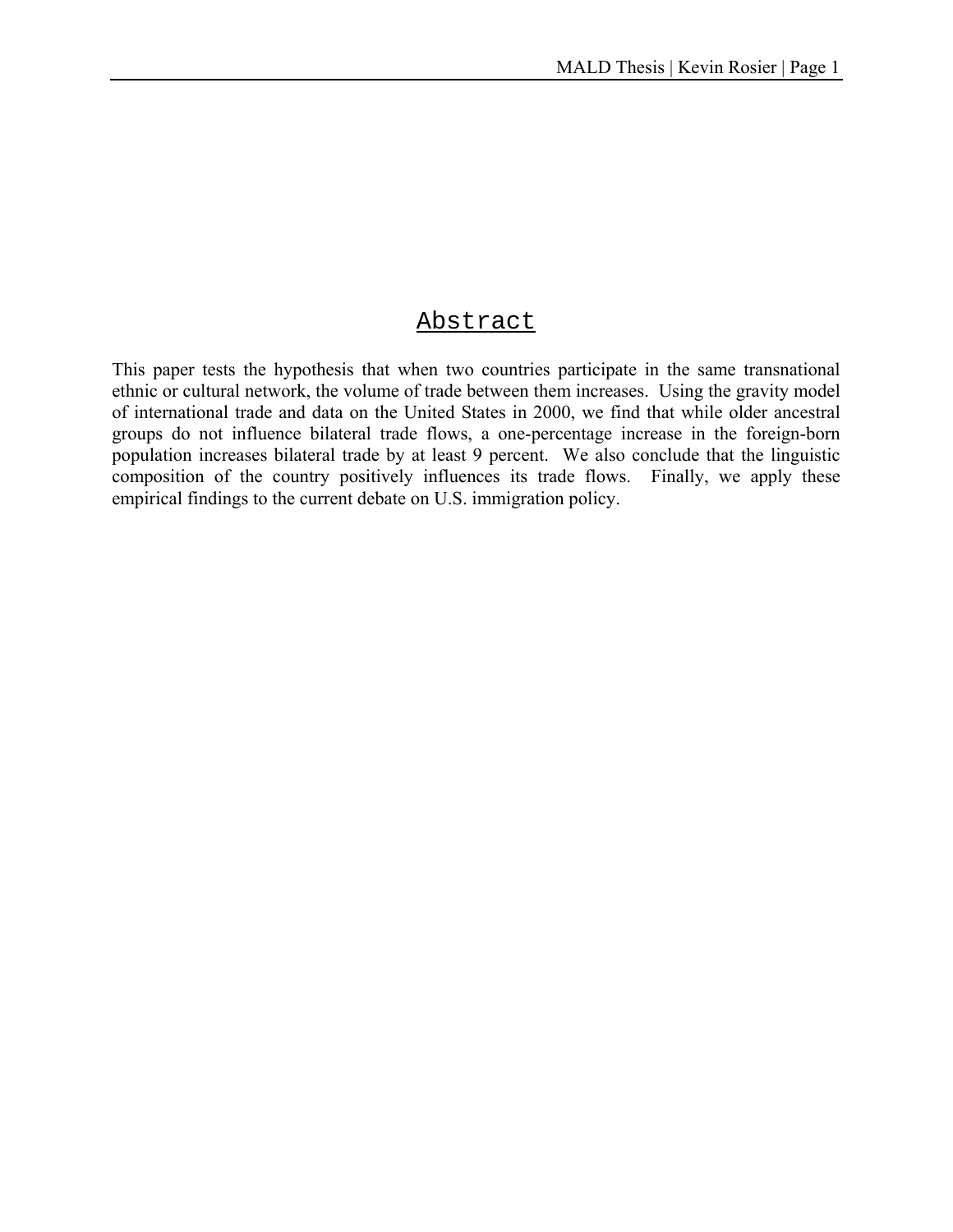### Abstract

This paper tests the hypothesis that when two countries participate in the same transnational ethnic or cultural network, the volume of trade between them increases. Using the gravity model of international trade and data on the United States in 2000, we find that while older ancestral groups do not influence bilateral trade flows, a one-percentage increase in the foreign-born population increases bilateral trade by at least 9 percent. We also conclude that the linguistic composition of the country positively influences its trade flows. Finally, we apply these empirical findings to the current debate on U.S. immigration policy.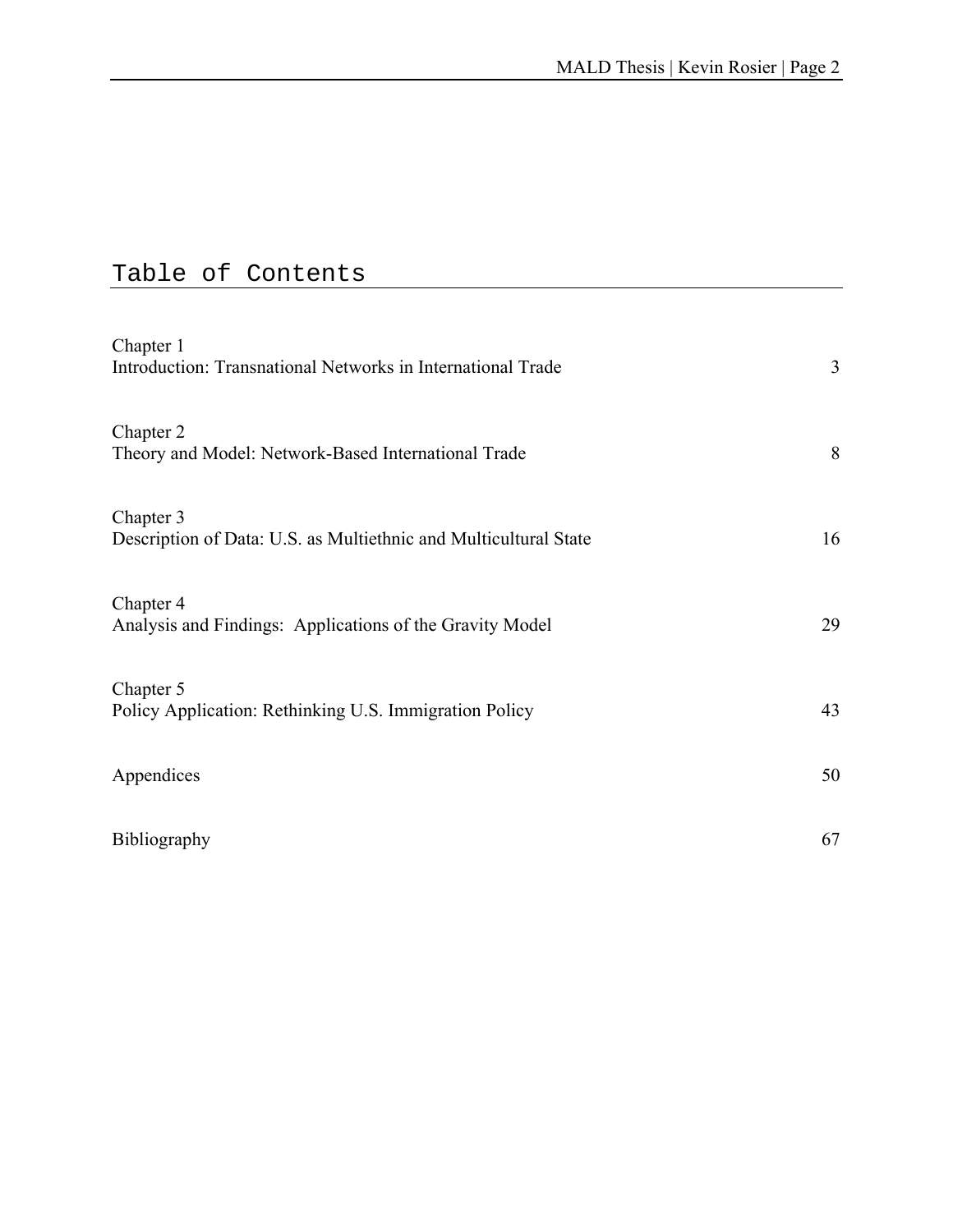# Table of Contents

| Chapter 1<br>Introduction: Transnational Networks in International Trade      | 3  |
|-------------------------------------------------------------------------------|----|
| Chapter 2<br>Theory and Model: Network-Based International Trade              | 8  |
| Chapter 3<br>Description of Data: U.S. as Multiethnic and Multicultural State | 16 |
| Chapter 4<br>Analysis and Findings: Applications of the Gravity Model         | 29 |
| Chapter 5<br>Policy Application: Rethinking U.S. Immigration Policy           | 43 |
| Appendices                                                                    | 50 |
| <b>Bibliography</b>                                                           | 67 |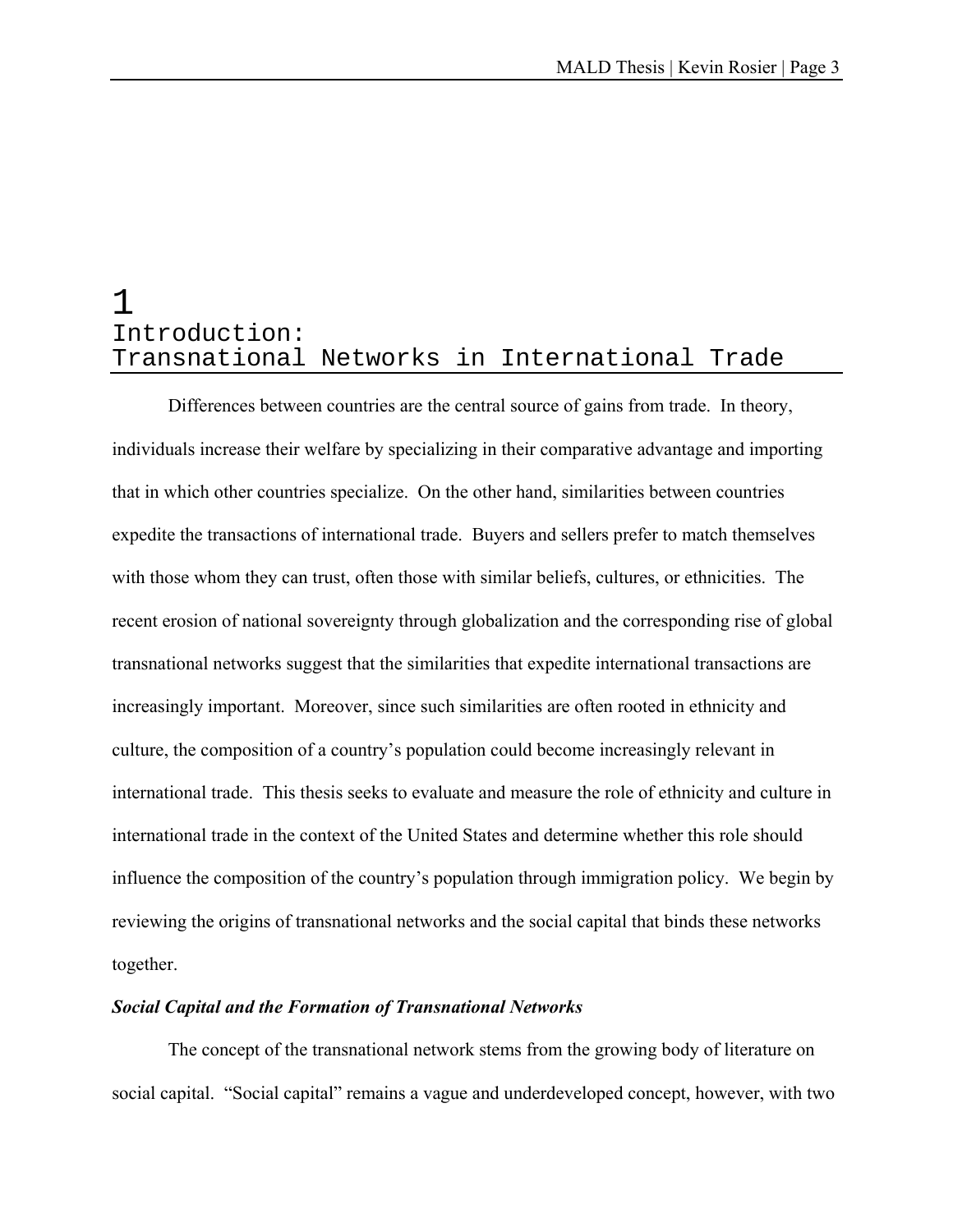### 1 Introduction: Transnational Networks in International Trade

Differences between countries are the central source of gains from trade. In theory, individuals increase their welfare by specializing in their comparative advantage and importing that in which other countries specialize. On the other hand, similarities between countries expedite the transactions of international trade. Buyers and sellers prefer to match themselves with those whom they can trust, often those with similar beliefs, cultures, or ethnicities. The recent erosion of national sovereignty through globalization and the corresponding rise of global transnational networks suggest that the similarities that expedite international transactions are increasingly important. Moreover, since such similarities are often rooted in ethnicity and culture, the composition of a country's population could become increasingly relevant in international trade. This thesis seeks to evaluate and measure the role of ethnicity and culture in international trade in the context of the United States and determine whether this role should influence the composition of the country's population through immigration policy. We begin by reviewing the origins of transnational networks and the social capital that binds these networks together.

#### *Social Capital and the Formation of Transnational Networks*

 The concept of the transnational network stems from the growing body of literature on social capital. "Social capital" remains a vague and underdeveloped concept, however, with two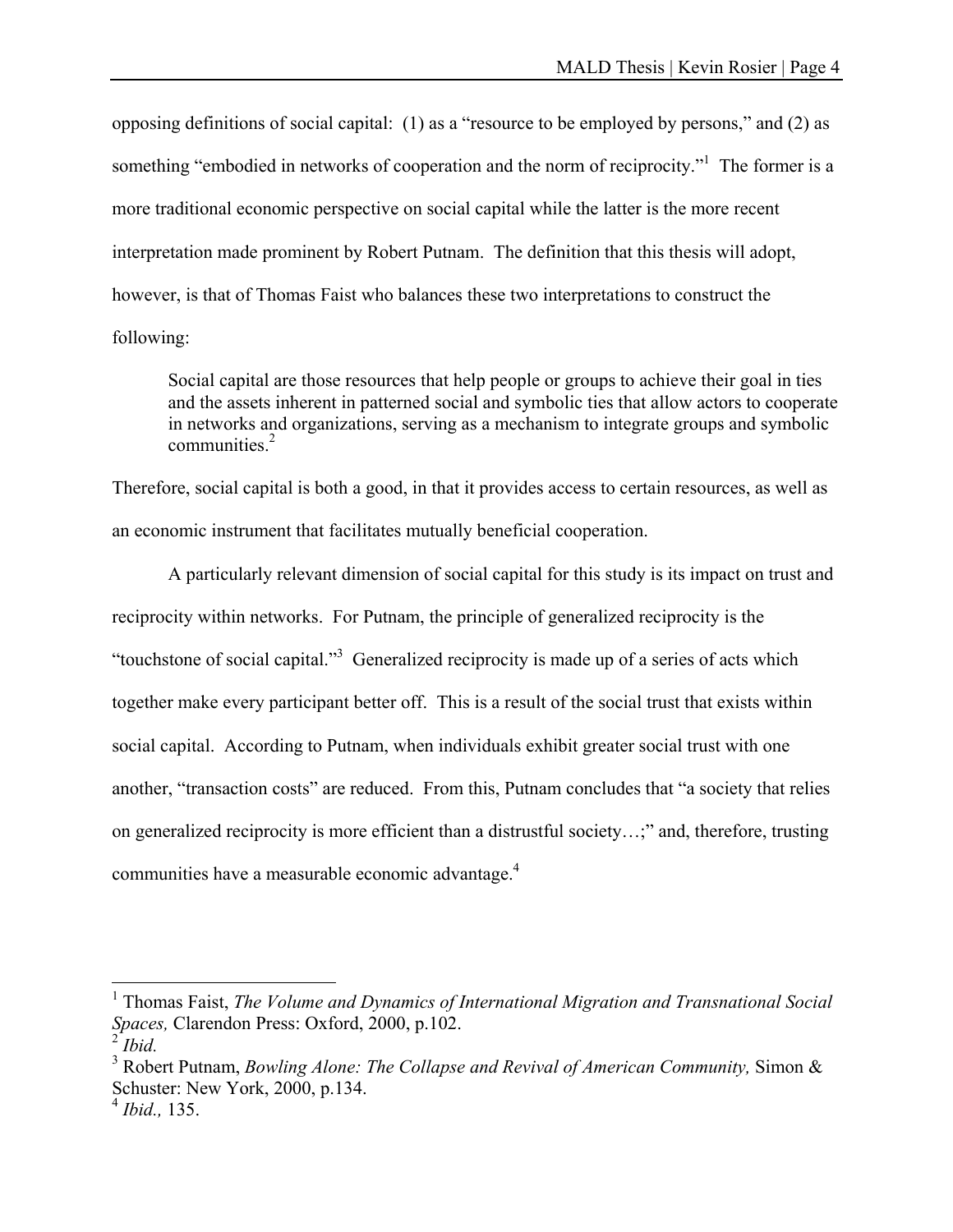opposing definitions of social capital: (1) as a "resource to be employed by persons," and (2) as something "embodied in networks of cooperation and the norm of reciprocity."<sup>1</sup> The former is a more traditional economic perspective on social capital while the latter is the more recent interpretation made prominent by Robert Putnam. The definition that this thesis will adopt, however, is that of Thomas Faist who balances these two interpretations to construct the following:

Social capital are those resources that help people or groups to achieve their goal in ties and the assets inherent in patterned social and symbolic ties that allow actors to cooperate in networks and organizations, serving as a mechanism to integrate groups and symbolic communities.<sup>2</sup>

Therefore, social capital is both a good, in that it provides access to certain resources, as well as an economic instrument that facilitates mutually beneficial cooperation.

 A particularly relevant dimension of social capital for this study is its impact on trust and reciprocity within networks. For Putnam, the principle of generalized reciprocity is the "touchstone of social capital."<sup>3</sup> Generalized reciprocity is made up of a series of acts which together make every participant better off. This is a result of the social trust that exists within social capital. According to Putnam, when individuals exhibit greater social trust with one another, "transaction costs" are reduced. From this, Putnam concludes that "a society that relies on generalized reciprocity is more efficient than a distrustful society…;" and, therefore, trusting communities have a measurable economic advantage.4

 $\overline{a}$ 

<sup>&</sup>lt;sup>1</sup> Thomas Faist, *The Volume and Dynamics of International Migration and Transnational Social Spaces,* Clarendon Press: Oxford, 2000, p.102.

<sup>2</sup> *Ibid.*

<sup>&</sup>lt;sup>3</sup> Robert Putnam, *Bowling Alone: The Collapse and Revival of American Community, Simon &* Schuster: New York, 2000, p.134.

<sup>4</sup> *Ibid.,* 135.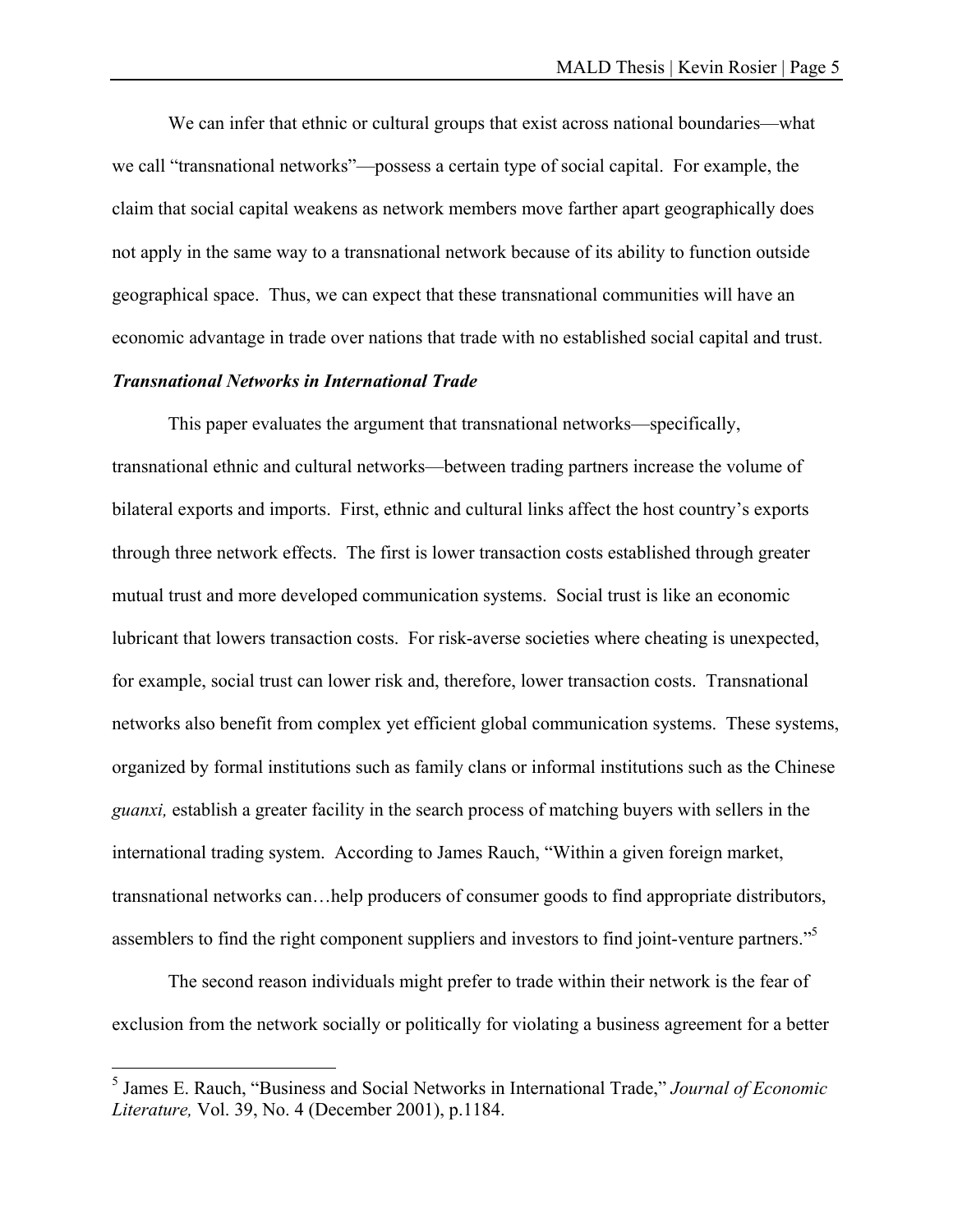We can infer that ethnic or cultural groups that exist across national boundaries—what we call "transnational networks"—possess a certain type of social capital. For example, the claim that social capital weakens as network members move farther apart geographically does not apply in the same way to a transnational network because of its ability to function outside geographical space. Thus, we can expect that these transnational communities will have an economic advantage in trade over nations that trade with no established social capital and trust.

#### *Transnational Networks in International Trade*

This paper evaluates the argument that transnational networks—specifically, transnational ethnic and cultural networks—between trading partners increase the volume of bilateral exports and imports. First, ethnic and cultural links affect the host country's exports through three network effects. The first is lower transaction costs established through greater mutual trust and more developed communication systems. Social trust is like an economic lubricant that lowers transaction costs. For risk-averse societies where cheating is unexpected, for example, social trust can lower risk and, therefore, lower transaction costs. Transnational networks also benefit from complex yet efficient global communication systems. These systems, organized by formal institutions such as family clans or informal institutions such as the Chinese *guanxi,* establish a greater facility in the search process of matching buyers with sellers in the international trading system. According to James Rauch, "Within a given foreign market, transnational networks can…help producers of consumer goods to find appropriate distributors, assemblers to find the right component suppliers and investors to find joint-venture partners."<sup>5</sup>

 The second reason individuals might prefer to trade within their network is the fear of exclusion from the network socially or politically for violating a business agreement for a better

 5 James E. Rauch, "Business and Social Networks in International Trade," *Journal of Economic Literature,* Vol. 39, No. 4 (December 2001), p.1184.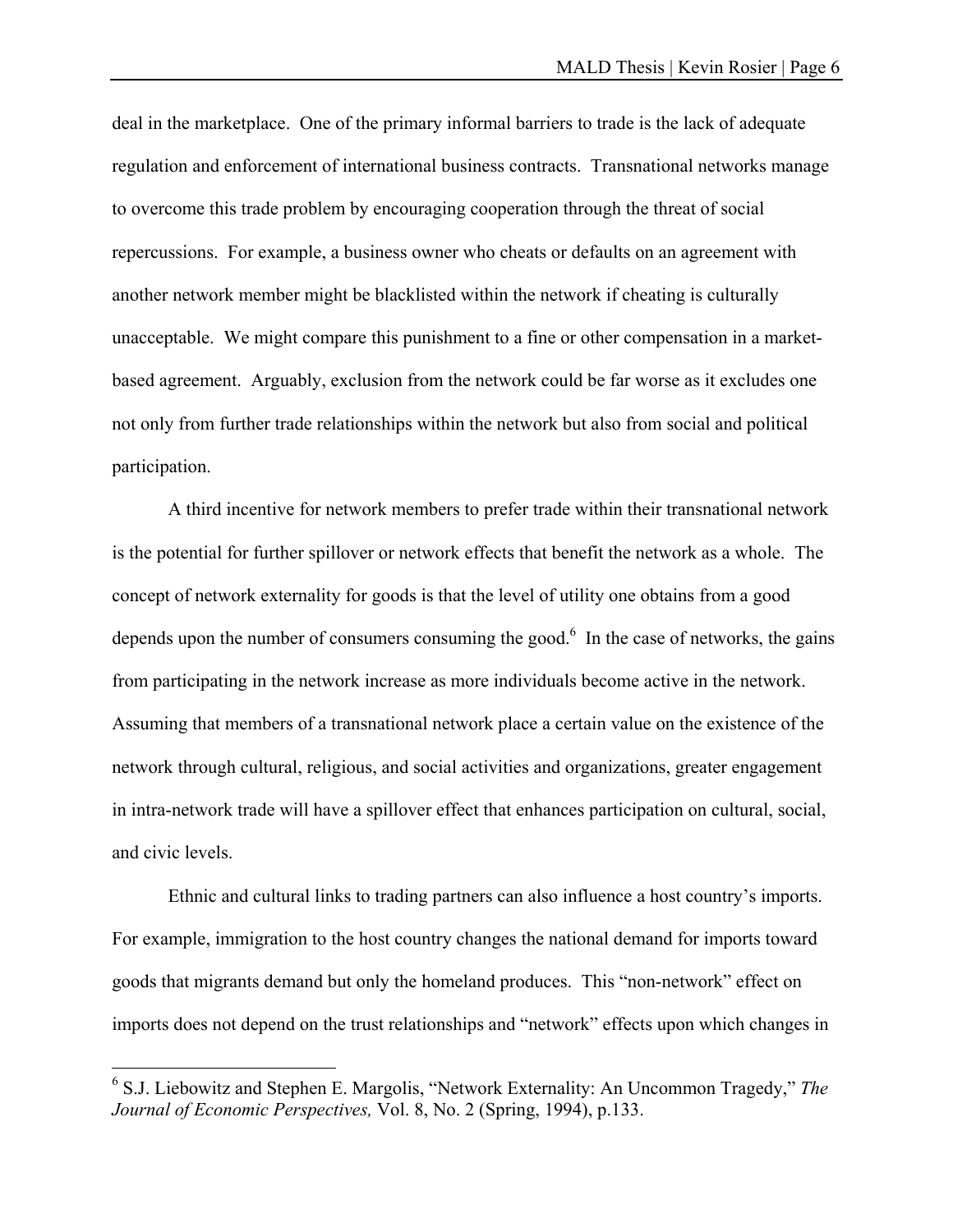deal in the marketplace. One of the primary informal barriers to trade is the lack of adequate regulation and enforcement of international business contracts. Transnational networks manage to overcome this trade problem by encouraging cooperation through the threat of social repercussions. For example, a business owner who cheats or defaults on an agreement with another network member might be blacklisted within the network if cheating is culturally unacceptable. We might compare this punishment to a fine or other compensation in a marketbased agreement. Arguably, exclusion from the network could be far worse as it excludes one not only from further trade relationships within the network but also from social and political participation.

 A third incentive for network members to prefer trade within their transnational network is the potential for further spillover or network effects that benefit the network as a whole. The concept of network externality for goods is that the level of utility one obtains from a good depends upon the number of consumers consuming the good.<sup>6</sup> In the case of networks, the gains from participating in the network increase as more individuals become active in the network. Assuming that members of a transnational network place a certain value on the existence of the network through cultural, religious, and social activities and organizations, greater engagement in intra-network trade will have a spillover effect that enhances participation on cultural, social, and civic levels.

 Ethnic and cultural links to trading partners can also influence a host country's imports. For example, immigration to the host country changes the national demand for imports toward goods that migrants demand but only the homeland produces. This "non-network" effect on imports does not depend on the trust relationships and "network" effects upon which changes in

 $\overline{a}$ 

<sup>6</sup> S.J. Liebowitz and Stephen E. Margolis, "Network Externality: An Uncommon Tragedy," *The Journal of Economic Perspectives,* Vol. 8, No. 2 (Spring, 1994), p.133.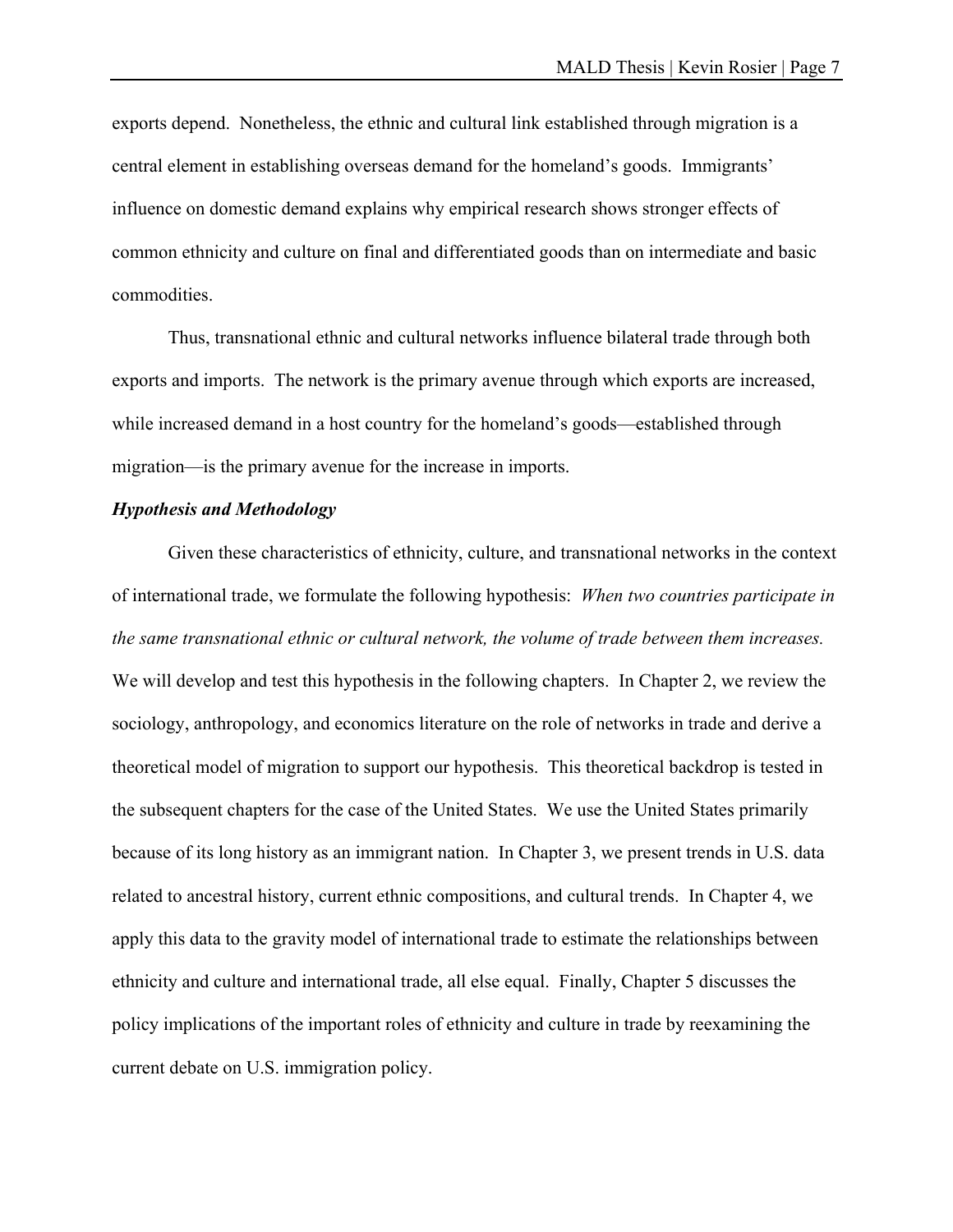exports depend. Nonetheless, the ethnic and cultural link established through migration is a central element in establishing overseas demand for the homeland's goods. Immigrants' influence on domestic demand explains why empirical research shows stronger effects of common ethnicity and culture on final and differentiated goods than on intermediate and basic commodities.

 Thus, transnational ethnic and cultural networks influence bilateral trade through both exports and imports. The network is the primary avenue through which exports are increased, while increased demand in a host country for the homeland's goods—established through migration—is the primary avenue for the increase in imports.

#### *Hypothesis and Methodology*

Given these characteristics of ethnicity, culture, and transnational networks in the context of international trade, we formulate the following hypothesis: *When two countries participate in the same transnational ethnic or cultural network, the volume of trade between them increases.* We will develop and test this hypothesis in the following chapters. In Chapter 2, we review the sociology, anthropology, and economics literature on the role of networks in trade and derive a theoretical model of migration to support our hypothesis. This theoretical backdrop is tested in the subsequent chapters for the case of the United States. We use the United States primarily because of its long history as an immigrant nation. In Chapter 3, we present trends in U.S. data related to ancestral history, current ethnic compositions, and cultural trends. In Chapter 4, we apply this data to the gravity model of international trade to estimate the relationships between ethnicity and culture and international trade, all else equal. Finally, Chapter 5 discusses the policy implications of the important roles of ethnicity and culture in trade by reexamining the current debate on U.S. immigration policy.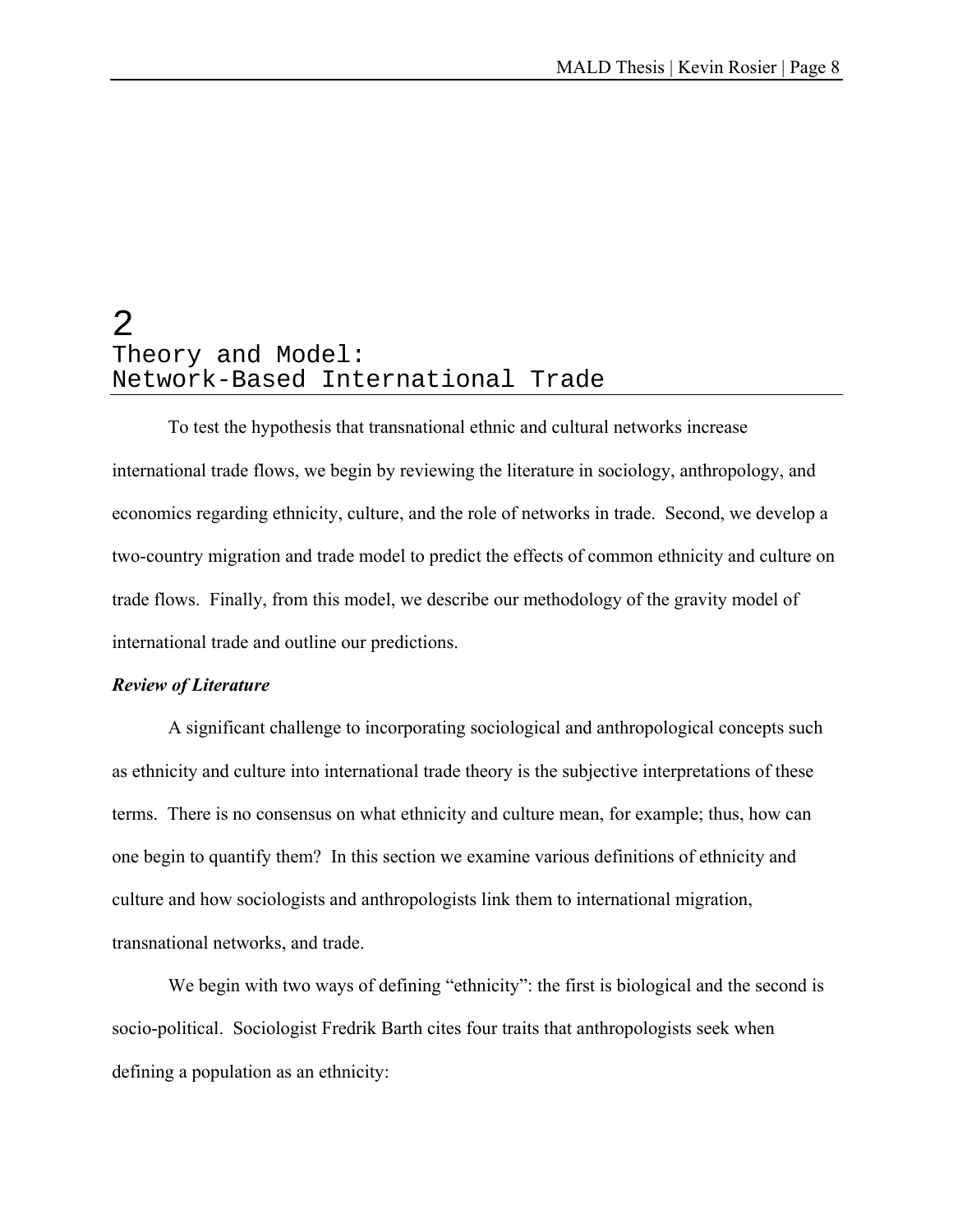# 2 Theory and Model: Network-Based International Trade

 To test the hypothesis that transnational ethnic and cultural networks increase international trade flows, we begin by reviewing the literature in sociology, anthropology, and economics regarding ethnicity, culture, and the role of networks in trade. Second, we develop a two-country migration and trade model to predict the effects of common ethnicity and culture on trade flows. Finally, from this model, we describe our methodology of the gravity model of international trade and outline our predictions.

#### *Review of Literature*

 A significant challenge to incorporating sociological and anthropological concepts such as ethnicity and culture into international trade theory is the subjective interpretations of these terms. There is no consensus on what ethnicity and culture mean, for example; thus, how can one begin to quantify them? In this section we examine various definitions of ethnicity and culture and how sociologists and anthropologists link them to international migration, transnational networks, and trade.

We begin with two ways of defining "ethnicity": the first is biological and the second is socio-political. Sociologist Fredrik Barth cites four traits that anthropologists seek when defining a population as an ethnicity: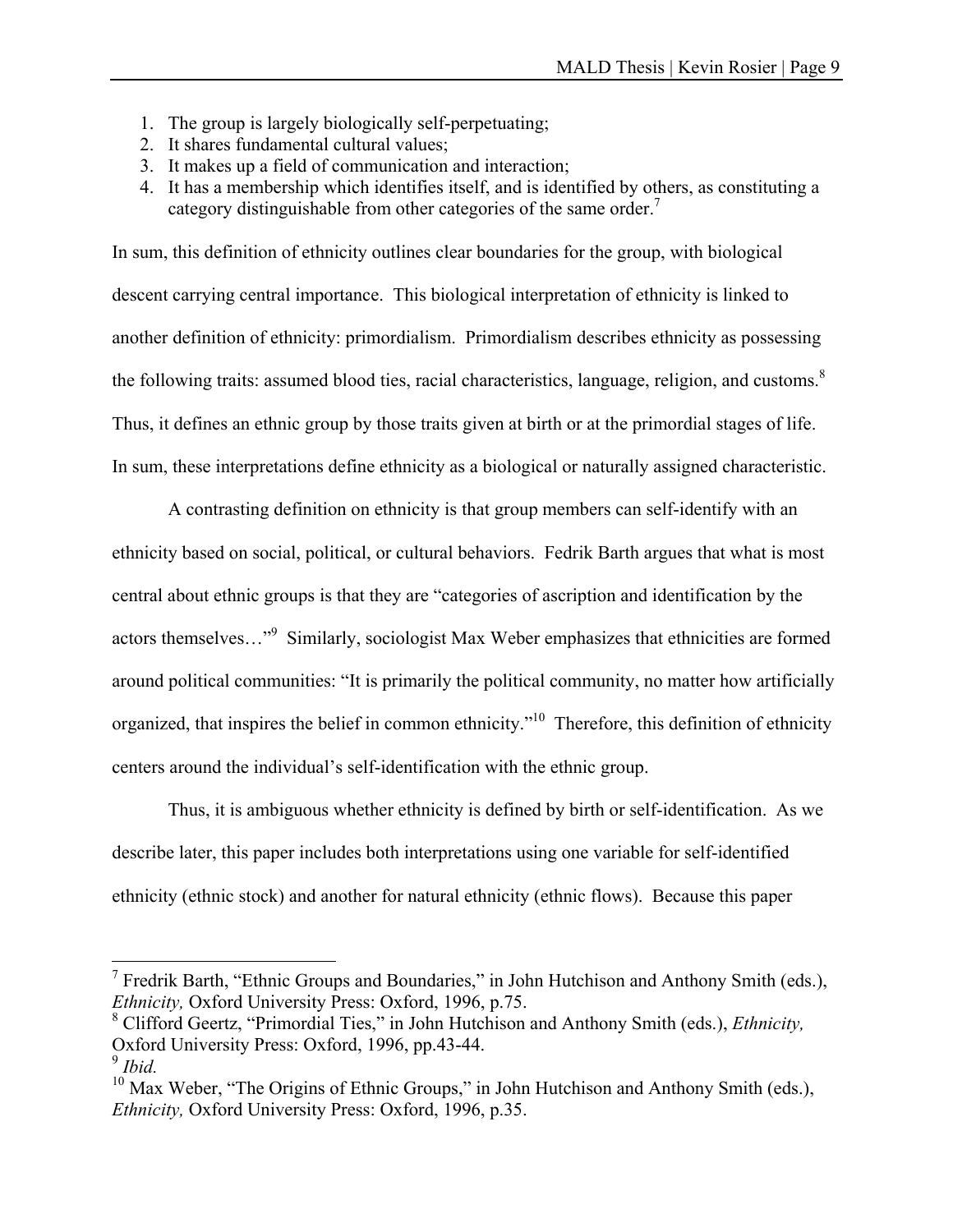- 1. The group is largely biologically self-perpetuating;
- 2. It shares fundamental cultural values;
- 3. It makes up a field of communication and interaction;
- 4. It has a membership which identifies itself, and is identified by others, as constituting a category distinguishable from other categories of the same order.<sup>7</sup>

In sum, this definition of ethnicity outlines clear boundaries for the group, with biological descent carrying central importance. This biological interpretation of ethnicity is linked to another definition of ethnicity: primordialism. Primordialism describes ethnicity as possessing the following traits: assumed blood ties, racial characteristics, language, religion, and customs. $8$ Thus, it defines an ethnic group by those traits given at birth or at the primordial stages of life. In sum, these interpretations define ethnicity as a biological or naturally assigned characteristic.

A contrasting definition on ethnicity is that group members can self-identify with an ethnicity based on social, political, or cultural behaviors. Fedrik Barth argues that what is most central about ethnic groups is that they are "categories of ascription and identification by the actors themselves..."<sup>9</sup> Similarly, sociologist Max Weber emphasizes that ethnicities are formed around political communities: "It is primarily the political community, no matter how artificially organized, that inspires the belief in common ethnicity."10 Therefore, this definition of ethnicity centers around the individual's self-identification with the ethnic group.

Thus, it is ambiguous whether ethnicity is defined by birth or self-identification. As we describe later, this paper includes both interpretations using one variable for self-identified ethnicity (ethnic stock) and another for natural ethnicity (ethnic flows). Because this paper

1

<sup>&</sup>lt;sup>7</sup> Fredrik Barth, "Ethnic Groups and Boundaries," in John Hutchison and Anthony Smith (eds.), *Ethnicity,* Oxford University Press: Oxford, 1996, p.75.

<sup>8</sup> Clifford Geertz, "Primordial Ties," in John Hutchison and Anthony Smith (eds.), *Ethnicity,*  Oxford University Press: Oxford, 1996, pp.43-44.

<sup>9</sup> *Ibid.* 

 $10$  Max Weber, "The Origins of Ethnic Groups," in John Hutchison and Anthony Smith (eds.), *Ethnicity,* Oxford University Press: Oxford, 1996, p.35.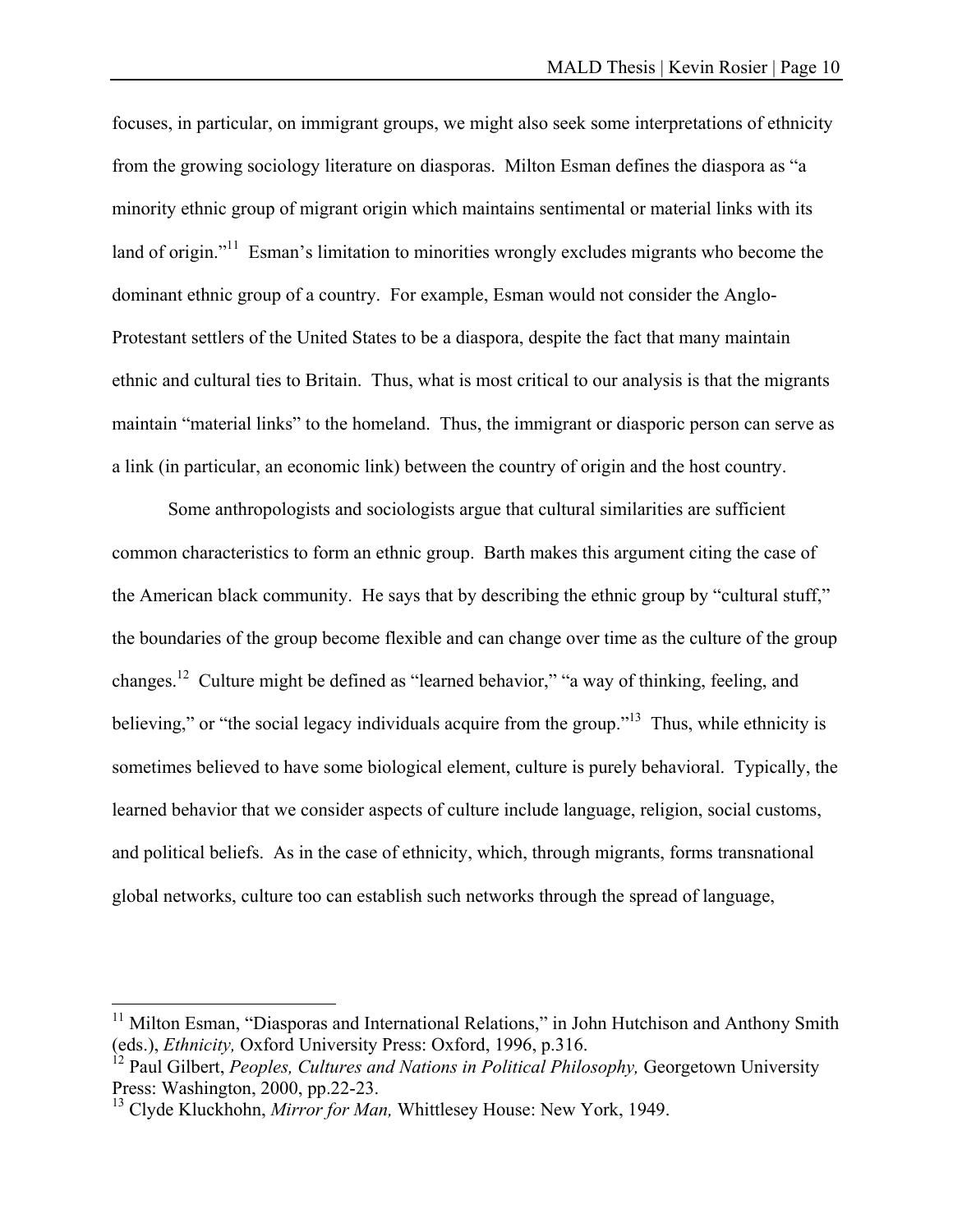focuses, in particular, on immigrant groups, we might also seek some interpretations of ethnicity from the growing sociology literature on diasporas. Milton Esman defines the diaspora as "a minority ethnic group of migrant origin which maintains sentimental or material links with its land of origin."<sup>11</sup> Esman's limitation to minorities wrongly excludes migrants who become the dominant ethnic group of a country. For example, Esman would not consider the Anglo-Protestant settlers of the United States to be a diaspora, despite the fact that many maintain ethnic and cultural ties to Britain. Thus, what is most critical to our analysis is that the migrants maintain "material links" to the homeland. Thus, the immigrant or diasporic person can serve as a link (in particular, an economic link) between the country of origin and the host country.

 Some anthropologists and sociologists argue that cultural similarities are sufficient common characteristics to form an ethnic group. Barth makes this argument citing the case of the American black community. He says that by describing the ethnic group by "cultural stuff," the boundaries of the group become flexible and can change over time as the culture of the group changes.12 Culture might be defined as "learned behavior," "a way of thinking, feeling, and believing," or "the social legacy individuals acquire from the group."<sup>13</sup> Thus, while ethnicity is sometimes believed to have some biological element, culture is purely behavioral. Typically, the learned behavior that we consider aspects of culture include language, religion, social customs, and political beliefs. As in the case of ethnicity, which, through migrants, forms transnational global networks, culture too can establish such networks through the spread of language,

 $\overline{a}$ 

<sup>&</sup>lt;sup>11</sup> Milton Esman, "Diasporas and International Relations," in John Hutchison and Anthony Smith (eds.), *Ethnicity,* Oxford University Press: Oxford, 1996, p.316.

<sup>&</sup>lt;sup>12</sup> Paul Gilbert, *Peoples, Cultures and Nations in Political Philosophy*, Georgetown University Press: Washington, 2000, pp.22-23.

<sup>13</sup> Clyde Kluckhohn, *Mirror for Man,* Whittlesey House: New York, 1949.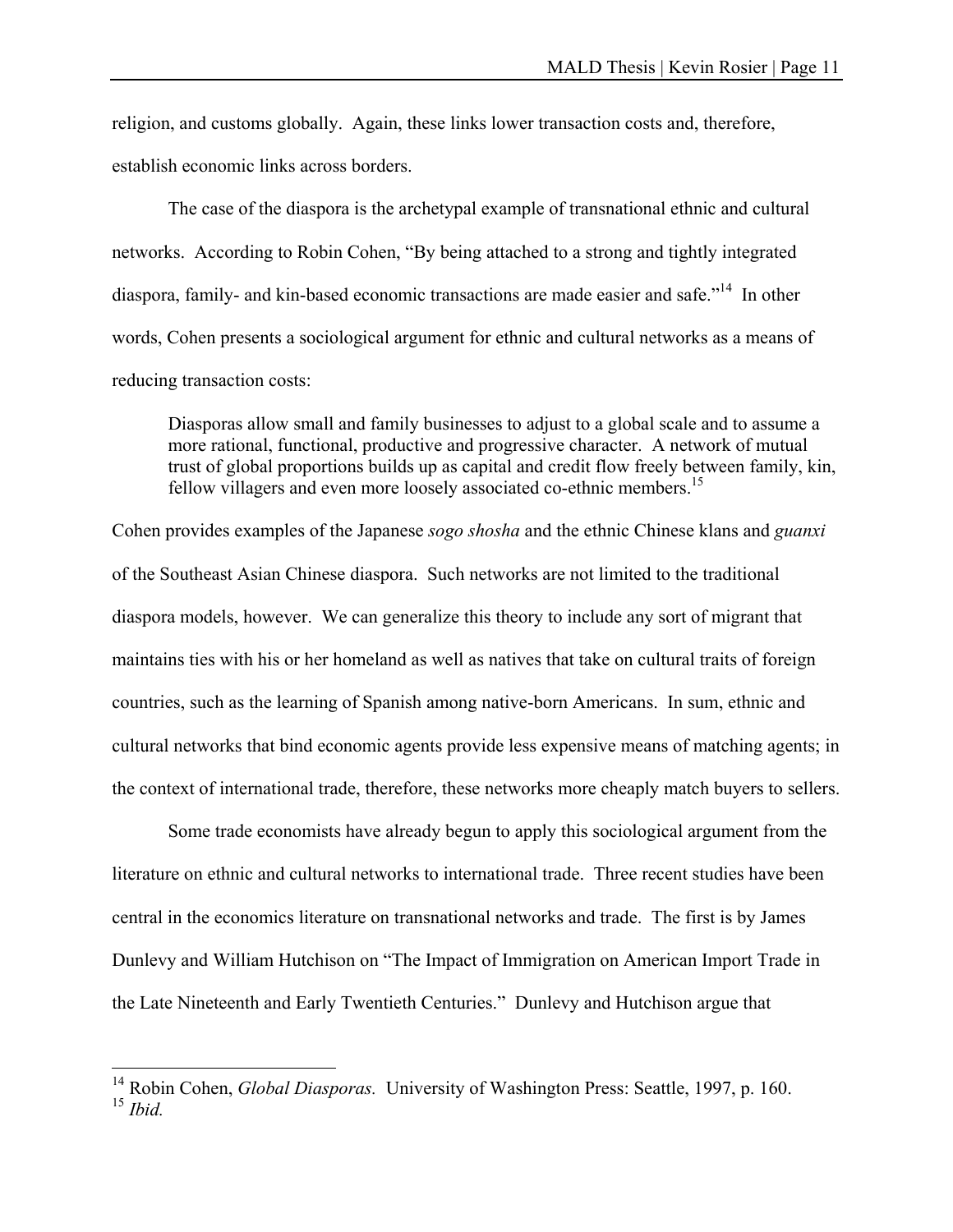religion, and customs globally. Again, these links lower transaction costs and, therefore, establish economic links across borders.

 The case of the diaspora is the archetypal example of transnational ethnic and cultural networks. According to Robin Cohen, "By being attached to a strong and tightly integrated diaspora, family- and kin-based economic transactions are made easier and safe.<sup>"14</sup> In other words, Cohen presents a sociological argument for ethnic and cultural networks as a means of reducing transaction costs:

Diasporas allow small and family businesses to adjust to a global scale and to assume a more rational, functional, productive and progressive character. A network of mutual trust of global proportions builds up as capital and credit flow freely between family, kin, fellow villagers and even more loosely associated co-ethnic members.<sup>15</sup>

Cohen provides examples of the Japanese *sogo shosha* and the ethnic Chinese klans and *guanxi*  of the Southeast Asian Chinese diaspora. Such networks are not limited to the traditional diaspora models, however. We can generalize this theory to include any sort of migrant that maintains ties with his or her homeland as well as natives that take on cultural traits of foreign countries, such as the learning of Spanish among native-born Americans. In sum, ethnic and cultural networks that bind economic agents provide less expensive means of matching agents; in the context of international trade, therefore, these networks more cheaply match buyers to sellers.

 Some trade economists have already begun to apply this sociological argument from the literature on ethnic and cultural networks to international trade. Three recent studies have been central in the economics literature on transnational networks and trade. The first is by James Dunlevy and William Hutchison on "The Impact of Immigration on American Import Trade in the Late Nineteenth and Early Twentieth Centuries." Dunlevy and Hutchison argue that

 $\overline{a}$ 

<sup>&</sup>lt;sup>14</sup> Robin Cohen, *Global Diasporas*. University of Washington Press: Seattle, 1997, p. 160.  $^{15}$  *Ihid*.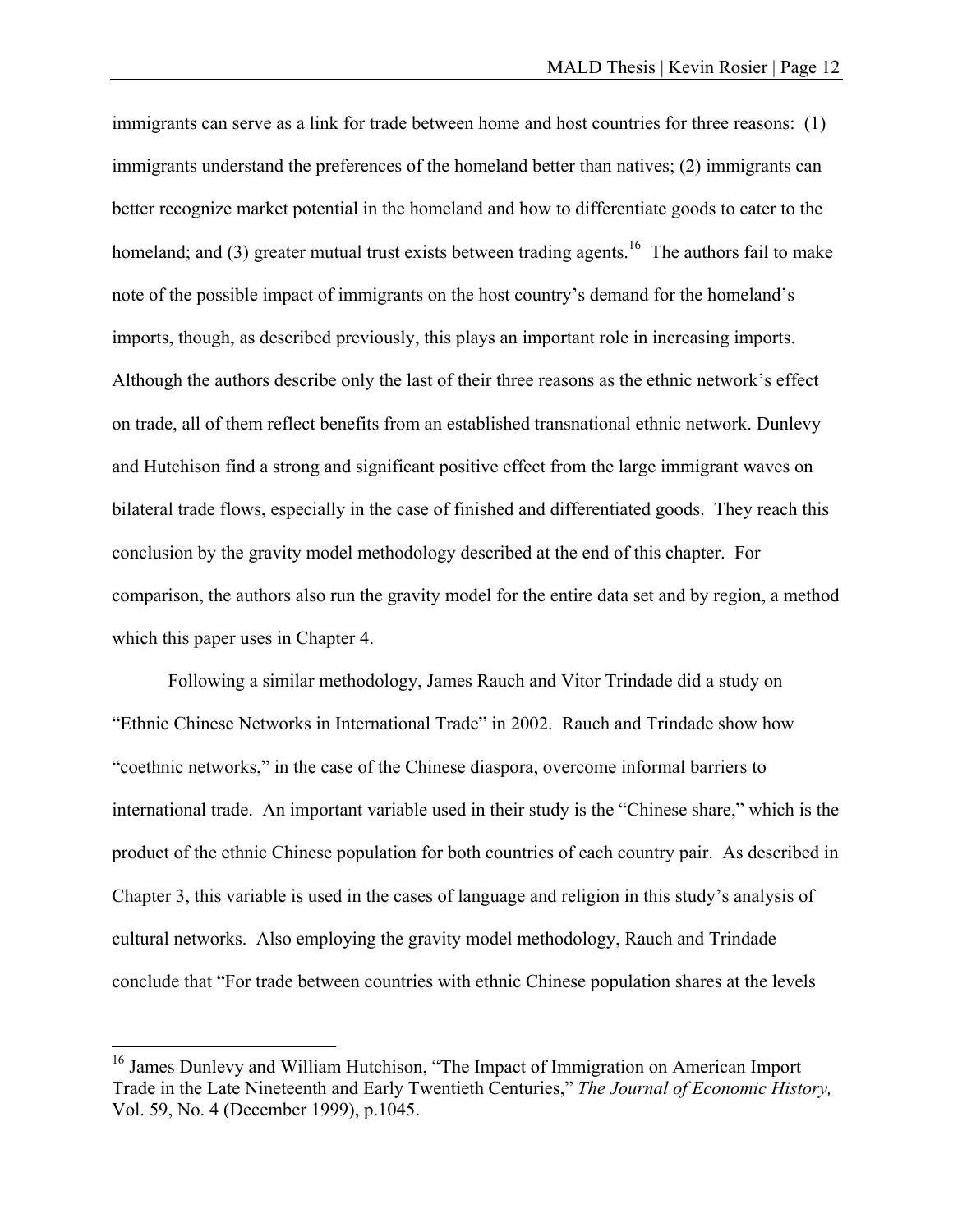immigrants can serve as a link for trade between home and host countries for three reasons: (1) immigrants understand the preferences of the homeland better than natives; (2) immigrants can better recognize market potential in the homeland and how to differentiate goods to cater to the homeland; and (3) greater mutual trust exists between trading agents.<sup>16</sup> The authors fail to make note of the possible impact of immigrants on the host country's demand for the homeland's imports, though, as described previously, this plays an important role in increasing imports. Although the authors describe only the last of their three reasons as the ethnic network's effect on trade, all of them reflect benefits from an established transnational ethnic network. Dunlevy and Hutchison find a strong and significant positive effect from the large immigrant waves on bilateral trade flows, especially in the case of finished and differentiated goods. They reach this conclusion by the gravity model methodology described at the end of this chapter. For comparison, the authors also run the gravity model for the entire data set and by region, a method which this paper uses in Chapter 4.

 Following a similar methodology, James Rauch and Vitor Trindade did a study on "Ethnic Chinese Networks in International Trade" in 2002. Rauch and Trindade show how "coethnic networks," in the case of the Chinese diaspora, overcome informal barriers to international trade. An important variable used in their study is the "Chinese share," which is the product of the ethnic Chinese population for both countries of each country pair. As described in Chapter 3, this variable is used in the cases of language and religion in this study's analysis of cultural networks. Also employing the gravity model methodology, Rauch and Trindade conclude that "For trade between countries with ethnic Chinese population shares at the levels

1

<sup>&</sup>lt;sup>16</sup> James Dunlevy and William Hutchison, "The Impact of Immigration on American Import Trade in the Late Nineteenth and Early Twentieth Centuries," *The Journal of Economic History,*  Vol. 59, No. 4 (December 1999), p.1045.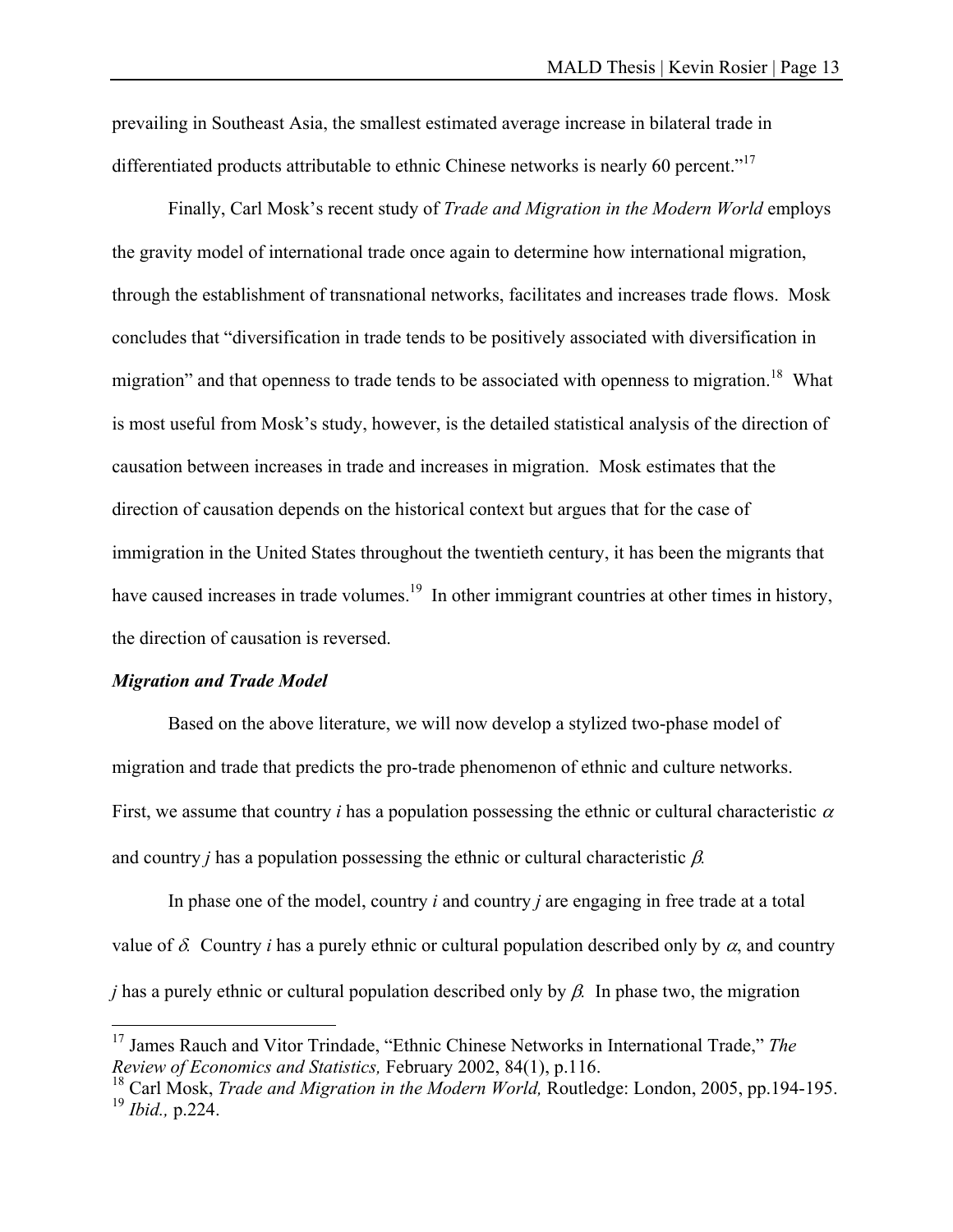prevailing in Southeast Asia, the smallest estimated average increase in bilateral trade in differentiated products attributable to ethnic Chinese networks is nearly 60 percent."<sup>17</sup>

 Finally, Carl Mosk's recent study of *Trade and Migration in the Modern World* employs the gravity model of international trade once again to determine how international migration, through the establishment of transnational networks, facilitates and increases trade flows. Mosk concludes that "diversification in trade tends to be positively associated with diversification in migration" and that openness to trade tends to be associated with openness to migration.<sup>18</sup> What is most useful from Mosk's study, however, is the detailed statistical analysis of the direction of causation between increases in trade and increases in migration. Mosk estimates that the direction of causation depends on the historical context but argues that for the case of immigration in the United States throughout the twentieth century, it has been the migrants that have caused increases in trade volumes.<sup>19</sup> In other immigrant countries at other times in history, the direction of causation is reversed.

#### *Migration and Trade Model*

 $\overline{a}$ 

 Based on the above literature, we will now develop a stylized two-phase model of migration and trade that predicts the pro-trade phenomenon of ethnic and culture networks. First, we assume that country *i* has a population possessing the ethnic or cultural characteristic  $\alpha$ and country *j* has a population possessing the ethnic or cultural characteristic β*.* 

In phase one of the model, country *i* and country *j* are engaging in free trade at a total value of  $\delta$ . Country *i* has a purely ethnic or cultural population described only by  $\alpha$ , and country *j* has a purely ethnic or cultural population described only by β*.* In phase two, the migration

<sup>17</sup> James Rauch and Vitor Trindade, "Ethnic Chinese Networks in International Trade," *The Review of Economics and Statistics,* February 2002, 84(1), p.116.

<sup>18</sup> Carl Mosk, *Trade and Migration in the Modern World,* Routledge: London, 2005, pp.194-195. <sup>19</sup> *Ibid.,* p.224.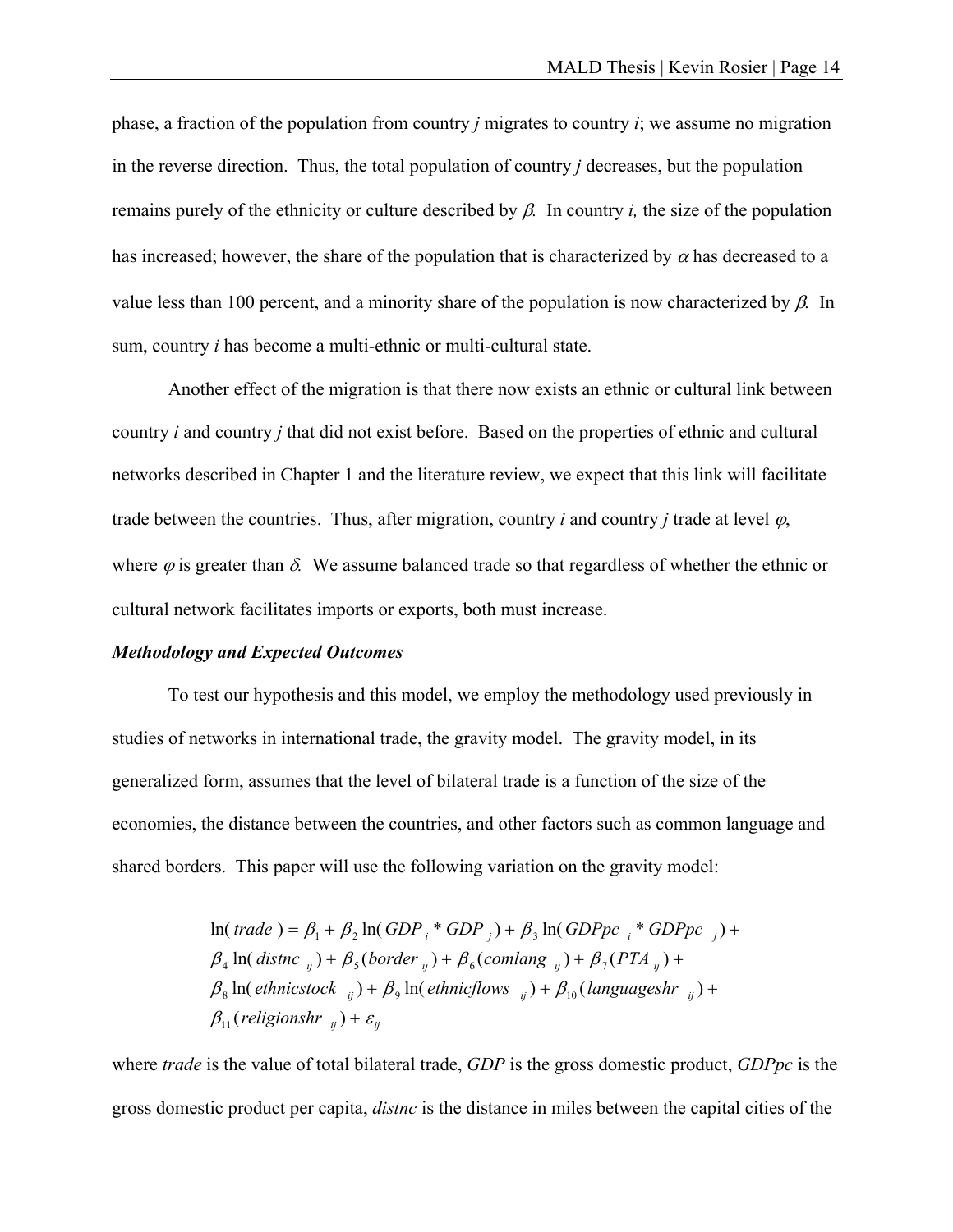phase, a fraction of the population from country *j* migrates to country *i*; we assume no migration in the reverse direction. Thus, the total population of country *j* decreases, but the population remains purely of the ethnicity or culture described by β*.* In country *i,* the size of the population has increased; however, the share of the population that is characterized by  $\alpha$  has decreased to a value less than 100 percent, and a minority share of the population is now characterized by β*.* In sum, country *i* has become a multi-ethnic or multi-cultural state.

Another effect of the migration is that there now exists an ethnic or cultural link between country *i* and country *j* that did not exist before. Based on the properties of ethnic and cultural networks described in Chapter 1 and the literature review, we expect that this link will facilitate trade between the countries. Thus, after migration, country *i* and country *j* trade at level  $\varphi$ , where  $\varphi$  is greater than  $\delta$ . We assume balanced trade so that regardless of whether the ethnic or cultural network facilitates imports or exports, both must increase.

#### *Methodology and Expected Outcomes*

 To test our hypothesis and this model, we employ the methodology used previously in studies of networks in international trade, the gravity model. The gravity model, in its generalized form, assumes that the level of bilateral trade is a function of the size of the economies, the distance between the countries, and other factors such as common language and shared borders. This paper will use the following variation on the gravity model:

> ln( *trade* ) =  $\beta_1 + \beta_2 \ln(GDP_i * GDP_j) + \beta_3 \ln(GDPpc_i * GDPpc_j) +$  $\beta_4$  ln( *distnc*  $_{ii}$ ) +  $\beta_5$ (*border*  $_{ii}$ ) +  $\beta_6$ (*comlang*  $_{ii}$ ) +  $\beta_7$ (*PTA*  $_{ii}$ ) +  $\beta_8$  ln( *ethnicstock*  $_{ij}$ ) +  $\beta_9$  ln( *ethnicflows*  $_{ij}$ ) +  $\beta_{10}$  (*languageshr*  $_{ij}$ ) +  $\beta_{11}$ (*religionshr ii*) +  $\varepsilon_{ii}$

where *trade* is the value of total bilateral trade, *GDP* is the gross domestic product, *GDPpc* is the gross domestic product per capita, *distnc* is the distance in miles between the capital cities of the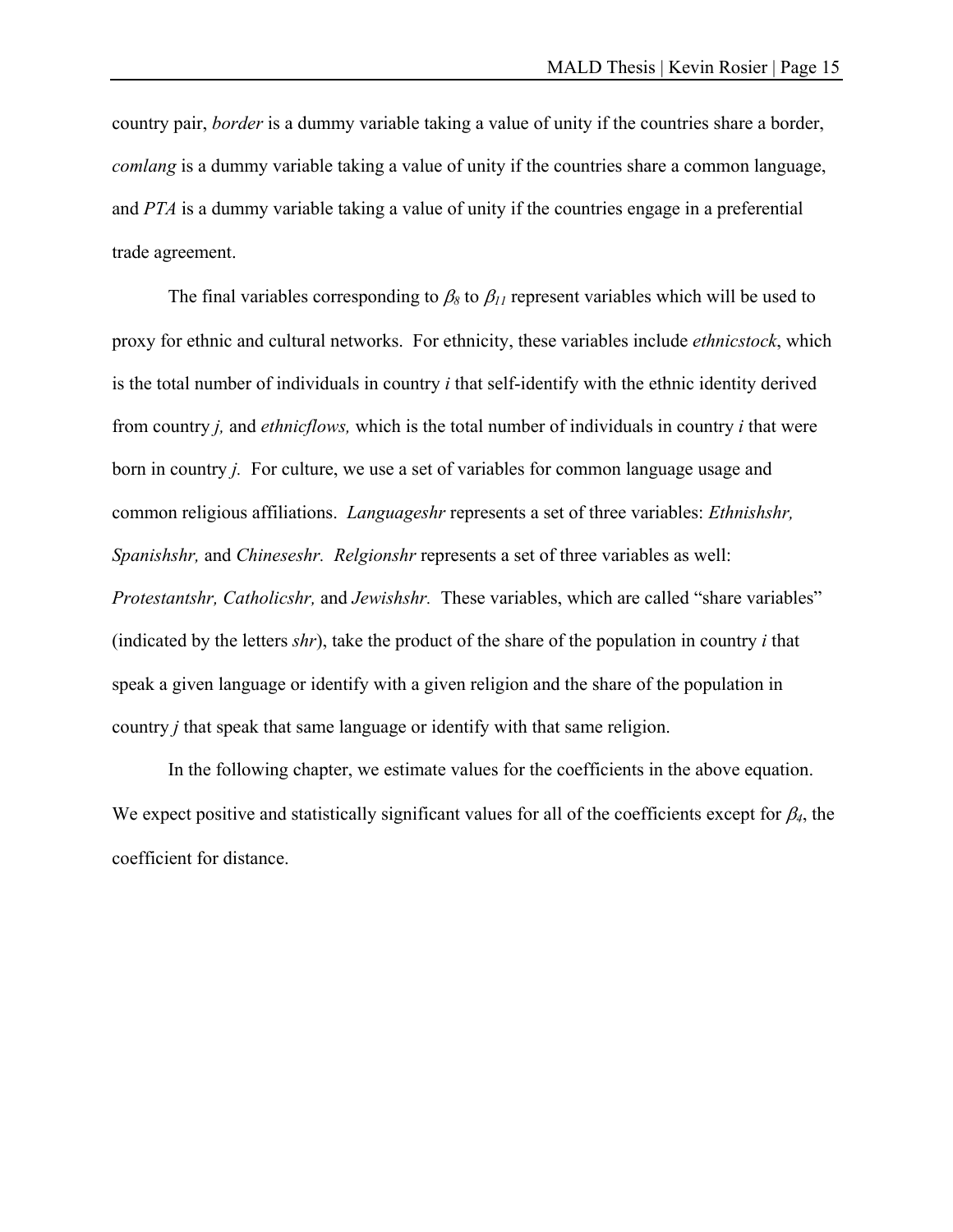country pair, *border* is a dummy variable taking a value of unity if the countries share a border, *comlang* is a dummy variable taking a value of unity if the countries share a common language, and *PTA* is a dummy variable taking a value of unity if the countries engage in a preferential trade agreement.

The final variables corresponding to  $\beta_8$  to  $\beta_{11}$  represent variables which will be used to proxy for ethnic and cultural networks. For ethnicity, these variables include *ethnicstock*, which is the total number of individuals in country *i* that self-identify with the ethnic identity derived from country *j,* and *ethnicflows,* which is the total number of individuals in country *i* that were born in country *j.* For culture, we use a set of variables for common language usage and common religious affiliations. *Languageshr* represents a set of three variables: *Ethnishshr, Spanishshr,* and *Chineseshr. Relgionshr* represents a set of three variables as well: *Protestantshr, Catholicshr,* and *Jewishshr.* These variables, which are called "share variables" (indicated by the letters *shr*), take the product of the share of the population in country *i* that speak a given language or identify with a given religion and the share of the population in country *j* that speak that same language or identify with that same religion.

In the following chapter, we estimate values for the coefficients in the above equation. We expect positive and statistically significant values for all of the coefficients except for  $\beta_4$ , the coefficient for distance.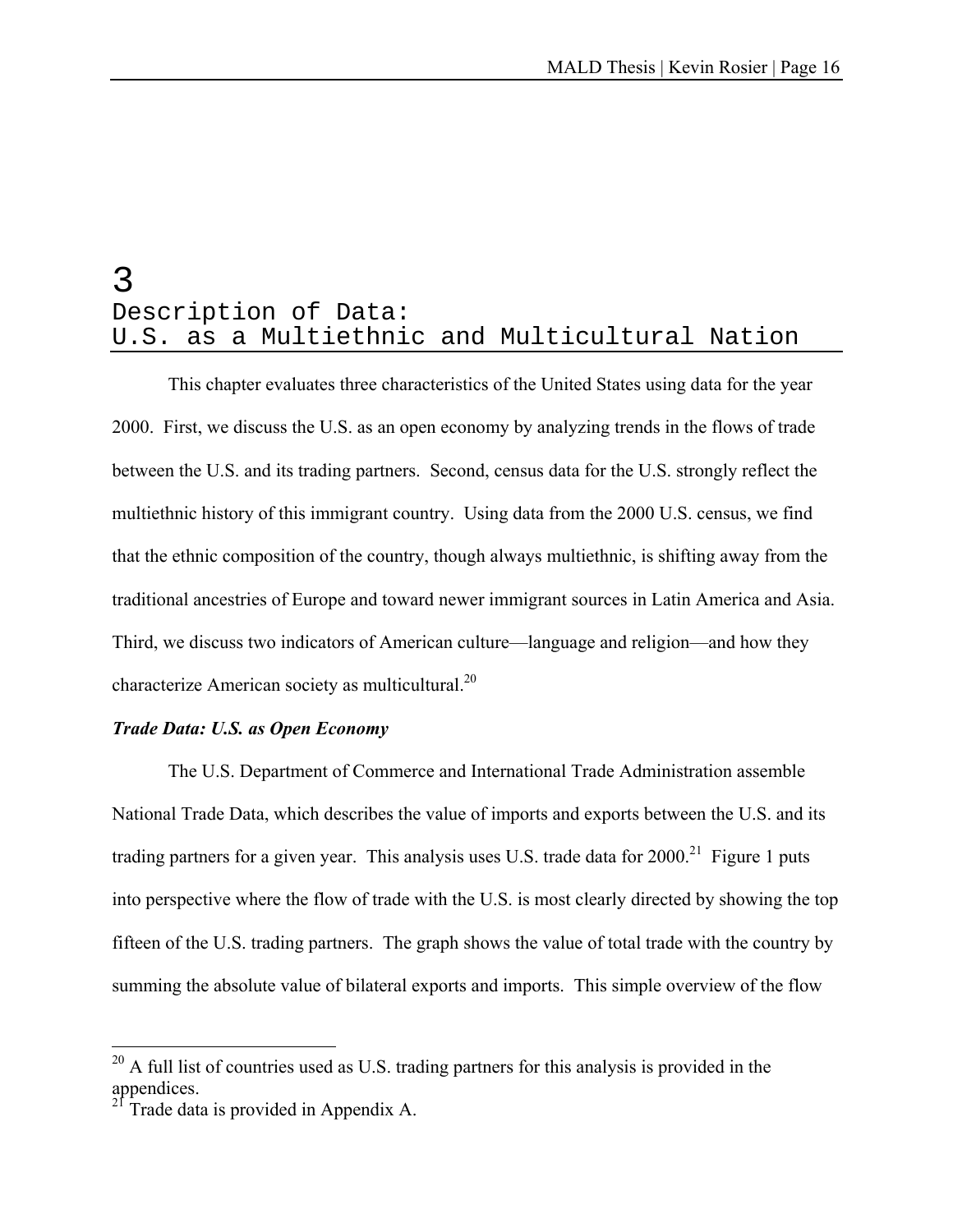## 3 Description of Data: U.S. as a Multiethnic and Multicultural Nation

This chapter evaluates three characteristics of the United States using data for the year 2000. First, we discuss the U.S. as an open economy by analyzing trends in the flows of trade between the U.S. and its trading partners. Second, census data for the U.S. strongly reflect the multiethnic history of this immigrant country. Using data from the 2000 U.S. census, we find that the ethnic composition of the country, though always multiethnic, is shifting away from the traditional ancestries of Europe and toward newer immigrant sources in Latin America and Asia. Third, we discuss two indicators of American culture—language and religion—and how they characterize American society as multicultural.<sup>20</sup>

#### *Trade Data: U.S. as Open Economy*

The U.S. Department of Commerce and International Trade Administration assemble National Trade Data, which describes the value of imports and exports between the U.S. and its trading partners for a given year. This analysis uses U.S. trade data for  $2000$ <sup>21</sup> Figure 1 puts into perspective where the flow of trade with the U.S. is most clearly directed by showing the top fifteen of the U.S. trading partners. The graph shows the value of total trade with the country by summing the absolute value of bilateral exports and imports. This simple overview of the flow

 $\overline{a}$ 

 $^{20}$  A full list of countries used as U.S. trading partners for this analysis is provided in the appendices.

Trade data is provided in Appendix A.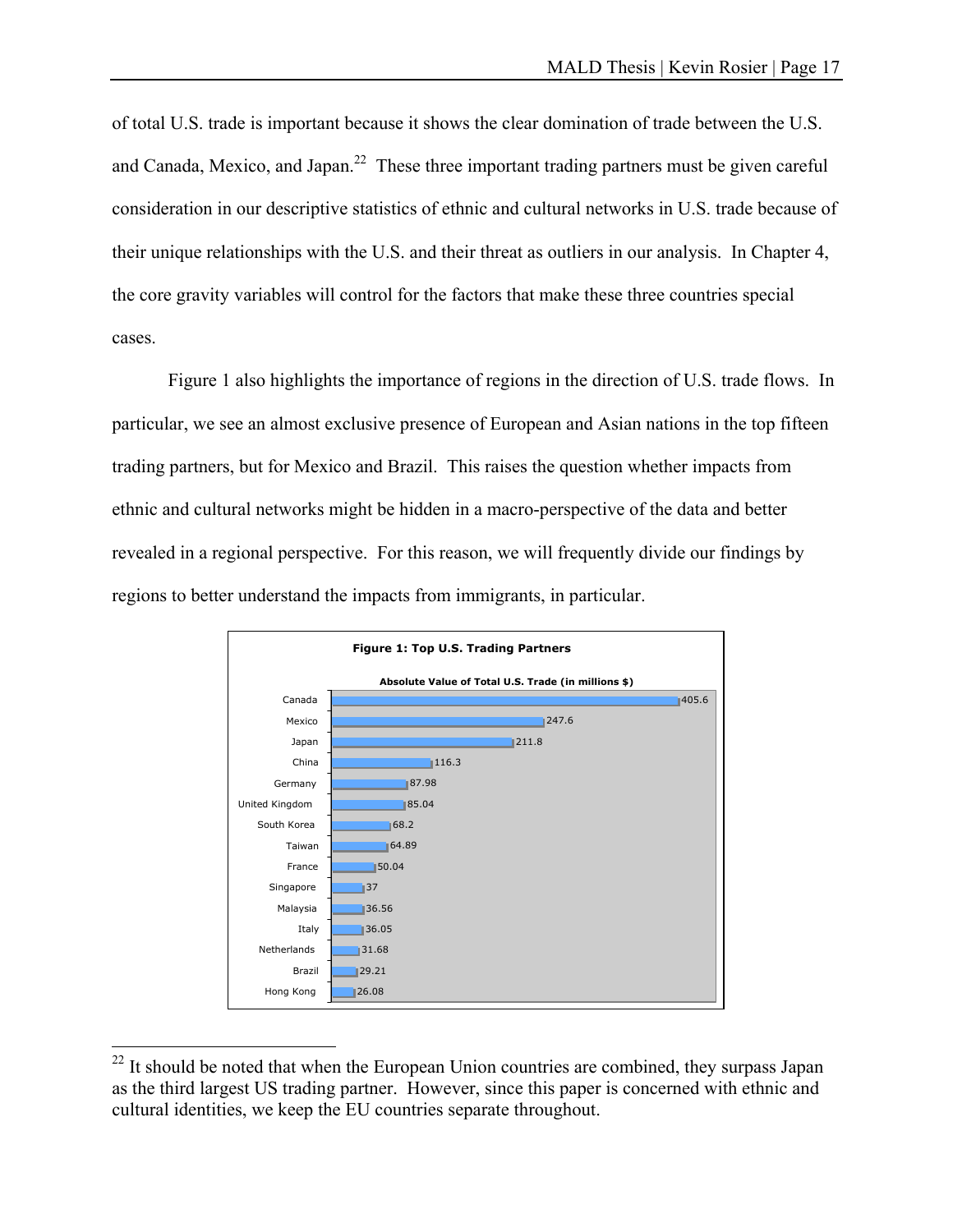of total U.S. trade is important because it shows the clear domination of trade between the U.S. and Canada, Mexico, and Japan.<sup>22</sup> These three important trading partners must be given careful consideration in our descriptive statistics of ethnic and cultural networks in U.S. trade because of their unique relationships with the U.S. and their threat as outliers in our analysis. In Chapter 4, the core gravity variables will control for the factors that make these three countries special cases.

 Figure 1 also highlights the importance of regions in the direction of U.S. trade flows. In particular, we see an almost exclusive presence of European and Asian nations in the top fifteen trading partners, but for Mexico and Brazil. This raises the question whether impacts from ethnic and cultural networks might be hidden in a macro-perspective of the data and better revealed in a regional perspective. For this reason, we will frequently divide our findings by regions to better understand the impacts from immigrants, in particular.



 $22$  It should be noted that when the European Union countries are combined, they surpass Japan as the third largest US trading partner. However, since this paper is concerned with ethnic and cultural identities, we keep the EU countries separate throughout.

 $\overline{a}$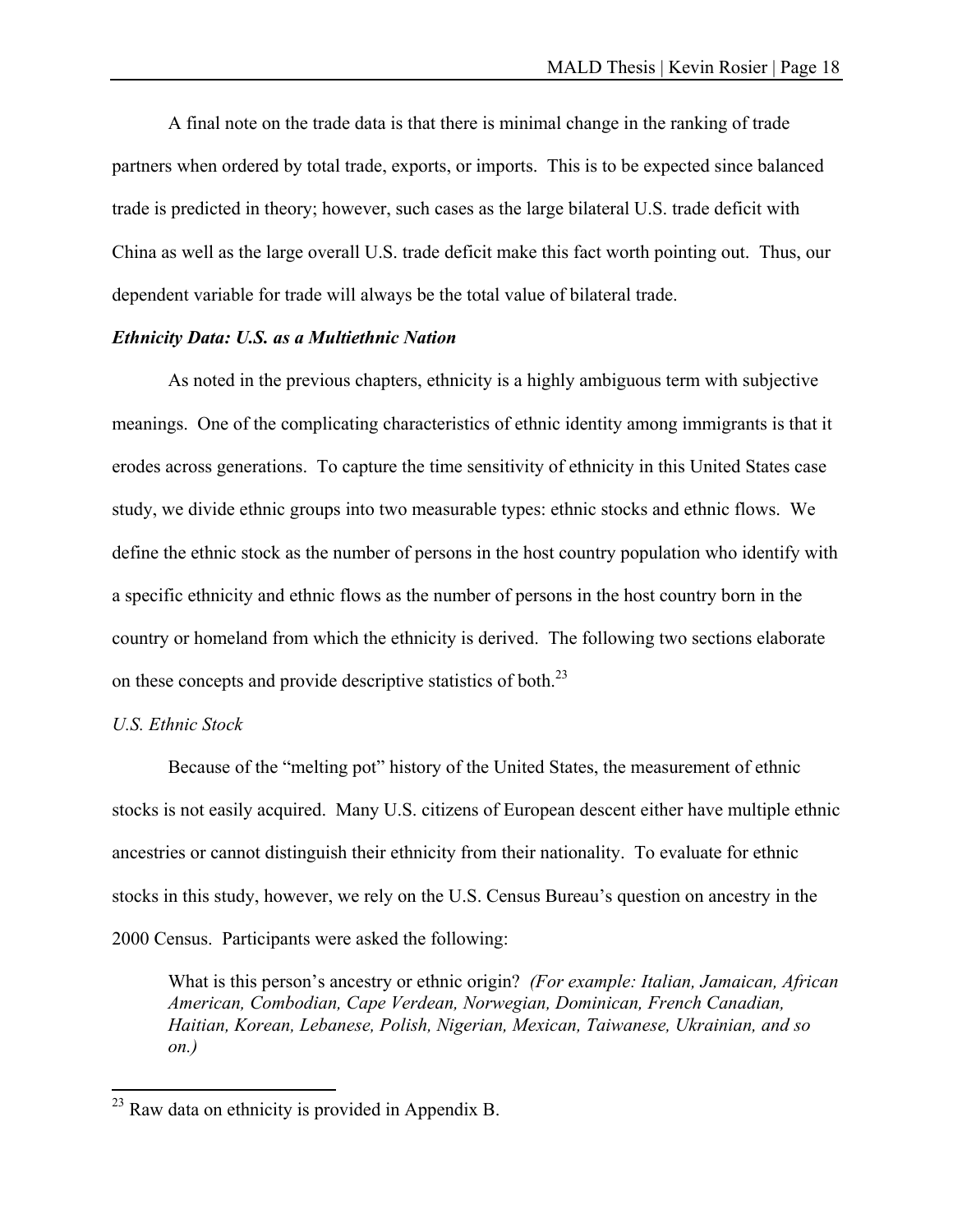A final note on the trade data is that there is minimal change in the ranking of trade partners when ordered by total trade, exports, or imports. This is to be expected since balanced trade is predicted in theory; however, such cases as the large bilateral U.S. trade deficit with China as well as the large overall U.S. trade deficit make this fact worth pointing out. Thus, our dependent variable for trade will always be the total value of bilateral trade.

#### *Ethnicity Data: U.S. as a Multiethnic Nation*

As noted in the previous chapters, ethnicity is a highly ambiguous term with subjective meanings. One of the complicating characteristics of ethnic identity among immigrants is that it erodes across generations. To capture the time sensitivity of ethnicity in this United States case study, we divide ethnic groups into two measurable types: ethnic stocks and ethnic flows. We define the ethnic stock as the number of persons in the host country population who identify with a specific ethnicity and ethnic flows as the number of persons in the host country born in the country or homeland from which the ethnicity is derived. The following two sections elaborate on these concepts and provide descriptive statistics of both.<sup>23</sup>

#### *U.S. Ethnic Stock*

 $\overline{a}$ 

 Because of the "melting pot" history of the United States, the measurement of ethnic stocks is not easily acquired. Many U.S. citizens of European descent either have multiple ethnic ancestries or cannot distinguish their ethnicity from their nationality. To evaluate for ethnic stocks in this study, however, we rely on the U.S. Census Bureau's question on ancestry in the 2000 Census. Participants were asked the following:

What is this person's ancestry or ethnic origin? *(For example: Italian, Jamaican, African American, Combodian, Cape Verdean, Norwegian, Dominican, French Canadian, Haitian, Korean, Lebanese, Polish, Nigerian, Mexican, Taiwanese, Ukrainian, and so on.)* 

 $^{23}$  Raw data on ethnicity is provided in Appendix B.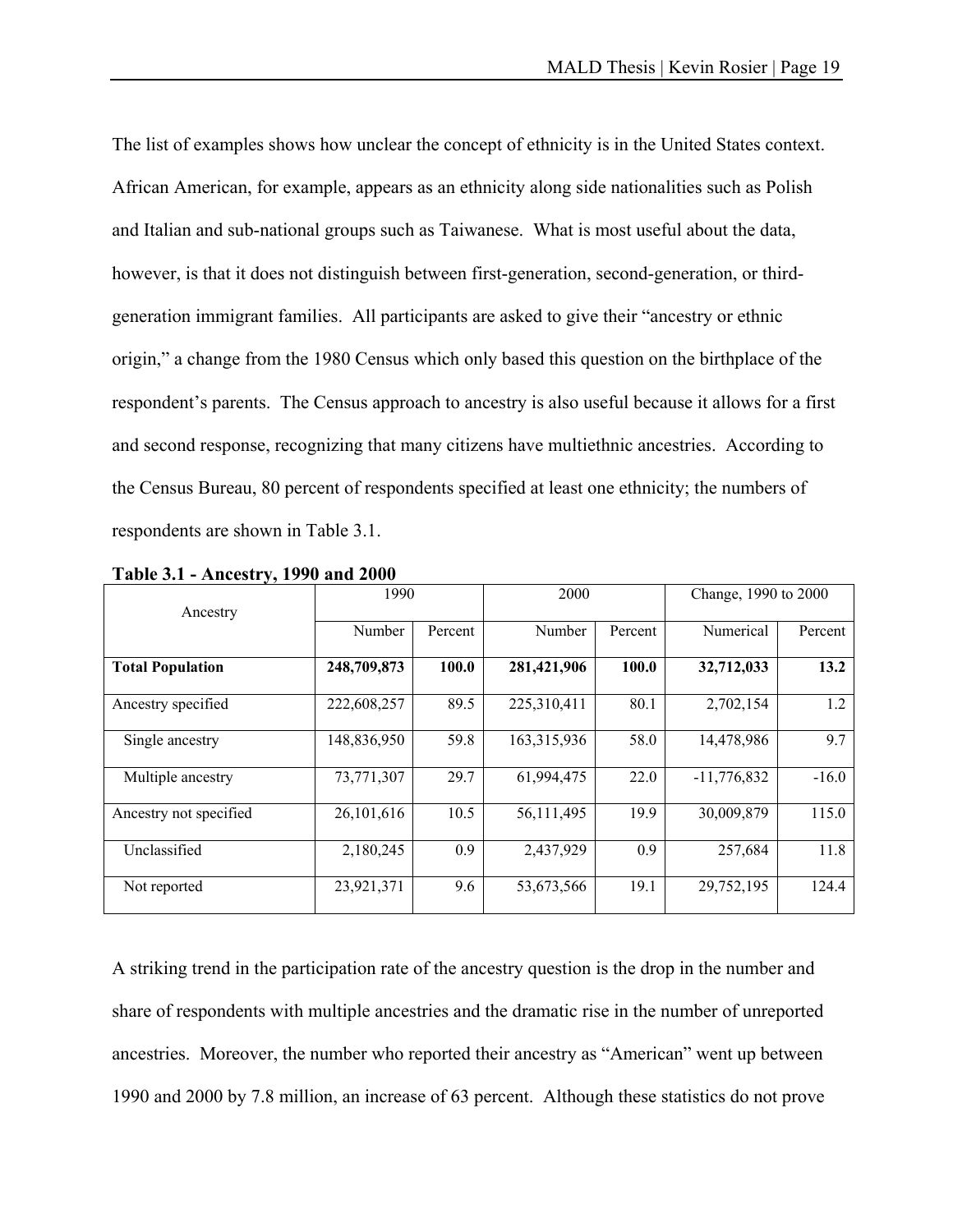The list of examples shows how unclear the concept of ethnicity is in the United States context. African American, for example, appears as an ethnicity along side nationalities such as Polish and Italian and sub-national groups such as Taiwanese. What is most useful about the data, however, is that it does not distinguish between first-generation, second-generation, or thirdgeneration immigrant families. All participants are asked to give their "ancestry or ethnic origin," a change from the 1980 Census which only based this question on the birthplace of the respondent's parents. The Census approach to ancestry is also useful because it allows for a first and second response, recognizing that many citizens have multiethnic ancestries. According to the Census Bureau, 80 percent of respondents specified at least one ethnicity; the numbers of respondents are shown in Table 3.1.

| Ancestry                | 1990        |         | 2000        |         | Change, 1990 to 2000 |         |
|-------------------------|-------------|---------|-------------|---------|----------------------|---------|
|                         | Number      | Percent | Number      | Percent | Numerical            | Percent |
| <b>Total Population</b> | 248,709,873 | 100.0   | 281,421,906 | 100.0   | 32,712,033           | 13.2    |
| Ancestry specified      | 222,608,257 | 89.5    | 225,310,411 | 80.1    | 2,702,154            | 1.2     |
| Single ancestry         | 148,836,950 | 59.8    | 163,315,936 | 58.0    | 14,478,986           | 9.7     |
| Multiple ancestry       | 73,771,307  | 29.7    | 61,994,475  | 22.0    | $-11,776,832$        | $-16.0$ |
| Ancestry not specified  | 26,101,616  | 10.5    | 56,111,495  | 19.9    | 30,009,879           | 115.0   |
| Unclassified            | 2,180,245   | 0.9     | 2,437,929   | 0.9     | 257,684              | 11.8    |
| Not reported            | 23,921,371  | 9.6     | 53,673,566  | 19.1    | 29,752,195           | 124.4   |

**Table 3.1 - Ancestry, 1990 and 2000** 

A striking trend in the participation rate of the ancestry question is the drop in the number and share of respondents with multiple ancestries and the dramatic rise in the number of unreported ancestries. Moreover, the number who reported their ancestry as "American" went up between 1990 and 2000 by 7.8 million, an increase of 63 percent. Although these statistics do not prove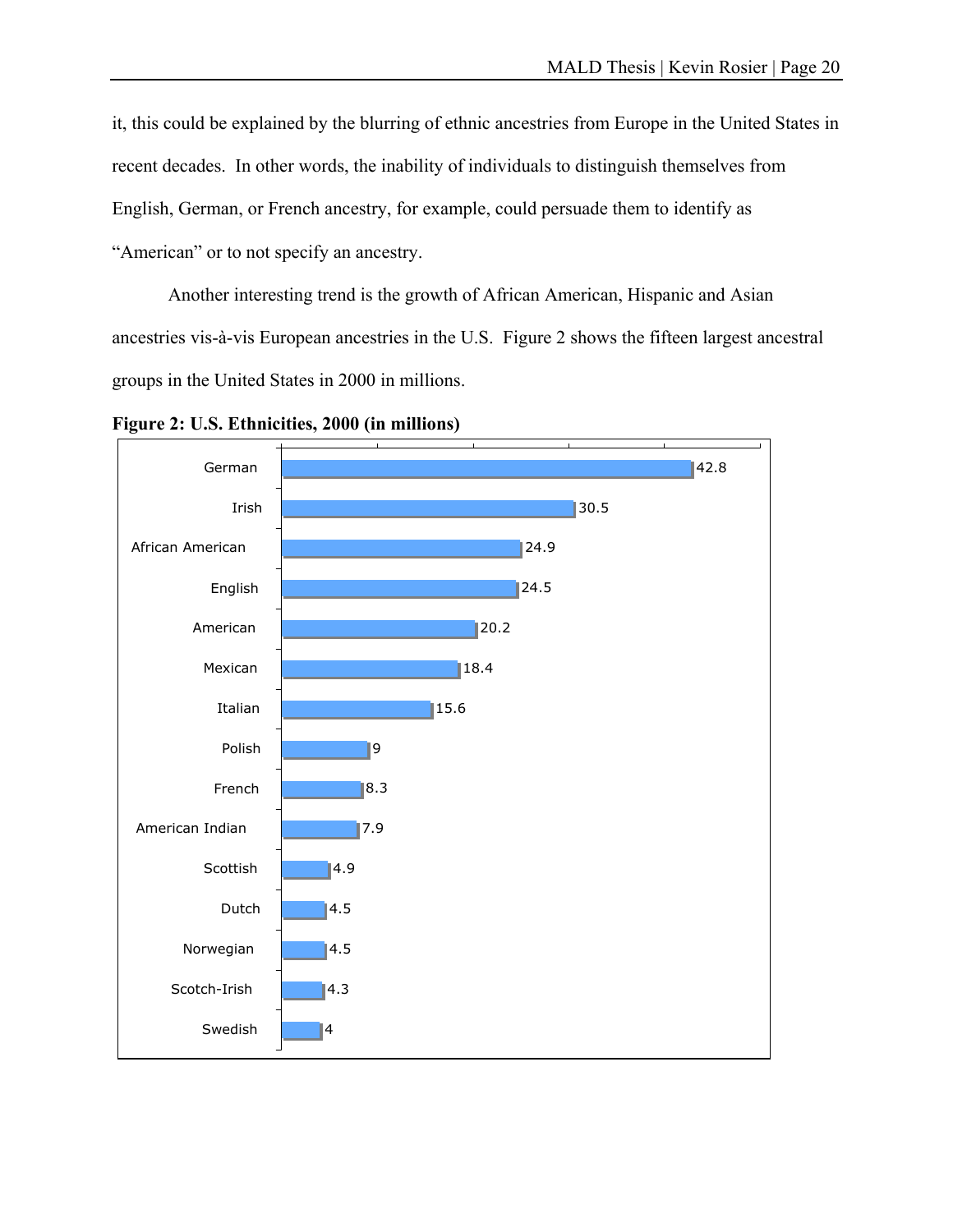it, this could be explained by the blurring of ethnic ancestries from Europe in the United States in recent decades. In other words, the inability of individuals to distinguish themselves from English, German, or French ancestry, for example, could persuade them to identify as "American" or to not specify an ancestry.

 Another interesting trend is the growth of African American, Hispanic and Asian ancestries vis-à-vis European ancestries in the U.S. Figure 2 shows the fifteen largest ancestral groups in the United States in 2000 in millions.



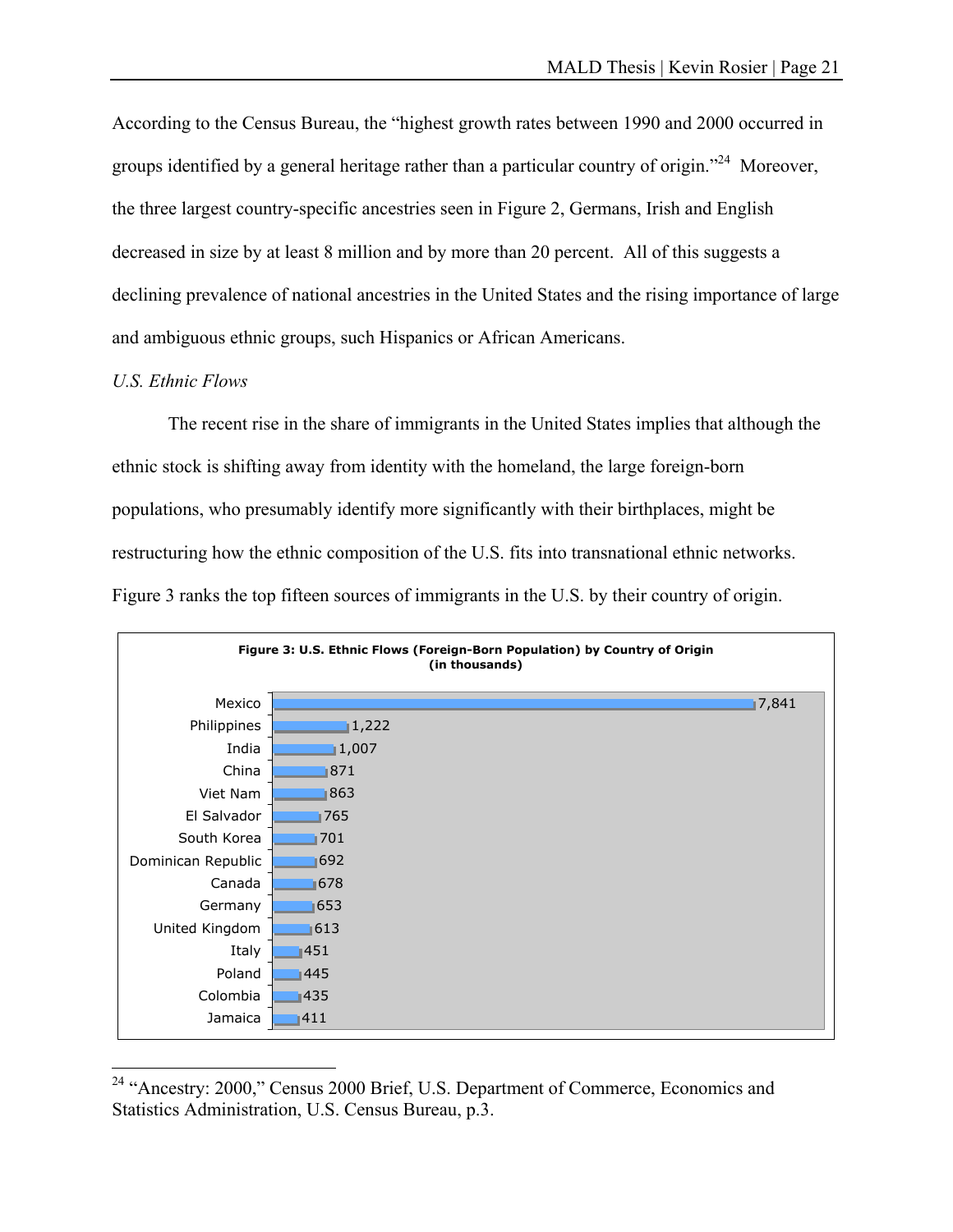According to the Census Bureau, the "highest growth rates between 1990 and 2000 occurred in groups identified by a general heritage rather than a particular country of origin."<sup>24</sup> Moreover, the three largest country-specific ancestries seen in Figure 2, Germans, Irish and English decreased in size by at least 8 million and by more than 20 percent. All of this suggests a declining prevalence of national ancestries in the United States and the rising importance of large and ambiguous ethnic groups, such Hispanics or African Americans.

#### *U.S. Ethnic Flows*

 $\overline{a}$ 

 The recent rise in the share of immigrants in the United States implies that although the ethnic stock is shifting away from identity with the homeland, the large foreign-born populations, who presumably identify more significantly with their birthplaces, might be restructuring how the ethnic composition of the U.S. fits into transnational ethnic networks. Figure 3 ranks the top fifteen sources of immigrants in the U.S. by their country of origin.



<sup>&</sup>lt;sup>24</sup> "Ancestry: 2000," Census 2000 Brief, U.S. Department of Commerce, Economics and Statistics Administration, U.S. Census Bureau, p.3.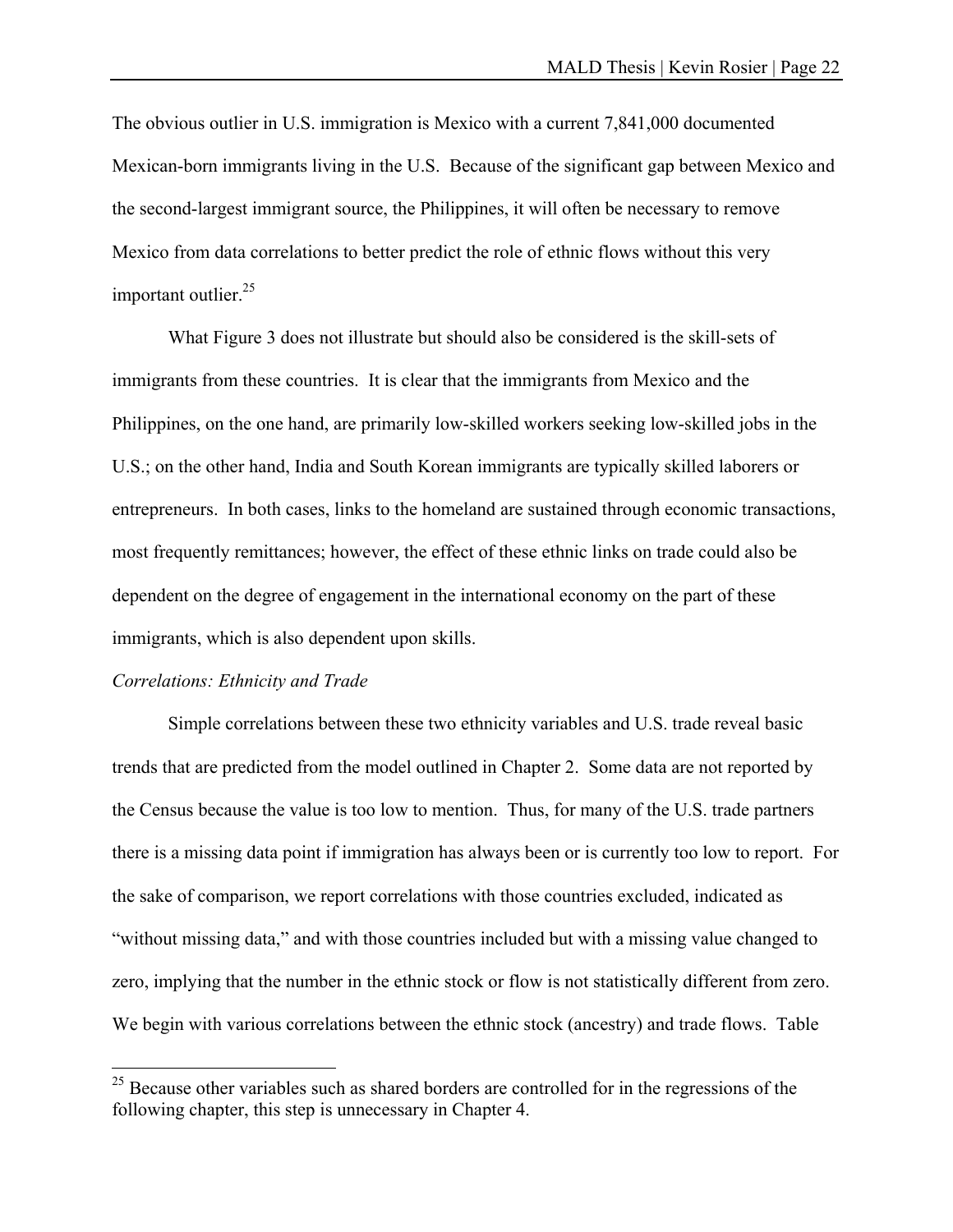The obvious outlier in U.S. immigration is Mexico with a current 7,841,000 documented Mexican-born immigrants living in the U.S. Because of the significant gap between Mexico and the second-largest immigrant source, the Philippines, it will often be necessary to remove Mexico from data correlations to better predict the role of ethnic flows without this very important outlier. $25$ 

 What Figure 3 does not illustrate but should also be considered is the skill-sets of immigrants from these countries. It is clear that the immigrants from Mexico and the Philippines, on the one hand, are primarily low-skilled workers seeking low-skilled jobs in the U.S.; on the other hand, India and South Korean immigrants are typically skilled laborers or entrepreneurs. In both cases, links to the homeland are sustained through economic transactions, most frequently remittances; however, the effect of these ethnic links on trade could also be dependent on the degree of engagement in the international economy on the part of these immigrants, which is also dependent upon skills.

#### *Correlations: Ethnicity and Trade*

 $\overline{a}$ 

 Simple correlations between these two ethnicity variables and U.S. trade reveal basic trends that are predicted from the model outlined in Chapter 2. Some data are not reported by the Census because the value is too low to mention. Thus, for many of the U.S. trade partners there is a missing data point if immigration has always been or is currently too low to report. For the sake of comparison, we report correlations with those countries excluded, indicated as "without missing data," and with those countries included but with a missing value changed to zero, implying that the number in the ethnic stock or flow is not statistically different from zero. We begin with various correlations between the ethnic stock (ancestry) and trade flows. Table

 $25$  Because other variables such as shared borders are controlled for in the regressions of the following chapter, this step is unnecessary in Chapter 4.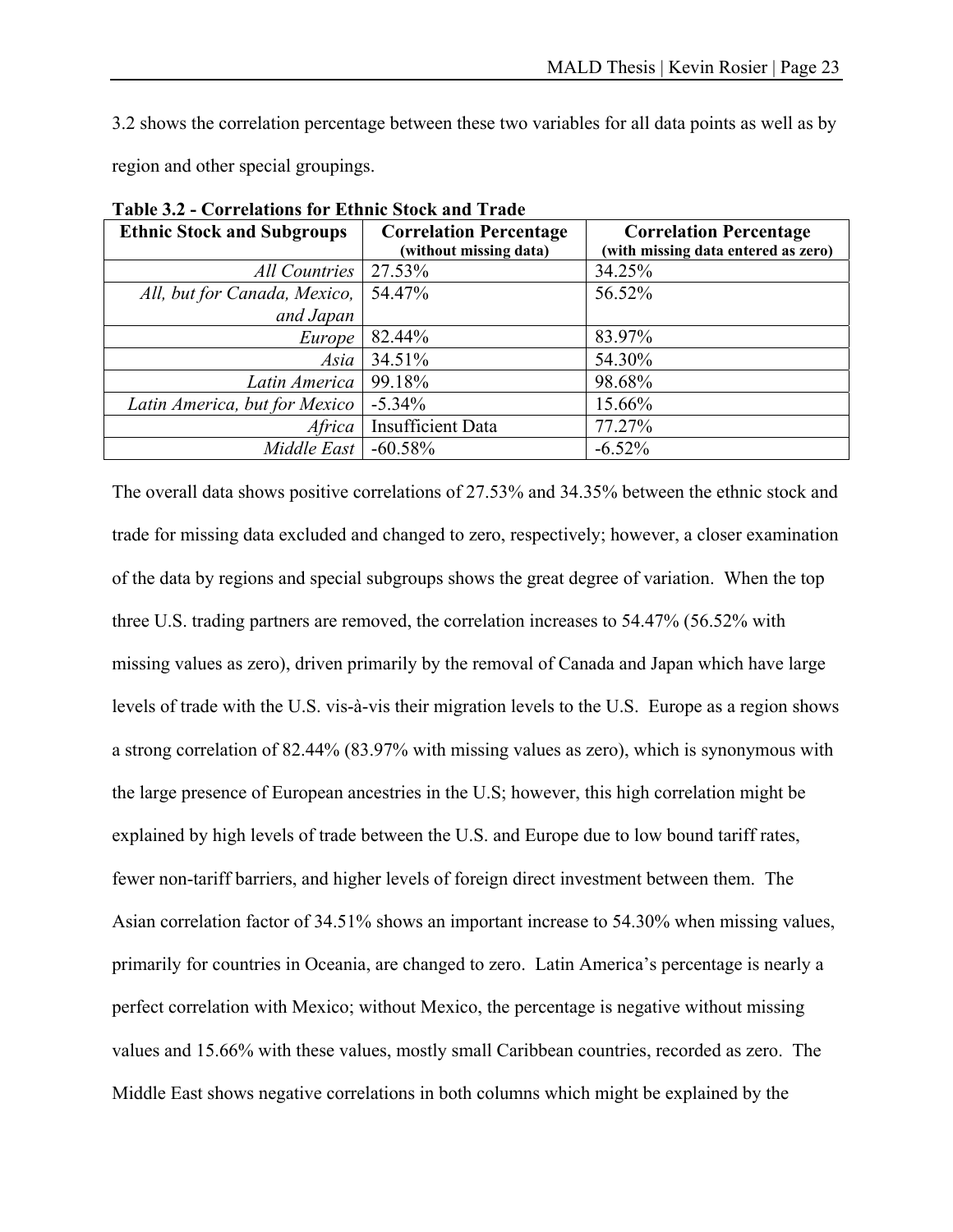3.2 shows the correlation percentage between these two variables for all data points as well as by region and other special groupings.

| <b>Ethnic Stock and Subgroups</b> | <b>Correlation Percentage</b><br>(without missing data) | <b>Correlation Percentage</b><br>(with missing data entered as zero) |
|-----------------------------------|---------------------------------------------------------|----------------------------------------------------------------------|
| All Countries                     | 27.53%                                                  | 34.25%                                                               |
| All, but for Canada, Mexico,      | 54.47%                                                  | 56.52%                                                               |
| and Japan                         |                                                         |                                                                      |
| Europe                            | 82.44%                                                  | 83.97%                                                               |
| Asia                              | 34.51%                                                  | 54.30%                                                               |
| Latin America                     | 99.18%                                                  | 98.68%                                                               |
| Latin America, but for Mexico     | $-5.34\%$                                               | 15.66%                                                               |
| Africa                            | <b>Insufficient Data</b>                                | 77.27%                                                               |
| Middle East                       | $-60.58\%$                                              | $-6.52%$                                                             |

**Table 3.2 - Correlations for Ethnic Stock and Trade** 

The overall data shows positive correlations of 27.53% and 34.35% between the ethnic stock and trade for missing data excluded and changed to zero, respectively; however, a closer examination of the data by regions and special subgroups shows the great degree of variation. When the top three U.S. trading partners are removed, the correlation increases to 54.47% (56.52% with missing values as zero), driven primarily by the removal of Canada and Japan which have large levels of trade with the U.S. vis-à-vis their migration levels to the U.S. Europe as a region shows a strong correlation of 82.44% (83.97% with missing values as zero), which is synonymous with the large presence of European ancestries in the U.S; however, this high correlation might be explained by high levels of trade between the U.S. and Europe due to low bound tariff rates, fewer non-tariff barriers, and higher levels of foreign direct investment between them. The Asian correlation factor of 34.51% shows an important increase to 54.30% when missing values, primarily for countries in Oceania, are changed to zero. Latin America's percentage is nearly a perfect correlation with Mexico; without Mexico, the percentage is negative without missing values and 15.66% with these values, mostly small Caribbean countries, recorded as zero. The Middle East shows negative correlations in both columns which might be explained by the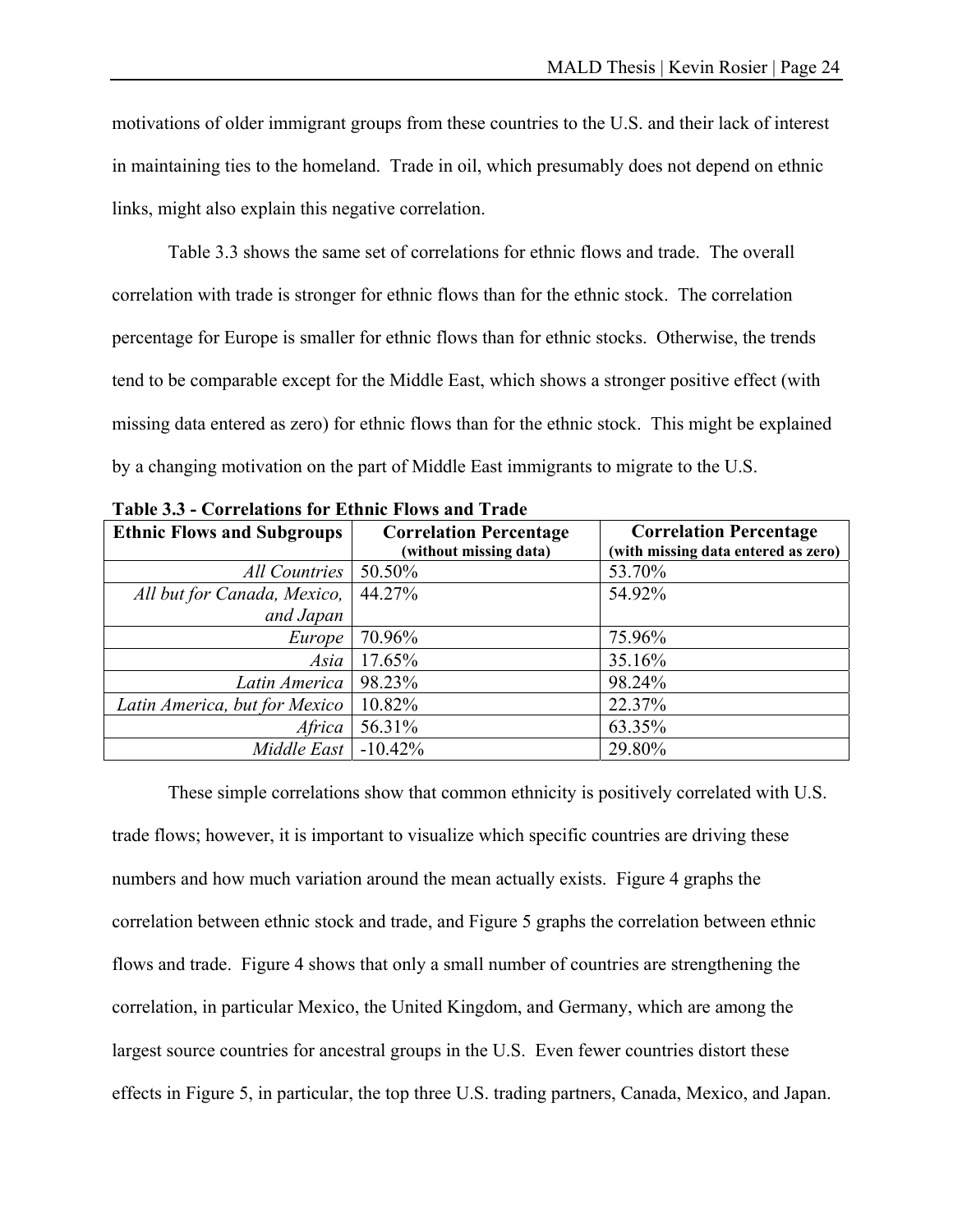motivations of older immigrant groups from these countries to the U.S. and their lack of interest in maintaining ties to the homeland. Trade in oil, which presumably does not depend on ethnic links, might also explain this negative correlation.

Table 3.3 shows the same set of correlations for ethnic flows and trade. The overall correlation with trade is stronger for ethnic flows than for the ethnic stock. The correlation percentage for Europe is smaller for ethnic flows than for ethnic stocks. Otherwise, the trends tend to be comparable except for the Middle East, which shows a stronger positive effect (with missing data entered as zero) for ethnic flows than for the ethnic stock. This might be explained by a changing motivation on the part of Middle East immigrants to migrate to the U.S.

| <b>Ethnic Flows and Subgroups</b> | <b>Correlation Percentage</b> | <b>Correlation Percentage</b>       |
|-----------------------------------|-------------------------------|-------------------------------------|
|                                   | (without missing data)        | (with missing data entered as zero) |
| All Countries                     | 50.50%                        | 53.70%                              |
| All but for Canada, Mexico,       | 44.27%                        | 54.92%                              |
| and Japan                         |                               |                                     |
| Europe                            | 70.96%                        | 75.96%                              |
| Asia                              | 17.65%                        | 35.16%                              |
| Latin America                     | 98.23%                        | 98.24%                              |
| Latin America, but for Mexico     | 10.82%                        | 22.37%                              |
| Africa                            | 56.31%                        | 63.35%                              |
| Middle East                       | $-10.42\%$                    | 29.80%                              |

**Table 3.3 - Correlations for Ethnic Flows and Trade** 

 These simple correlations show that common ethnicity is positively correlated with U.S. trade flows; however, it is important to visualize which specific countries are driving these numbers and how much variation around the mean actually exists. Figure 4 graphs the correlation between ethnic stock and trade, and Figure 5 graphs the correlation between ethnic flows and trade. Figure 4 shows that only a small number of countries are strengthening the correlation, in particular Mexico, the United Kingdom, and Germany, which are among the largest source countries for ancestral groups in the U.S. Even fewer countries distort these effects in Figure 5, in particular, the top three U.S. trading partners, Canada, Mexico, and Japan.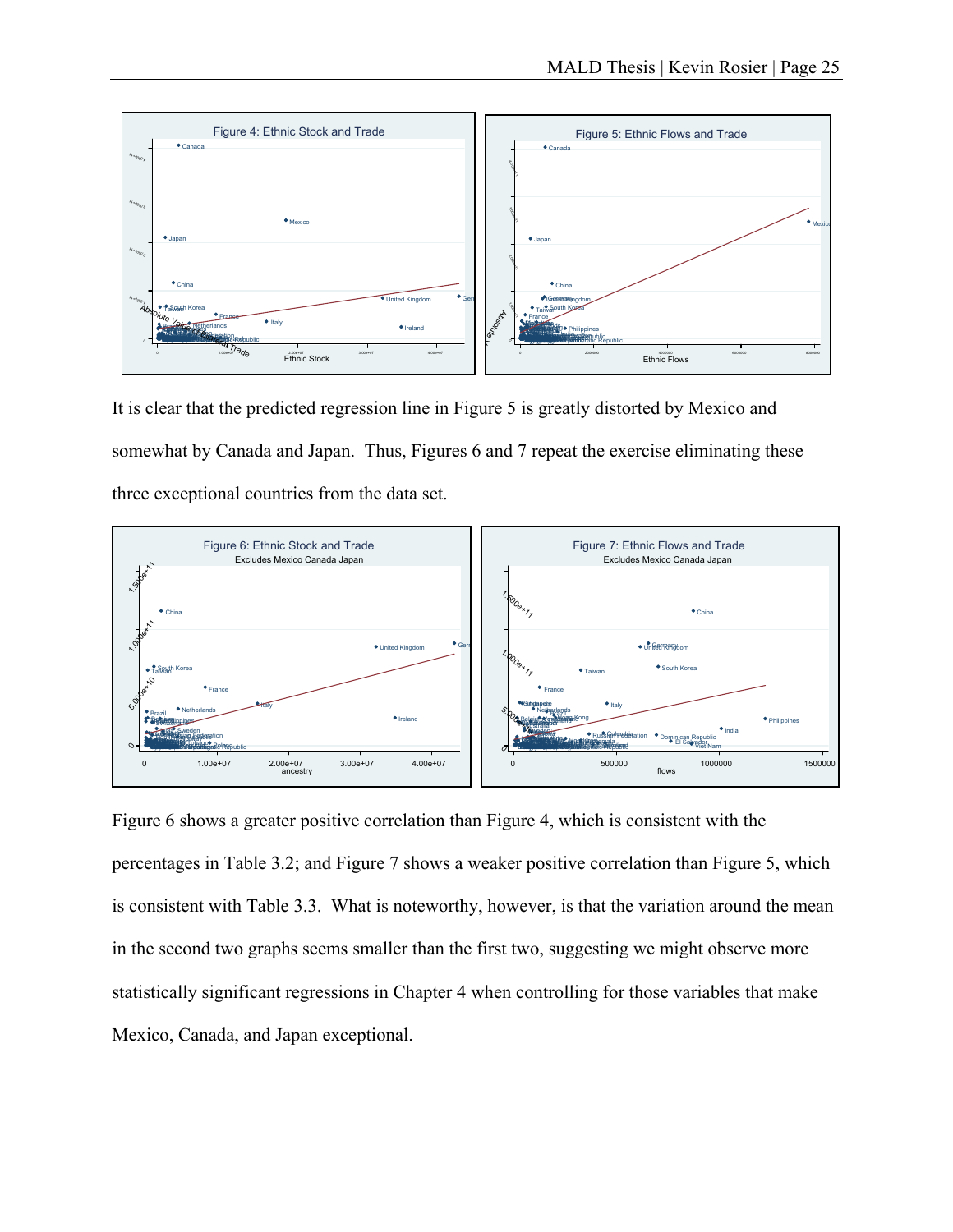

It is clear that the predicted regression line in Figure 5 is greatly distorted by Mexico and somewhat by Canada and Japan. Thus, Figures 6 and 7 repeat the exercise eliminating these three exceptional countries from the data set.



Figure 6 shows a greater positive correlation than Figure 4, which is consistent with the percentages in Table 3.2; and Figure 7 shows a weaker positive correlation than Figure 5, which is consistent with Table 3.3. What is noteworthy, however, is that the variation around the mean in the second two graphs seems smaller than the first two, suggesting we might observe more statistically significant regressions in Chapter 4 when controlling for those variables that make Mexico, Canada, and Japan exceptional.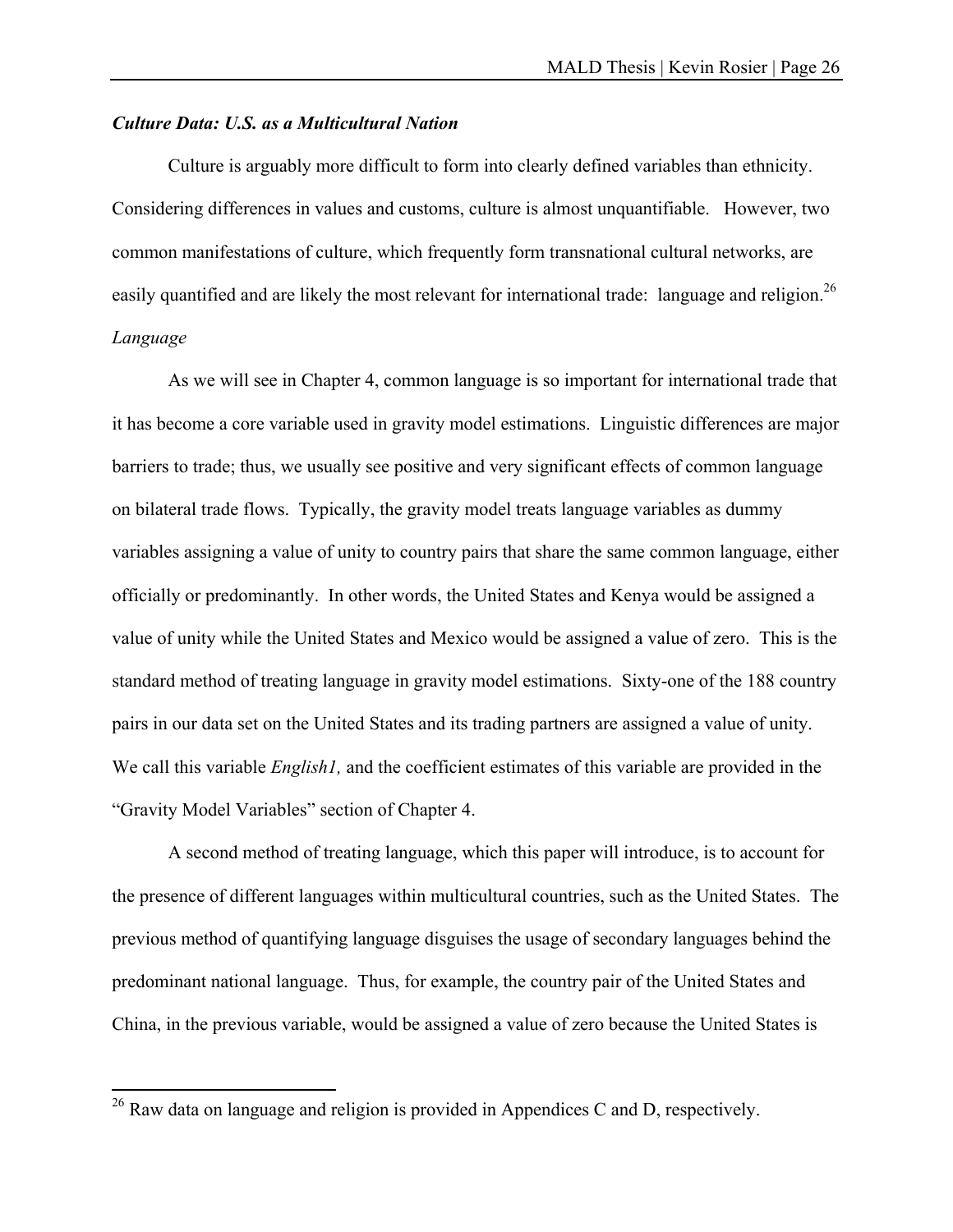### *Culture Data: U.S. as a Multicultural Nation*

 Culture is arguably more difficult to form into clearly defined variables than ethnicity. Considering differences in values and customs, culture is almost unquantifiable. However, two common manifestations of culture, which frequently form transnational cultural networks, are easily quantified and are likely the most relevant for international trade: language and religion.<sup>26</sup> *Language* 

As we will see in Chapter 4, common language is so important for international trade that it has become a core variable used in gravity model estimations. Linguistic differences are major barriers to trade; thus, we usually see positive and very significant effects of common language on bilateral trade flows. Typically, the gravity model treats language variables as dummy variables assigning a value of unity to country pairs that share the same common language, either officially or predominantly. In other words, the United States and Kenya would be assigned a value of unity while the United States and Mexico would be assigned a value of zero. This is the standard method of treating language in gravity model estimations. Sixty-one of the 188 country pairs in our data set on the United States and its trading partners are assigned a value of unity. We call this variable *English1*, and the coefficient estimates of this variable are provided in the "Gravity Model Variables" section of Chapter 4.

A second method of treating language, which this paper will introduce, is to account for the presence of different languages within multicultural countries, such as the United States. The previous method of quantifying language disguises the usage of secondary languages behind the predominant national language. Thus, for example, the country pair of the United States and China, in the previous variable, would be assigned a value of zero because the United States is

 $\overline{a}$ 

<sup>&</sup>lt;sup>26</sup> Raw data on language and religion is provided in Appendices C and D, respectively.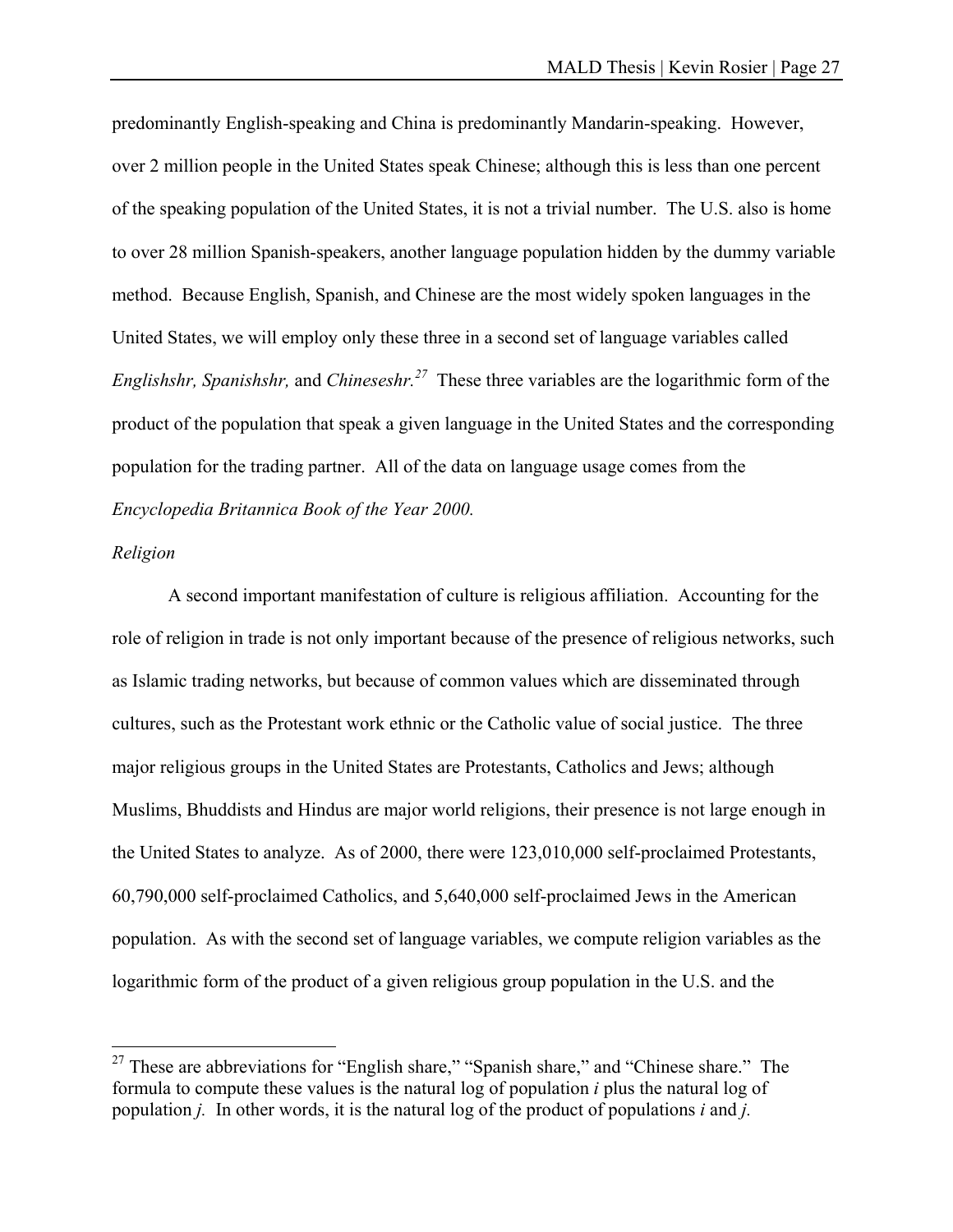predominantly English-speaking and China is predominantly Mandarin-speaking. However, over 2 million people in the United States speak Chinese; although this is less than one percent of the speaking population of the United States, it is not a trivial number. The U.S. also is home to over 28 million Spanish-speakers, another language population hidden by the dummy variable method. Because English, Spanish, and Chinese are the most widely spoken languages in the United States, we will employ only these three in a second set of language variables called *Englishshr, Spanishshr,* and *Chineseshr.27* These three variables are the logarithmic form of the product of the population that speak a given language in the United States and the corresponding population for the trading partner. All of the data on language usage comes from the *Encyclopedia Britannica Book of the Year 2000.* 

#### *Religion*

 $\overline{a}$ 

 A second important manifestation of culture is religious affiliation. Accounting for the role of religion in trade is not only important because of the presence of religious networks, such as Islamic trading networks, but because of common values which are disseminated through cultures, such as the Protestant work ethnic or the Catholic value of social justice. The three major religious groups in the United States are Protestants, Catholics and Jews; although Muslims, Bhuddists and Hindus are major world religions, their presence is not large enough in the United States to analyze. As of 2000, there were 123,010,000 self-proclaimed Protestants, 60,790,000 self-proclaimed Catholics, and 5,640,000 self-proclaimed Jews in the American population. As with the second set of language variables, we compute religion variables as the logarithmic form of the product of a given religious group population in the U.S. and the

 $27$  These are abbreviations for "English share," "Spanish share," and "Chinese share." The formula to compute these values is the natural log of population *i* plus the natural log of population *j.* In other words, it is the natural log of the product of populations *i* and *j.*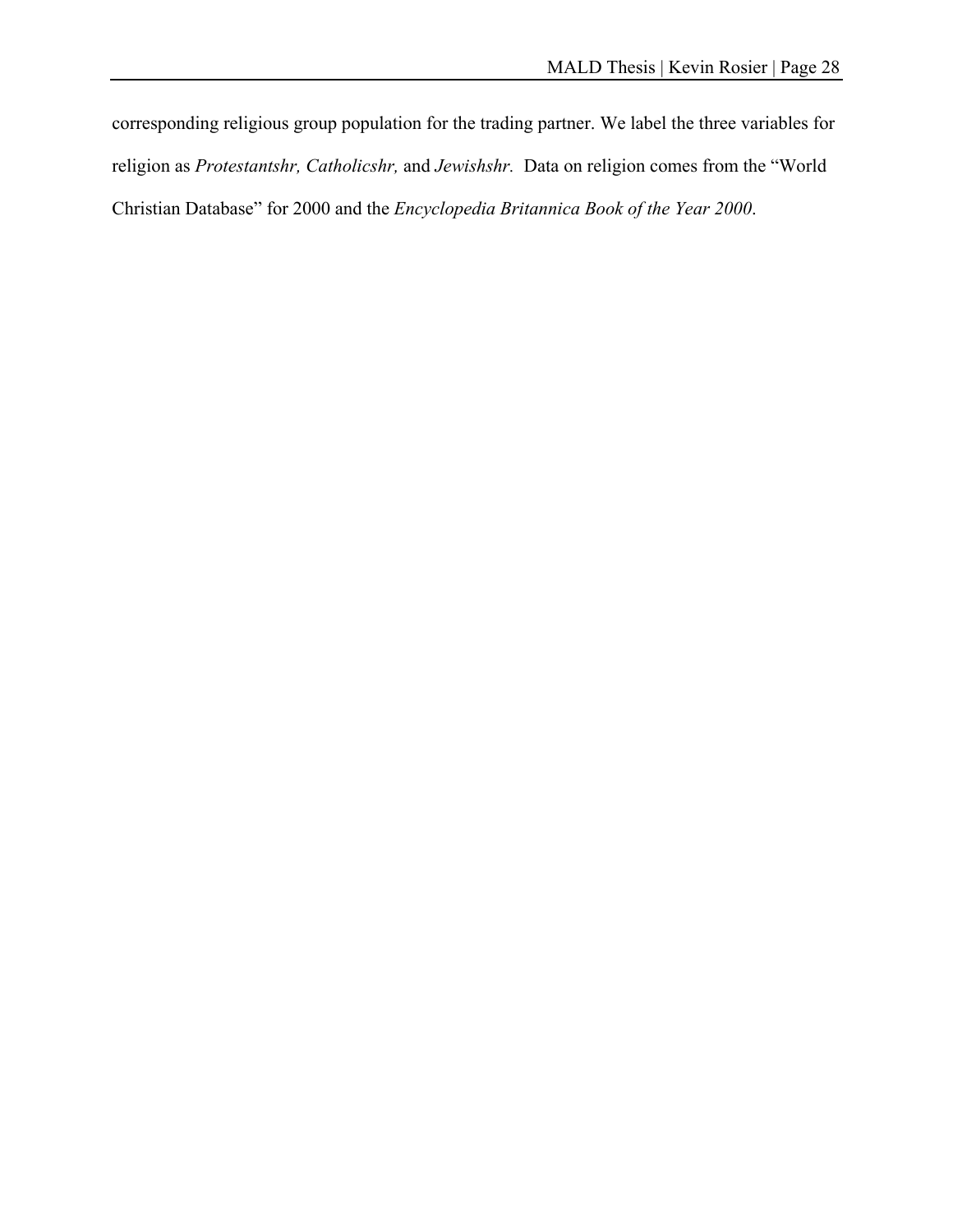corresponding religious group population for the trading partner. We label the three variables for religion as *Protestantshr, Catholicshr,* and *Jewishshr.* Data on religion comes from the "World Christian Database" for 2000 and the *Encyclopedia Britannica Book of the Year 2000*.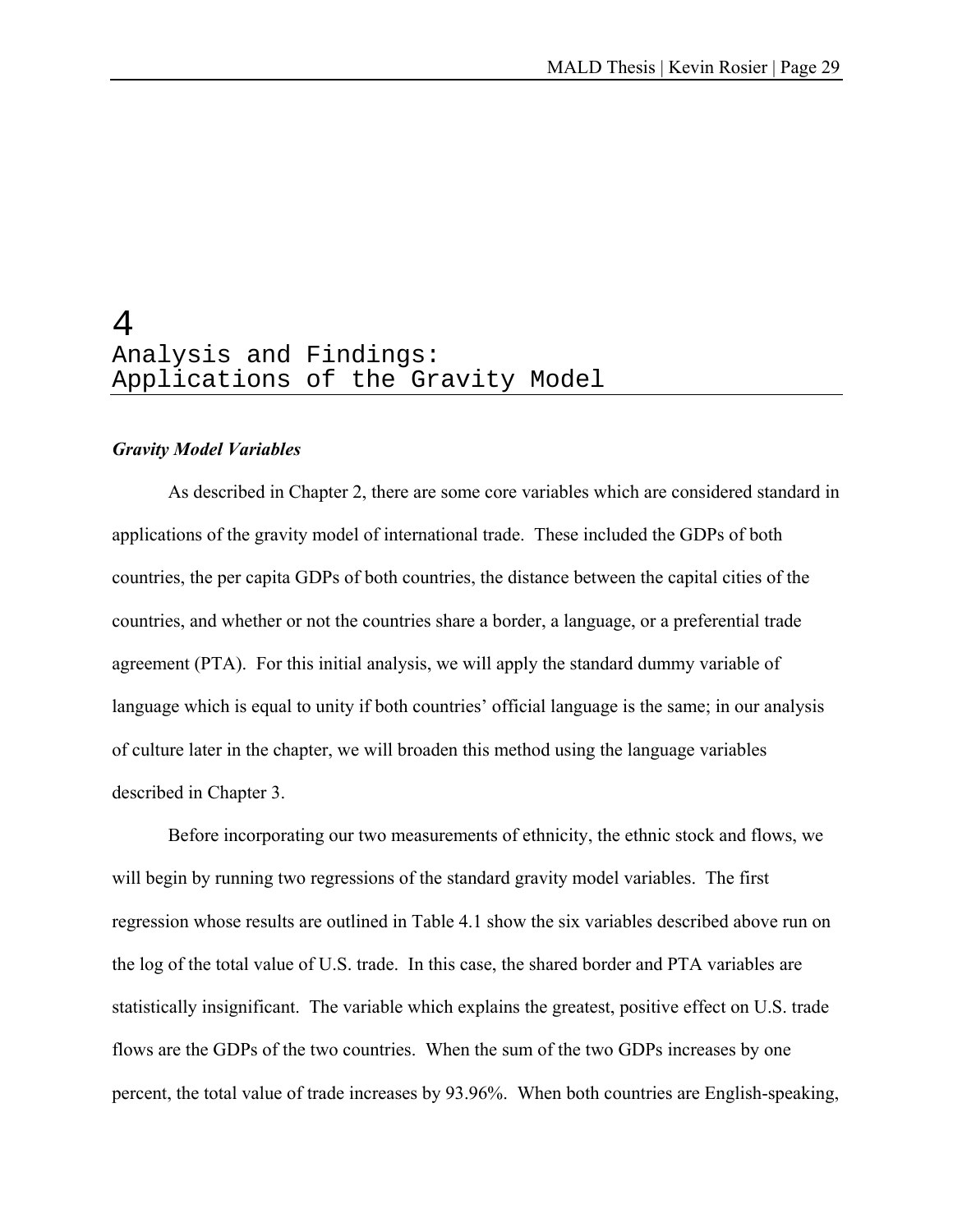# 4 Analysis and Findings: Applications of the Gravity Model

#### *Gravity Model Variables*

 As described in Chapter 2, there are some core variables which are considered standard in applications of the gravity model of international trade. These included the GDPs of both countries, the per capita GDPs of both countries, the distance between the capital cities of the countries, and whether or not the countries share a border, a language, or a preferential trade agreement (PTA). For this initial analysis, we will apply the standard dummy variable of language which is equal to unity if both countries' official language is the same; in our analysis of culture later in the chapter, we will broaden this method using the language variables described in Chapter 3.

 Before incorporating our two measurements of ethnicity, the ethnic stock and flows, we will begin by running two regressions of the standard gravity model variables. The first regression whose results are outlined in Table 4.1 show the six variables described above run on the log of the total value of U.S. trade. In this case, the shared border and PTA variables are statistically insignificant. The variable which explains the greatest, positive effect on U.S. trade flows are the GDPs of the two countries. When the sum of the two GDPs increases by one percent, the total value of trade increases by 93.96%. When both countries are English-speaking,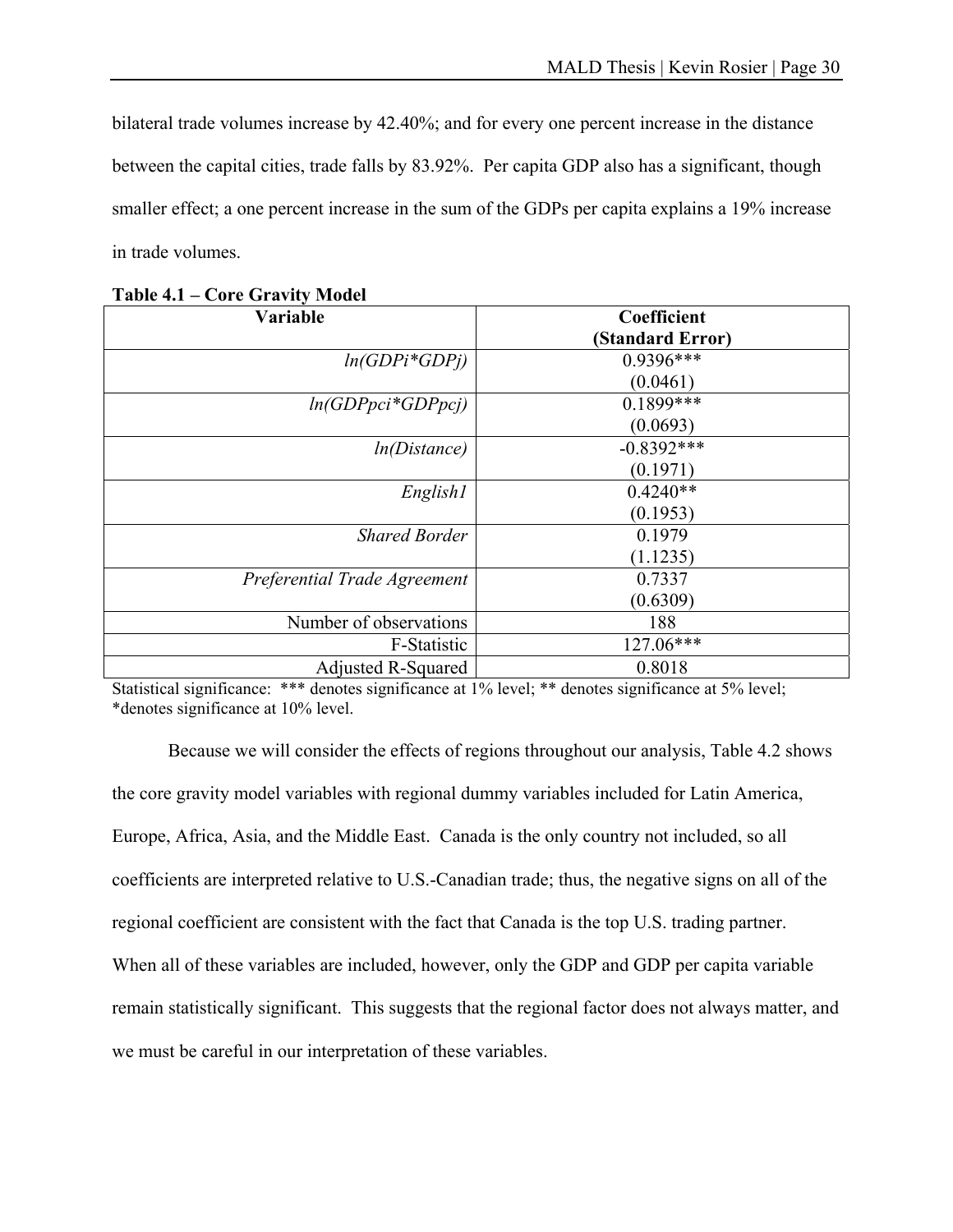bilateral trade volumes increase by 42.40%; and for every one percent increase in the distance between the capital cities, trade falls by 83.92%. Per capita GDP also has a significant, though smaller effect; a one percent increase in the sum of the GDPs per capita explains a 19% increase in trade volumes.

| Variable                     | Coefficient      |
|------------------------------|------------------|
|                              | (Standard Error) |
| $ln(GDPi*GDPj)$              | $0.9396***$      |
|                              | (0.0461)         |
| $ln(GDPpci*GDPpci)$          | $0.1899***$      |
|                              | (0.0693)         |
| ln(Distance)                 | $-0.8392***$     |
|                              | (0.1971)         |
| English1                     | $0.4240**$       |
|                              | (0.1953)         |
| <b>Shared Border</b>         | 0.1979           |
|                              | (1.1235)         |
| Preferential Trade Agreement | 0.7337           |
|                              | (0.6309)         |
| Number of observations       | 188              |
| F-Statistic                  | 127.06***        |
| <b>Adjusted R-Squared</b>    | 0.8018           |

**Table 4.1 – Core Gravity Model** 

Statistical significance: \*\*\* denotes significance at 1% level; \*\* denotes significance at 5% level; \*denotes significance at 10% level.

 Because we will consider the effects of regions throughout our analysis, Table 4.2 shows the core gravity model variables with regional dummy variables included for Latin America, Europe, Africa, Asia, and the Middle East. Canada is the only country not included, so all coefficients are interpreted relative to U.S.-Canadian trade; thus, the negative signs on all of the regional coefficient are consistent with the fact that Canada is the top U.S. trading partner. When all of these variables are included, however, only the GDP and GDP per capita variable remain statistically significant. This suggests that the regional factor does not always matter, and we must be careful in our interpretation of these variables.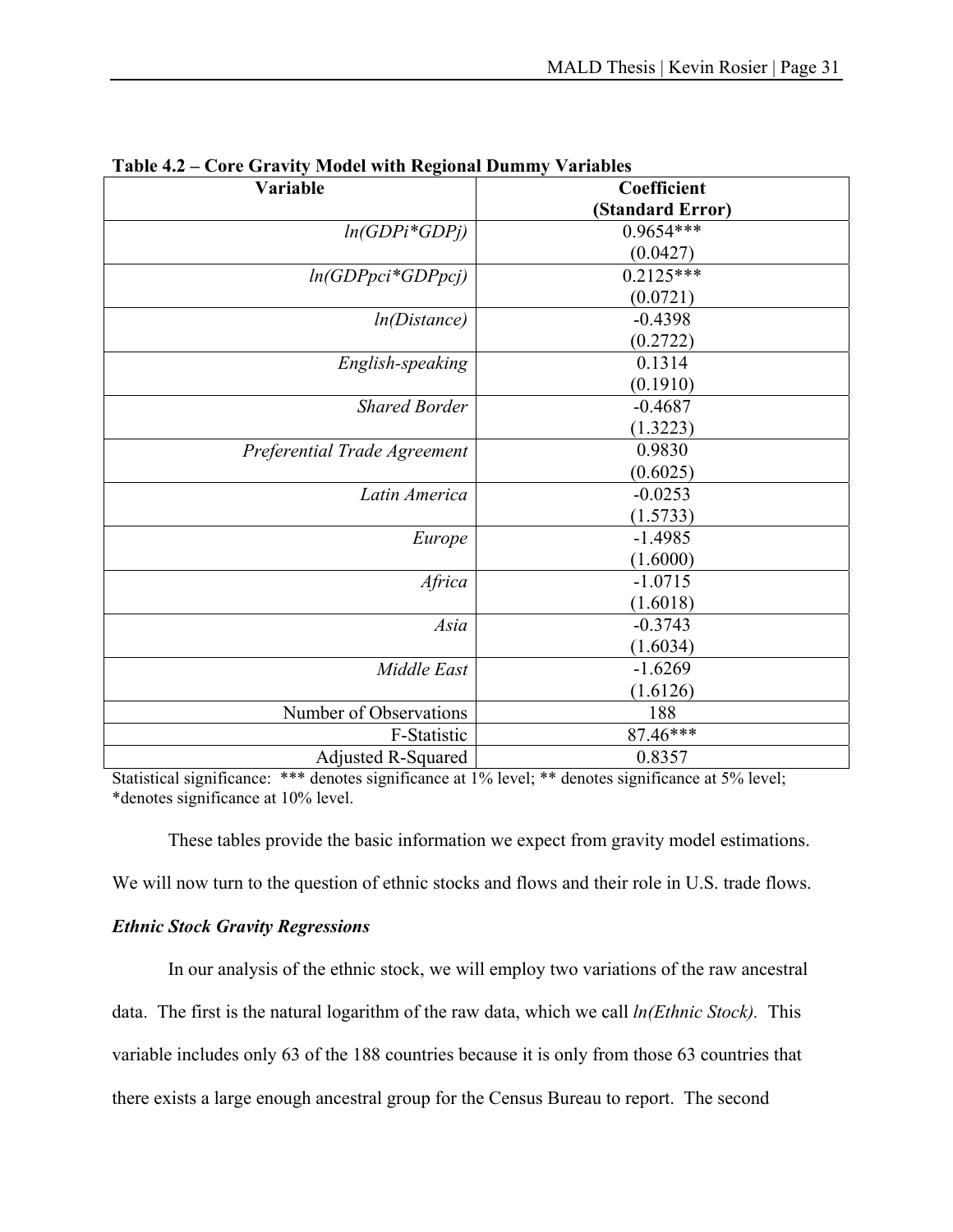| 1 U.VIV 102<br>Core Gravity Mouer with regional Dummy |                  |
|-------------------------------------------------------|------------------|
| Variable                                              | Coefficient      |
|                                                       | (Standard Error) |
| $ln(GDPi*GDPj)$                                       | 0.9654***        |
|                                                       | (0.0427)         |
| $ln(GDPpci*GDPpcj)$                                   | $0.2125***$      |
|                                                       | (0.0721)         |
| ln(Distance)                                          | $-0.4398$        |
|                                                       | (0.2722)         |
| English-speaking                                      | 0.1314           |
|                                                       | (0.1910)         |
| <b>Shared Border</b>                                  | $-0.4687$        |
|                                                       | (1.3223)         |
| Preferential Trade Agreement                          | 0.9830           |
|                                                       | (0.6025)         |
| Latin America                                         | $-0.0253$        |
|                                                       | (1.5733)         |
| Europe                                                | $-1.4985$        |
|                                                       | (1.6000)         |
| Africa                                                | $-1.0715$        |
|                                                       | (1.6018)         |
| Asia                                                  | $-0.3743$        |
|                                                       | (1.6034)         |
| Middle East                                           | $-1.6269$        |
|                                                       | (1.6126)         |
| Number of Observations                                | 188              |
| F-Statistic                                           | 87.46***         |
| <b>Adjusted R-Squared</b>                             | 0.8357           |

Statistical significance: \*\*\* denotes significance at 1% level; \*\* denotes significance at 5% level; \*denotes significance at 10% level.

These tables provide the basic information we expect from gravity model estimations.

We will now turn to the question of ethnic stocks and flows and their role in U.S. trade flows.

### *Ethnic Stock Gravity Regressions*

 In our analysis of the ethnic stock, we will employ two variations of the raw ancestral data. The first is the natural logarithm of the raw data, which we call *ln(Ethnic Stock).* This variable includes only 63 of the 188 countries because it is only from those 63 countries that there exists a large enough ancestral group for the Census Bureau to report. The second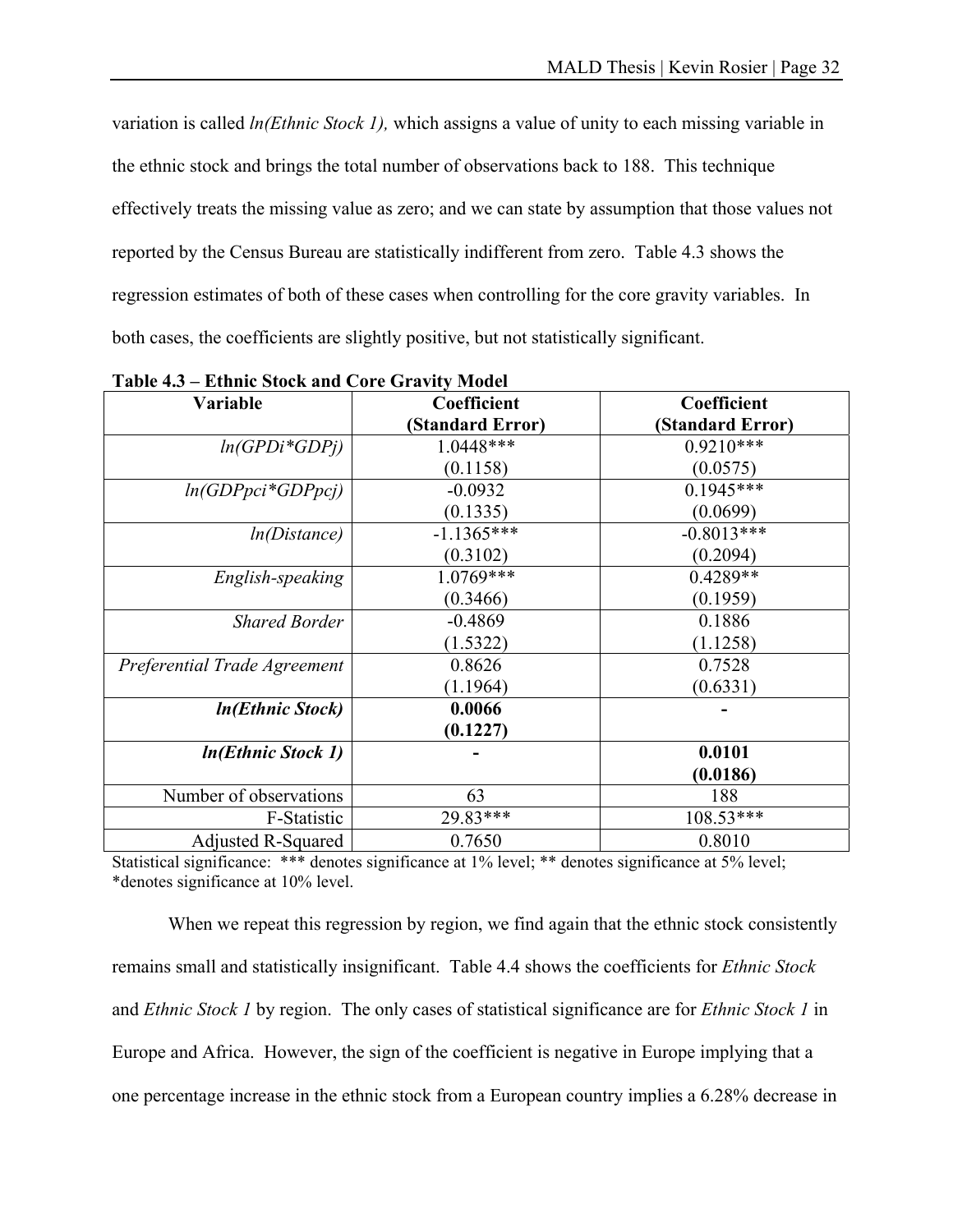variation is called *ln(Ethnic Stock 1),* which assigns a value of unity to each missing variable in the ethnic stock and brings the total number of observations back to 188. This technique effectively treats the missing value as zero; and we can state by assumption that those values not reported by the Census Bureau are statistically indifferent from zero. Table 4.3 shows the regression estimates of both of these cases when controlling for the core gravity variables. In both cases, the coefficients are slightly positive, but not statistically significant.

| 1 U.VIV 11V<br>Limme block and Core Gravity Model |                  |                  |
|---------------------------------------------------|------------------|------------------|
| Variable                                          | Coefficient      | Coefficient      |
|                                                   | (Standard Error) | (Standard Error) |
| $ln(GPDi*GDPi)$                                   | 1.0448***        | $0.9210***$      |
|                                                   | (0.1158)         | (0.0575)         |
| $ln(GDPpci*GDPpcj)$                               | $-0.0932$        | $0.1945***$      |
|                                                   | (0.1335)         | (0.0699)         |
| ln(Distance)                                      | $-1.1365***$     | $-0.8013***$     |
|                                                   | (0.3102)         | (0.2094)         |
| English-speaking                                  | 1.0769***        | $0.4289**$       |
|                                                   | (0.3466)         | (0.1959)         |
| <b>Shared Border</b>                              | $-0.4869$        | 0.1886           |
|                                                   | (1.5322)         | (1.1258)         |
| Preferential Trade Agreement                      | 0.8626           | 0.7528           |
|                                                   | (1.1964)         | (0.6331)         |
| <b>In(Ethnic Stock)</b>                           | 0.0066           |                  |
|                                                   | (0.1227)         |                  |
| <i>In(Ethnic Stock 1)</i>                         |                  | 0.0101           |
|                                                   |                  | (0.0186)         |
| Number of observations                            | 63               | 188              |
| F-Statistic                                       | 29.83***         | 108.53***        |
| Adjusted R-Squared                                | 0.7650           | 0.8010           |

**Table 4.3 – Ethnic Stock and Core Gravity Model** 

Statistical significance: \*\*\* denotes significance at 1% level; \*\* denotes significance at 5% level; \*denotes significance at 10% level.

When we repeat this regression by region, we find again that the ethnic stock consistently remains small and statistically insignificant. Table 4.4 shows the coefficients for *Ethnic Stock*  and *Ethnic Stock 1* by region. The only cases of statistical significance are for *Ethnic Stock 1* in Europe and Africa. However, the sign of the coefficient is negative in Europe implying that a one percentage increase in the ethnic stock from a European country implies a 6.28% decrease in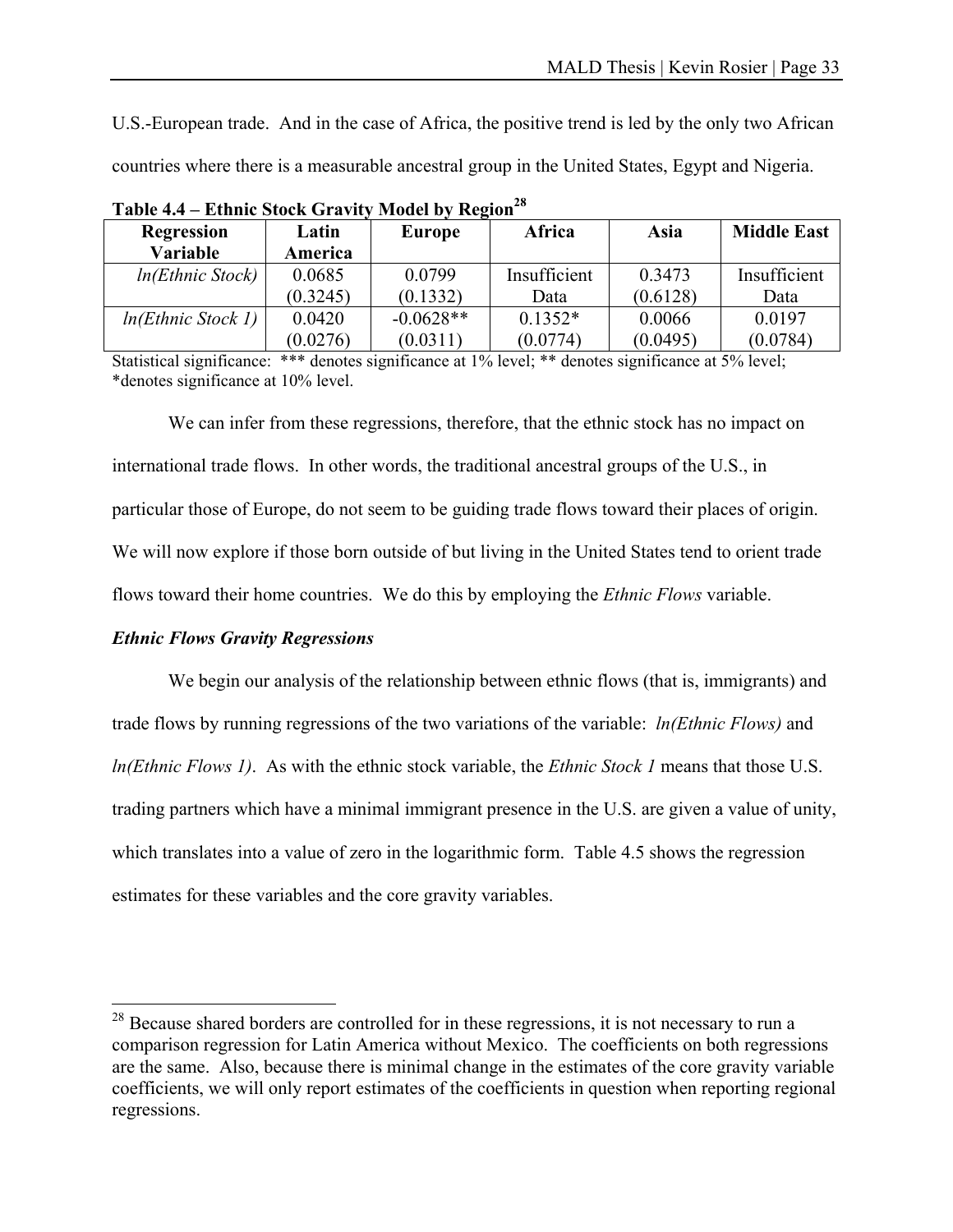U.S.-European trade. And in the case of Africa, the positive trend is led by the only two African countries where there is a measurable ancestral group in the United States, Egypt and Nigeria.

| $1.10$ and $0.71$ and $1.01$ |          |             |              |          |                    |
|------------------------------|----------|-------------|--------------|----------|--------------------|
| <b>Regression</b>            | Latin    | Europe      | Africa       | Asia     | <b>Middle East</b> |
| <b>Variable</b>              | America  |             |              |          |                    |
| ln(Ethnic Stock)             | 0.0685   | 0.0799      | Insufficient | 0.3473   | Insufficient       |
|                              | (0.3245) | (0.1332)    | Data         | (0.6128) | Data               |
| ln(Ethnic Stock 1)           | 0.0420   | $-0.0628**$ | $0.1352*$    | 0.0066   | 0.0197             |
|                              | (0.0276) | (0.0311)    | (0.0774)     | (0.0495) | (0.0784)           |

**Table 4.4 – Ethnic Stock Gravity Model by Region28**

Statistical significance: \*\*\* denotes significance at 1% level; \*\* denotes significance at 5% level; \*denotes significance at 10% level.

 We can infer from these regressions, therefore, that the ethnic stock has no impact on international trade flows. In other words, the traditional ancestral groups of the U.S., in particular those of Europe, do not seem to be guiding trade flows toward their places of origin. We will now explore if those born outside of but living in the United States tend to orient trade flows toward their home countries. We do this by employing the *Ethnic Flows* variable.

#### *Ethnic Flows Gravity Regressions*

 $\overline{a}$ 

We begin our analysis of the relationship between ethnic flows (that is, immigrants) and trade flows by running regressions of the two variations of the variable: *ln(Ethnic Flows)* and *ln(Ethnic Flows 1)*. As with the ethnic stock variable, the *Ethnic Stock 1* means that those U.S. trading partners which have a minimal immigrant presence in the U.S. are given a value of unity, which translates into a value of zero in the logarithmic form. Table 4.5 shows the regression estimates for these variables and the core gravity variables.

 $28$  Because shared borders are controlled for in these regressions, it is not necessary to run a comparison regression for Latin America without Mexico. The coefficients on both regressions are the same. Also, because there is minimal change in the estimates of the core gravity variable coefficients, we will only report estimates of the coefficients in question when reporting regional regressions.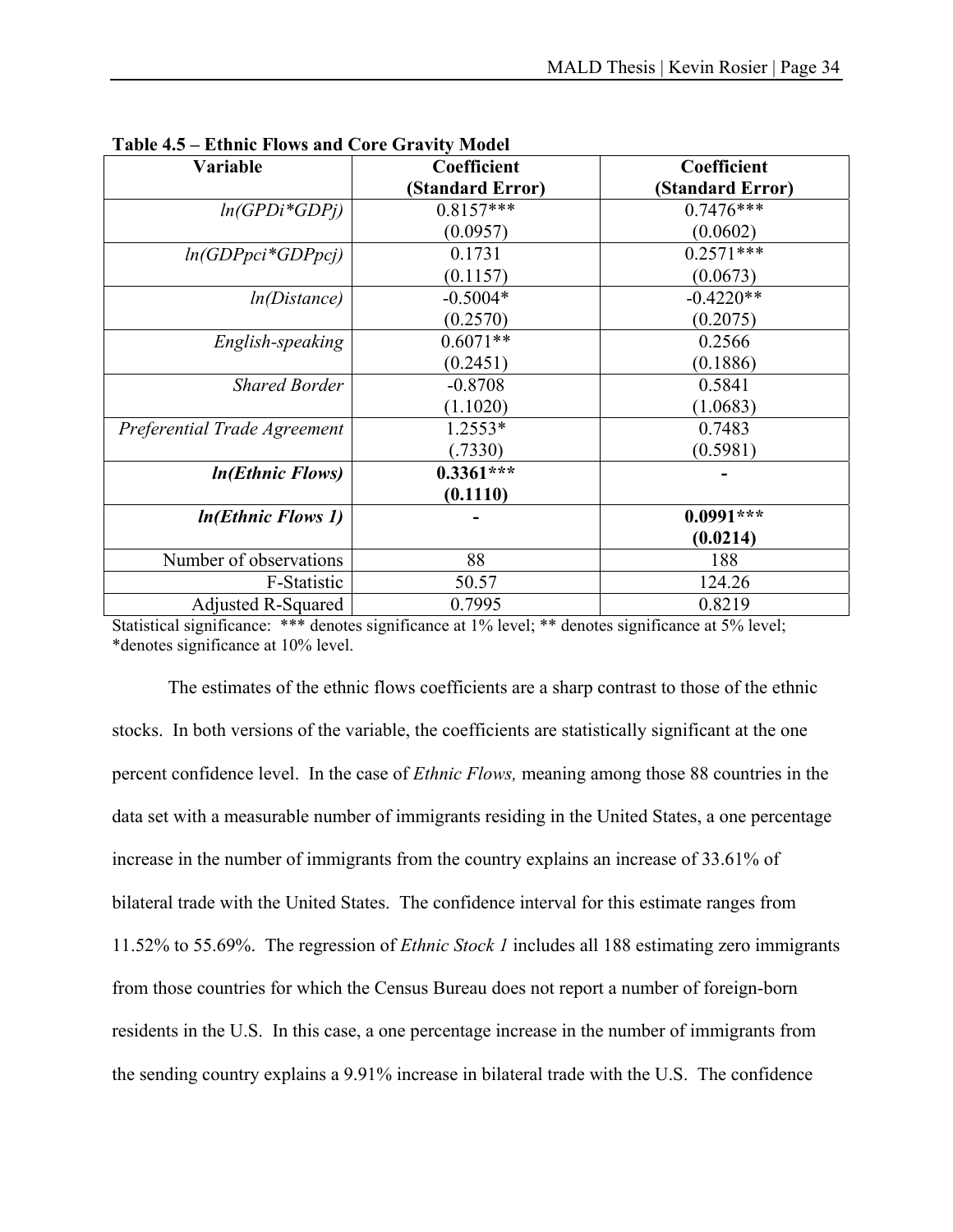| Variable                     | Coefficient      | Coefficient      |
|------------------------------|------------------|------------------|
|                              | (Standard Error) | (Standard Error) |
| $ln(GPDi*GDPi)$              | $0.8157***$      | $0.7476***$      |
|                              | (0.0957)         | (0.0602)         |
| $ln(GDPpci*GDPpci)$          | 0.1731           | $0.2571***$      |
|                              | (0.1157)         | (0.0673)         |
| ln(Distance)                 | $-0.5004*$       | $-0.4220**$      |
|                              | (0.2570)         | (0.2075)         |
| English-speaking             | $0.6071**$       | 0.2566           |
|                              | (0.2451)         | (0.1886)         |
| <b>Shared Border</b>         | $-0.8708$        | 0.5841           |
|                              | (1.1020)         | (1.0683)         |
| Preferential Trade Agreement | $1.2553*$        | 0.7483           |
|                              | (.7330)          | (0.5981)         |
| <i>In(Ethnic Flows)</i>      | $0.3361***$      |                  |
|                              | (0.1110)         |                  |
| <b>In(Ethnic Flows 1)</b>    |                  | $0.0991***$      |
|                              |                  | (0.0214)         |
| Number of observations       | 88               | 188              |
| F-Statistic                  | 50.57            | 124.26           |
| Adjusted R-Squared           | 0.7995           | 0.8219           |

**Table 4.5 – Ethnic Flows and Core Gravity Model** 

Statistical significance: \*\*\* denotes significance at 1% level; \*\* denotes significance at 5% level; \*denotes significance at 10% level.

 The estimates of the ethnic flows coefficients are a sharp contrast to those of the ethnic stocks. In both versions of the variable, the coefficients are statistically significant at the one percent confidence level. In the case of *Ethnic Flows,* meaning among those 88 countries in the data set with a measurable number of immigrants residing in the United States, a one percentage increase in the number of immigrants from the country explains an increase of 33.61% of bilateral trade with the United States. The confidence interval for this estimate ranges from 11.52% to 55.69%. The regression of *Ethnic Stock 1* includes all 188 estimating zero immigrants from those countries for which the Census Bureau does not report a number of foreign-born residents in the U.S. In this case, a one percentage increase in the number of immigrants from the sending country explains a 9.91% increase in bilateral trade with the U.S. The confidence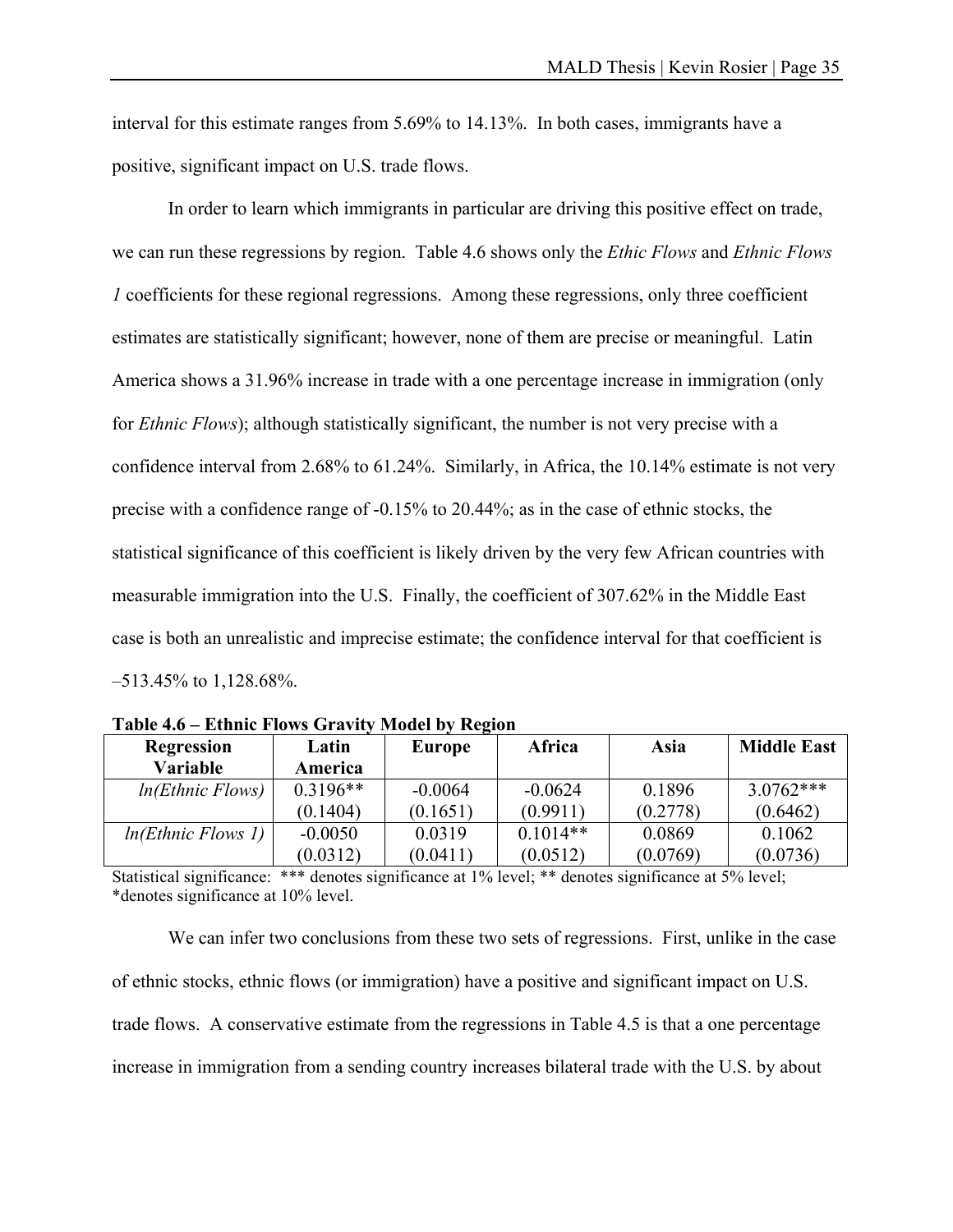interval for this estimate ranges from 5.69% to 14.13%. In both cases, immigrants have a positive, significant impact on U.S. trade flows.

 In order to learn which immigrants in particular are driving this positive effect on trade, we can run these regressions by region. Table 4.6 shows only the *Ethic Flows* and *Ethnic Flows 1* coefficients for these regional regressions. Among these regressions, only three coefficient estimates are statistically significant; however, none of them are precise or meaningful. Latin America shows a 31.96% increase in trade with a one percentage increase in immigration (only for *Ethnic Flows*); although statistically significant, the number is not very precise with a confidence interval from 2.68% to 61.24%. Similarly, in Africa, the 10.14% estimate is not very precise with a confidence range of -0.15% to 20.44%; as in the case of ethnic stocks, the statistical significance of this coefficient is likely driven by the very few African countries with measurable immigration into the U.S. Finally, the coefficient of 307.62% in the Middle East case is both an unrealistic and imprecise estimate; the confidence interval for that coefficient is –513.45% to 1,128.68%.

| <b>Regression</b>  | Latin      | <b>Europe</b> | Africa     | Asia     | <b>Middle East</b> |
|--------------------|------------|---------------|------------|----------|--------------------|
| <b>Variable</b>    | America    |               |            |          |                    |
| ln(Ethnic Flows)   | $0.3196**$ | $-0.0064$     | $-0.0624$  | 0.1896   | $3.0762***$        |
|                    | (0.1404)   | (0.1651)      | (0.9911)   | (0.2778) | (0.6462)           |
| ln(Ethnic Flows 1) | $-0.0050$  | 0.0319        | $0.1014**$ | 0.0869   | 0.1062             |
|                    | (0.0312)   | (0.0411)      | (0.0512)   | (0.0769) | (0.0736)           |

**Table 4.6 – Ethnic Flows Gravity Model by Region** 

Statistical significance: \*\*\* denotes significance at 1% level; \*\* denotes significance at 5% level; \*denotes significance at 10% level.

 We can infer two conclusions from these two sets of regressions. First, unlike in the case of ethnic stocks, ethnic flows (or immigration) have a positive and significant impact on U.S. trade flows. A conservative estimate from the regressions in Table 4.5 is that a one percentage increase in immigration from a sending country increases bilateral trade with the U.S. by about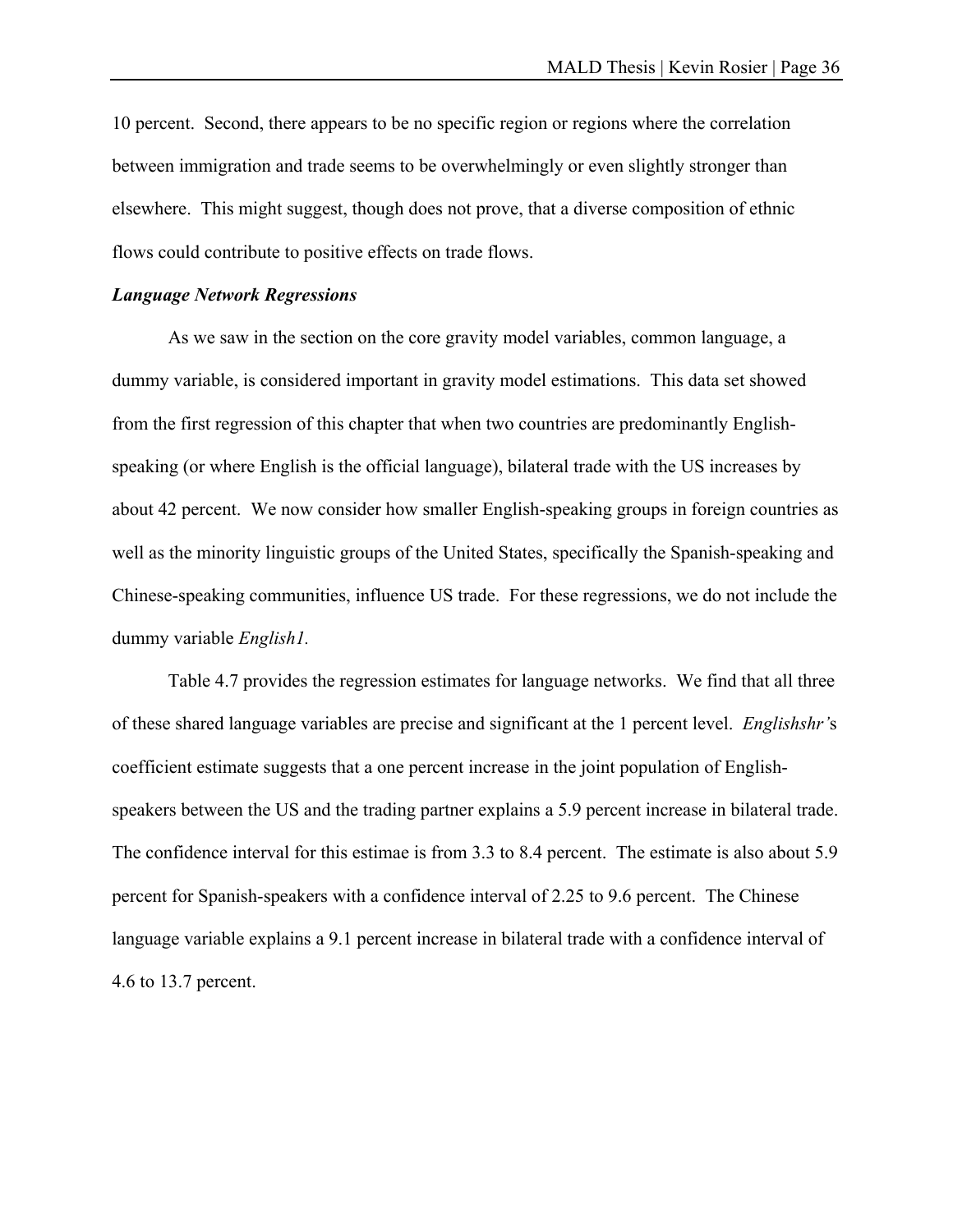10 percent. Second, there appears to be no specific region or regions where the correlation between immigration and trade seems to be overwhelmingly or even slightly stronger than elsewhere. This might suggest, though does not prove, that a diverse composition of ethnic flows could contribute to positive effects on trade flows.

#### *Language Network Regressions*

 As we saw in the section on the core gravity model variables, common language, a dummy variable, is considered important in gravity model estimations. This data set showed from the first regression of this chapter that when two countries are predominantly Englishspeaking (or where English is the official language), bilateral trade with the US increases by about 42 percent. We now consider how smaller English-speaking groups in foreign countries as well as the minority linguistic groups of the United States, specifically the Spanish-speaking and Chinese-speaking communities, influence US trade. For these regressions, we do not include the dummy variable *English1.* 

Table 4.7 provides the regression estimates for language networks. We find that all three of these shared language variables are precise and significant at the 1 percent level. *Englishshr'*s coefficient estimate suggests that a one percent increase in the joint population of Englishspeakers between the US and the trading partner explains a 5.9 percent increase in bilateral trade. The confidence interval for this estimae is from 3.3 to 8.4 percent. The estimate is also about 5.9 percent for Spanish-speakers with a confidence interval of 2.25 to 9.6 percent. The Chinese language variable explains a 9.1 percent increase in bilateral trade with a confidence interval of 4.6 to 13.7 percent.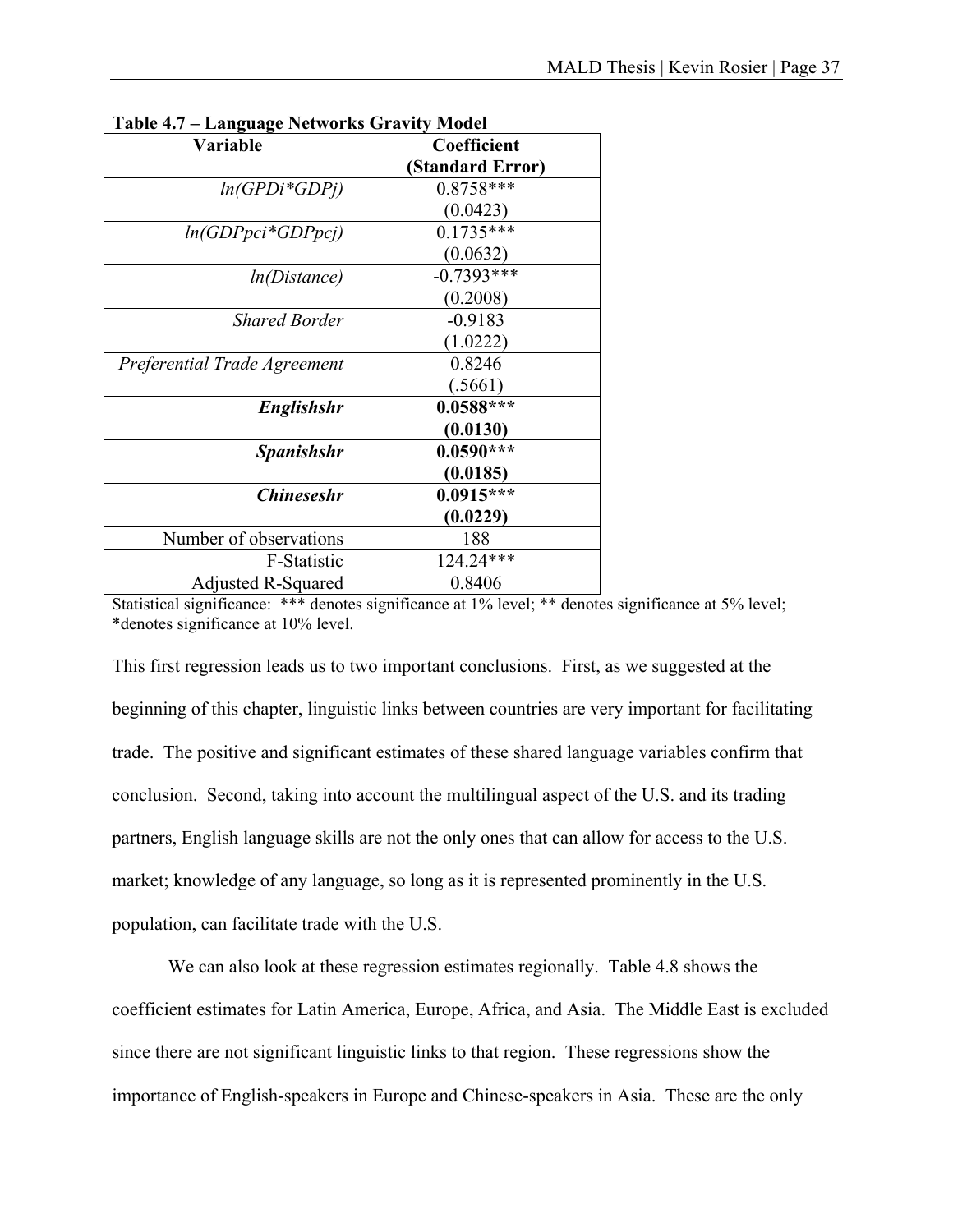| Europauge Fietherne Grunny Mouen |                  |
|----------------------------------|------------------|
| <b>Variable</b>                  | Coefficient      |
|                                  | (Standard Error) |
| $ln(GPDi*GDPj)$                  | 0.8758***        |
|                                  | (0.0423)         |
| $ln(GDPpci*GDPpci)$              | $0.1735***$      |
|                                  | (0.0632)         |
| ln(Distance)                     | $-0.7393***$     |
|                                  | (0.2008)         |
| <b>Shared Border</b>             | $-0.9183$        |
|                                  | (1.0222)         |
| Preferential Trade Agreement     | 0.8246           |
|                                  | (.5661)          |
| <b>Englishshr</b>                | $0.0588***$      |
|                                  | (0.0130)         |
| <b>Spanishshr</b>                | $0.0590***$      |
|                                  | (0.0185)         |
| <b>Chineseshr</b>                | $0.0915***$      |
|                                  | (0.0229)         |
| Number of observations           | 188              |
| F-Statistic                      | 124.24***        |
| Adjusted R-Squared               | 0.8406           |

**Table 4.7 – Language Networks Gravity Model** 

Statistical significance: \*\*\* denotes significance at 1% level; \*\* denotes significance at 5% level; \*denotes significance at 10% level.

This first regression leads us to two important conclusions. First, as we suggested at the beginning of this chapter, linguistic links between countries are very important for facilitating trade. The positive and significant estimates of these shared language variables confirm that conclusion. Second, taking into account the multilingual aspect of the U.S. and its trading partners, English language skills are not the only ones that can allow for access to the U.S. market; knowledge of any language, so long as it is represented prominently in the U.S. population, can facilitate trade with the U.S.

 We can also look at these regression estimates regionally. Table 4.8 shows the coefficient estimates for Latin America, Europe, Africa, and Asia. The Middle East is excluded since there are not significant linguistic links to that region. These regressions show the importance of English-speakers in Europe and Chinese-speakers in Asia. These are the only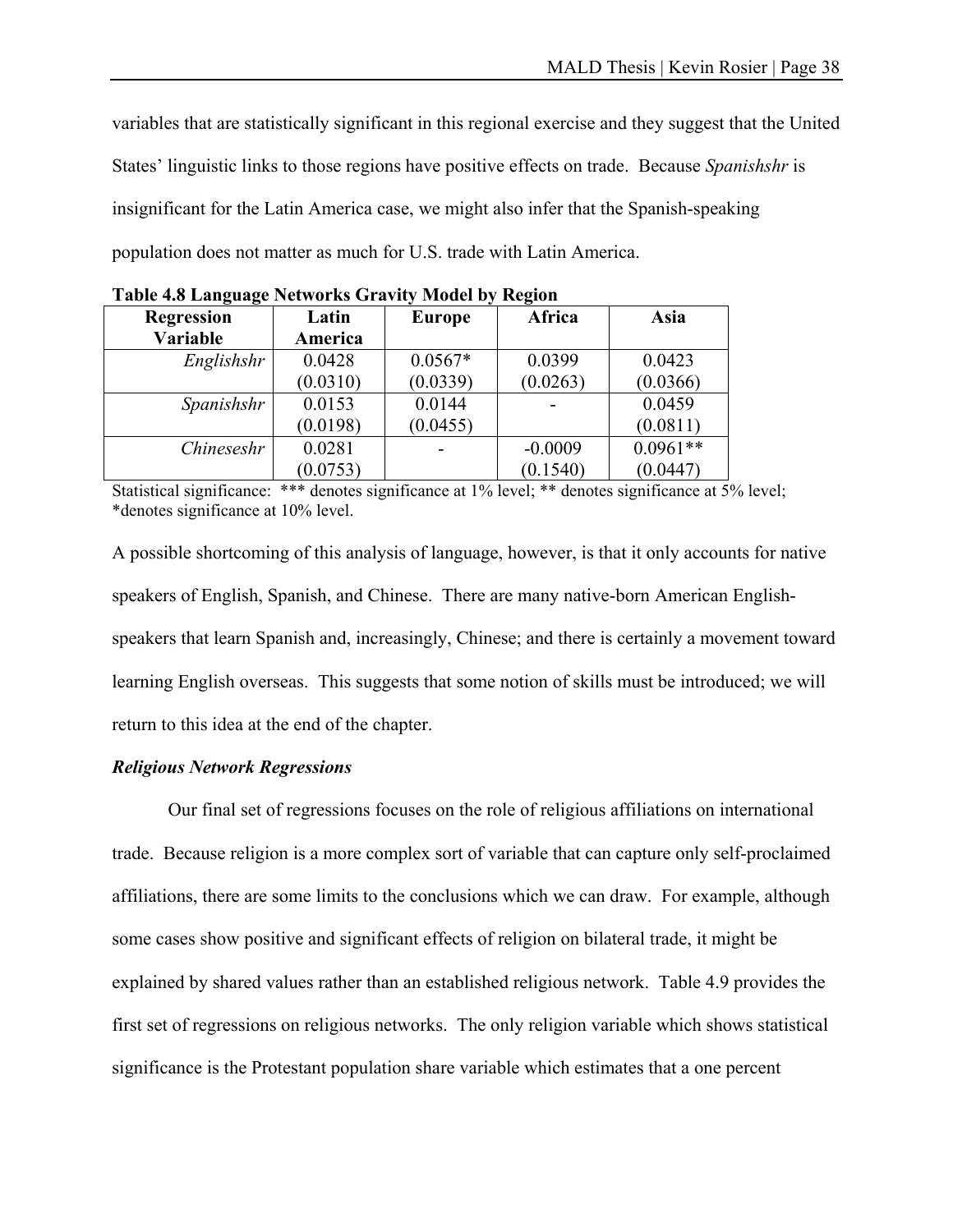variables that are statistically significant in this regional exercise and they suggest that the United States' linguistic links to those regions have positive effects on trade. Because *Spanishshr* is insignificant for the Latin America case, we might also infer that the Spanish-speaking population does not matter as much for U.S. trade with Latin America.

| <b>Regression</b> | Latin    | <b>Europe</b> | Africa    | Asia       |
|-------------------|----------|---------------|-----------|------------|
| Variable          | America  |               |           |            |
| Englishshr        | 0.0428   | $0.0567*$     | 0.0399    | 0.0423     |
|                   | (0.0310) | (0.0339)      | (0.0263)  | (0.0366)   |
| Spanishshr        | 0.0153   | 0.0144        |           | 0.0459     |
|                   | (0.0198) | (0.0455)      |           | (0.0811)   |
| Chineseshr        | 0.0281   |               | $-0.0009$ | $0.0961**$ |
|                   | (0.0753) |               | (0.1540)  | (0.0447)   |

**Table 4.8 Language Networks Gravity Model by Region** 

Statistical significance: \*\*\* denotes significance at 1% level; \*\* denotes significance at 5% level; \*denotes significance at 10% level.

A possible shortcoming of this analysis of language, however, is that it only accounts for native speakers of English, Spanish, and Chinese. There are many native-born American Englishspeakers that learn Spanish and, increasingly, Chinese; and there is certainly a movement toward learning English overseas. This suggests that some notion of skills must be introduced; we will return to this idea at the end of the chapter.

#### *Religious Network Regressions*

 Our final set of regressions focuses on the role of religious affiliations on international trade. Because religion is a more complex sort of variable that can capture only self-proclaimed affiliations, there are some limits to the conclusions which we can draw. For example, although some cases show positive and significant effects of religion on bilateral trade, it might be explained by shared values rather than an established religious network. Table 4.9 provides the first set of regressions on religious networks. The only religion variable which shows statistical significance is the Protestant population share variable which estimates that a one percent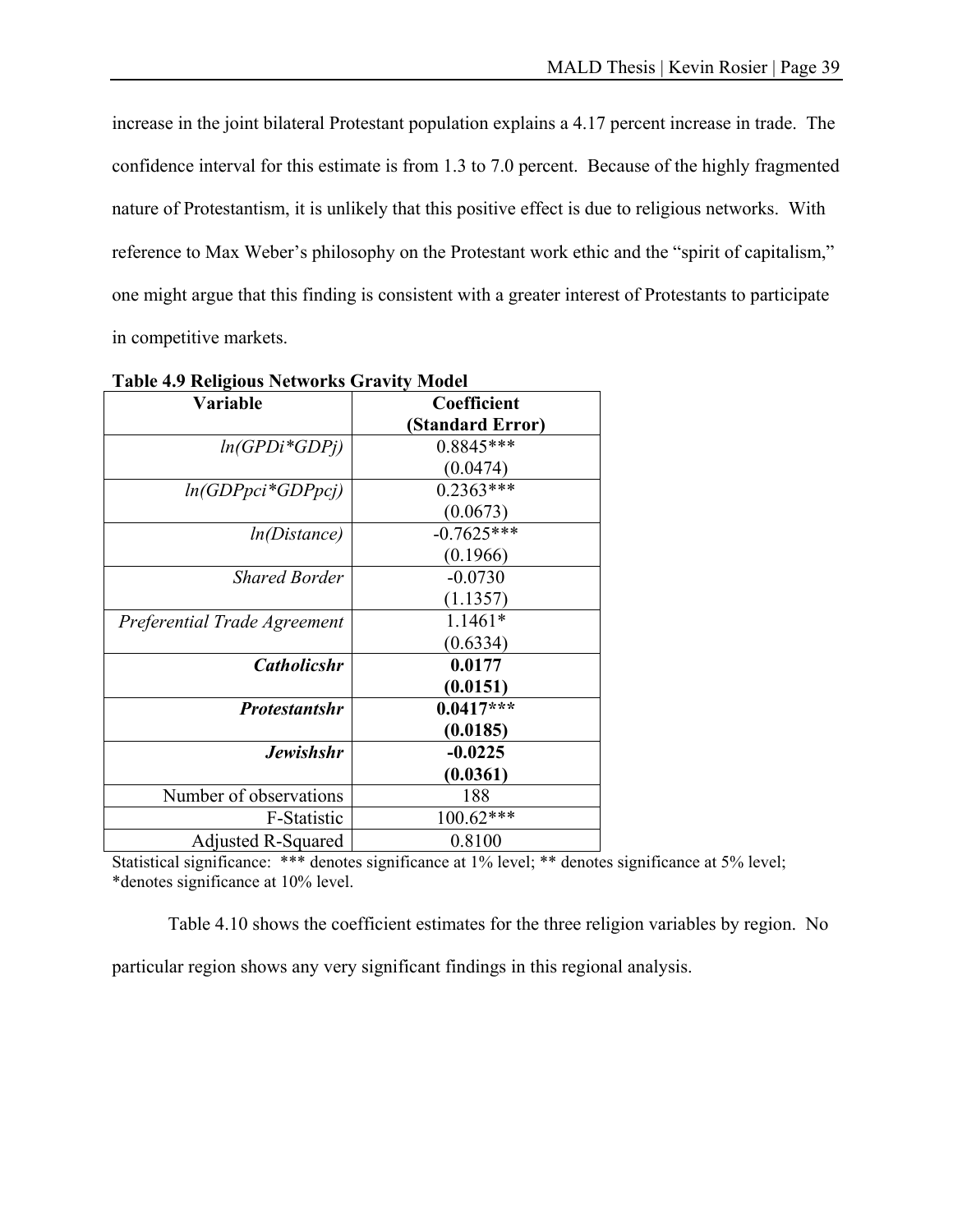increase in the joint bilateral Protestant population explains a 4.17 percent increase in trade. The confidence interval for this estimate is from 1.3 to 7.0 percent. Because of the highly fragmented nature of Protestantism, it is unlikely that this positive effect is due to religious networks. With reference to Max Weber's philosophy on the Protestant work ethic and the "spirit of capitalism," one might argue that this finding is consistent with a greater interest of Protestants to participate in competitive markets.

| raone no nemproas recovorno Gravicy |                  |  |  |
|-------------------------------------|------------------|--|--|
| Variable                            | Coefficient      |  |  |
|                                     | (Standard Error) |  |  |
| $ln(GPDi*GDPj)$                     | $0.8845***$      |  |  |
|                                     | (0.0474)         |  |  |
| $ln(GDPpci*GDPpcj)$                 | $0.2363***$      |  |  |
|                                     | (0.0673)         |  |  |
| ln(Distance)                        | $-0.7625***$     |  |  |
|                                     | (0.1966)         |  |  |
| <b>Shared Border</b>                | $-0.0730$        |  |  |
|                                     | (1.1357)         |  |  |
| Preferential Trade Agreement        | $1.1461*$        |  |  |
|                                     | (0.6334)         |  |  |
| <b>Catholicshr</b>                  | 0.0177           |  |  |
|                                     | (0.0151)         |  |  |
| <b>Protestantshr</b>                | $0.0417***$      |  |  |
|                                     | (0.0185)         |  |  |
| <b>Jewishshr</b>                    | $-0.0225$        |  |  |
|                                     | (0.0361)         |  |  |
| Number of observations              | 188              |  |  |
| F-Statistic                         | $100.62***$      |  |  |
| Adjusted R-Squared                  | 0.8100           |  |  |

**Table 4.9 Religious Networks Gravity Model** 

Statistical significance: \*\*\* denotes significance at 1% level; \*\* denotes significance at 5% level; \*denotes significance at 10% level.

Table 4.10 shows the coefficient estimates for the three religion variables by region. No

particular region shows any very significant findings in this regional analysis.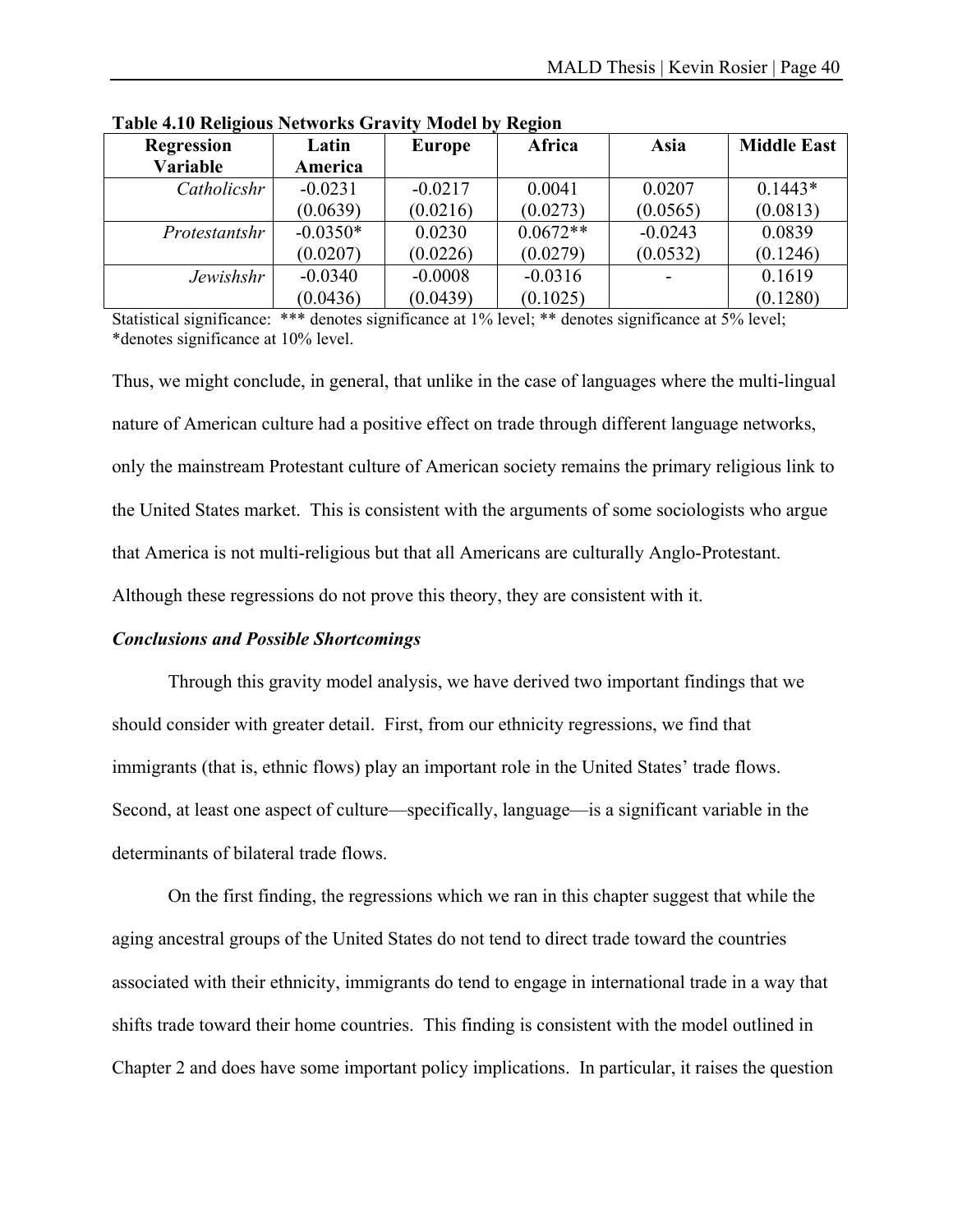| $\overline{ }$<br><b>Regression</b> | Latin      | <b>Europe</b> | -<br>Africa | Asia      | <b>Middle East</b> |
|-------------------------------------|------------|---------------|-------------|-----------|--------------------|
| Variable                            | America    |               |             |           |                    |
| Catholicshr                         | $-0.0231$  | $-0.0217$     | 0.0041      | 0.0207    | $0.1443*$          |
|                                     | (0.0639)   | (0.0216)      | (0.0273)    | (0.0565)  | (0.0813)           |
| Protestantshr                       | $-0.0350*$ | 0.0230        | $0.0672**$  | $-0.0243$ | 0.0839             |
|                                     | (0.0207)   | (0.0226)      | (0.0279)    | (0.0532)  | (0.1246)           |
| Jewishshr                           | $-0.0340$  | $-0.0008$     | $-0.0316$   |           | 0.1619             |
|                                     | (0.0436)   | (0.0439)      | (0.1025)    |           | (0.1280)           |

**Table 4.10 Religious Networks Gravity Model by Region** 

Statistical significance: \*\*\* denotes significance at 1% level; \*\* denotes significance at 5% level; \*denotes significance at 10% level.

Thus, we might conclude, in general, that unlike in the case of languages where the multi-lingual nature of American culture had a positive effect on trade through different language networks, only the mainstream Protestant culture of American society remains the primary religious link to the United States market. This is consistent with the arguments of some sociologists who argue that America is not multi-religious but that all Americans are culturally Anglo-Protestant. Although these regressions do not prove this theory, they are consistent with it.

#### *Conclusions and Possible Shortcomings*

 Through this gravity model analysis, we have derived two important findings that we should consider with greater detail. First, from our ethnicity regressions, we find that immigrants (that is, ethnic flows) play an important role in the United States' trade flows. Second, at least one aspect of culture—specifically, language—is a significant variable in the determinants of bilateral trade flows.

 On the first finding, the regressions which we ran in this chapter suggest that while the aging ancestral groups of the United States do not tend to direct trade toward the countries associated with their ethnicity, immigrants do tend to engage in international trade in a way that shifts trade toward their home countries. This finding is consistent with the model outlined in Chapter 2 and does have some important policy implications. In particular, it raises the question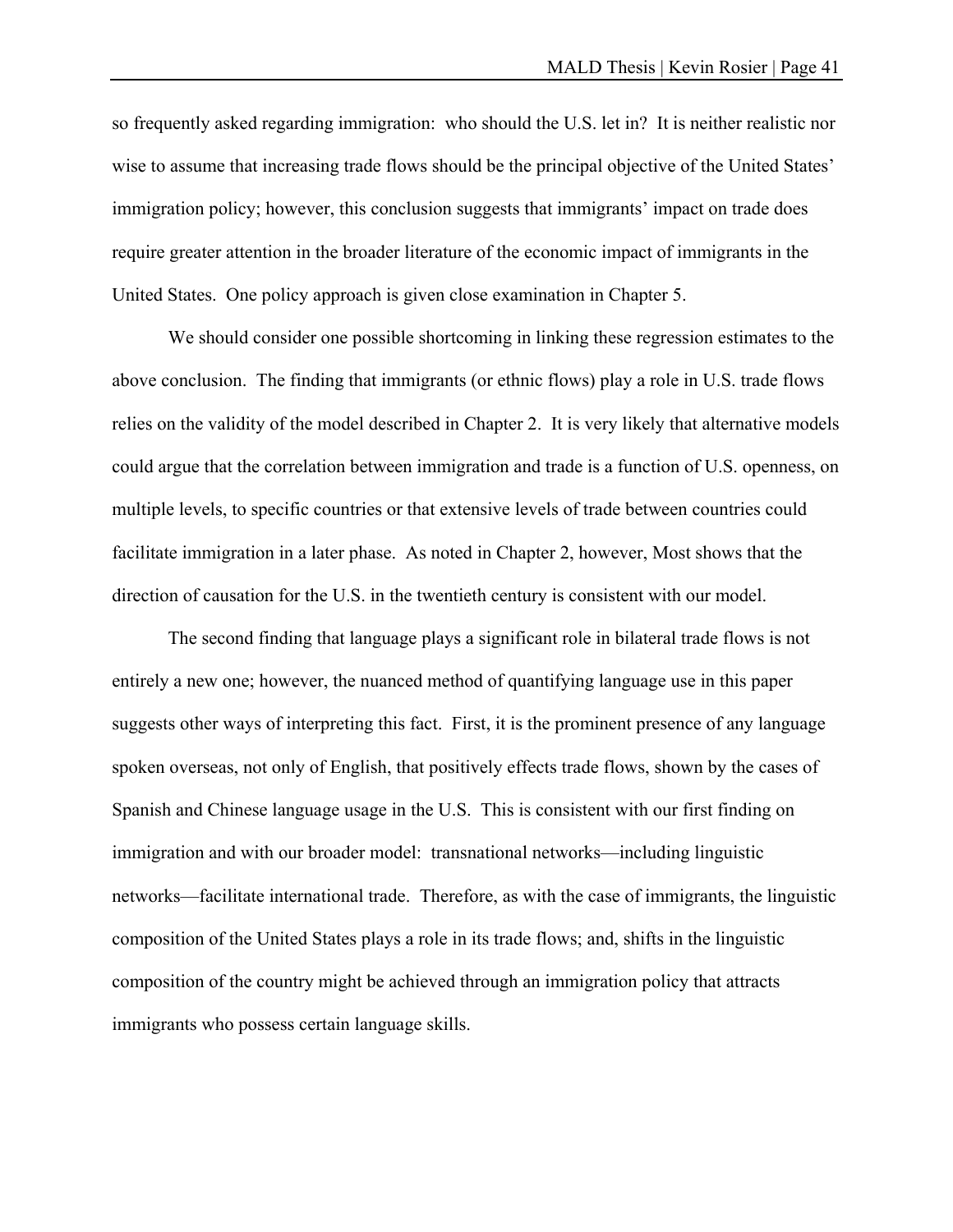so frequently asked regarding immigration: who should the U.S. let in? It is neither realistic nor wise to assume that increasing trade flows should be the principal objective of the United States' immigration policy; however, this conclusion suggests that immigrants' impact on trade does require greater attention in the broader literature of the economic impact of immigrants in the United States. One policy approach is given close examination in Chapter 5.

 We should consider one possible shortcoming in linking these regression estimates to the above conclusion. The finding that immigrants (or ethnic flows) play a role in U.S. trade flows relies on the validity of the model described in Chapter 2. It is very likely that alternative models could argue that the correlation between immigration and trade is a function of U.S. openness, on multiple levels, to specific countries or that extensive levels of trade between countries could facilitate immigration in a later phase. As noted in Chapter 2, however, Most shows that the direction of causation for the U.S. in the twentieth century is consistent with our model.

 The second finding that language plays a significant role in bilateral trade flows is not entirely a new one; however, the nuanced method of quantifying language use in this paper suggests other ways of interpreting this fact. First, it is the prominent presence of any language spoken overseas, not only of English, that positively effects trade flows, shown by the cases of Spanish and Chinese language usage in the U.S. This is consistent with our first finding on immigration and with our broader model: transnational networks—including linguistic networks—facilitate international trade. Therefore, as with the case of immigrants, the linguistic composition of the United States plays a role in its trade flows; and, shifts in the linguistic composition of the country might be achieved through an immigration policy that attracts immigrants who possess certain language skills.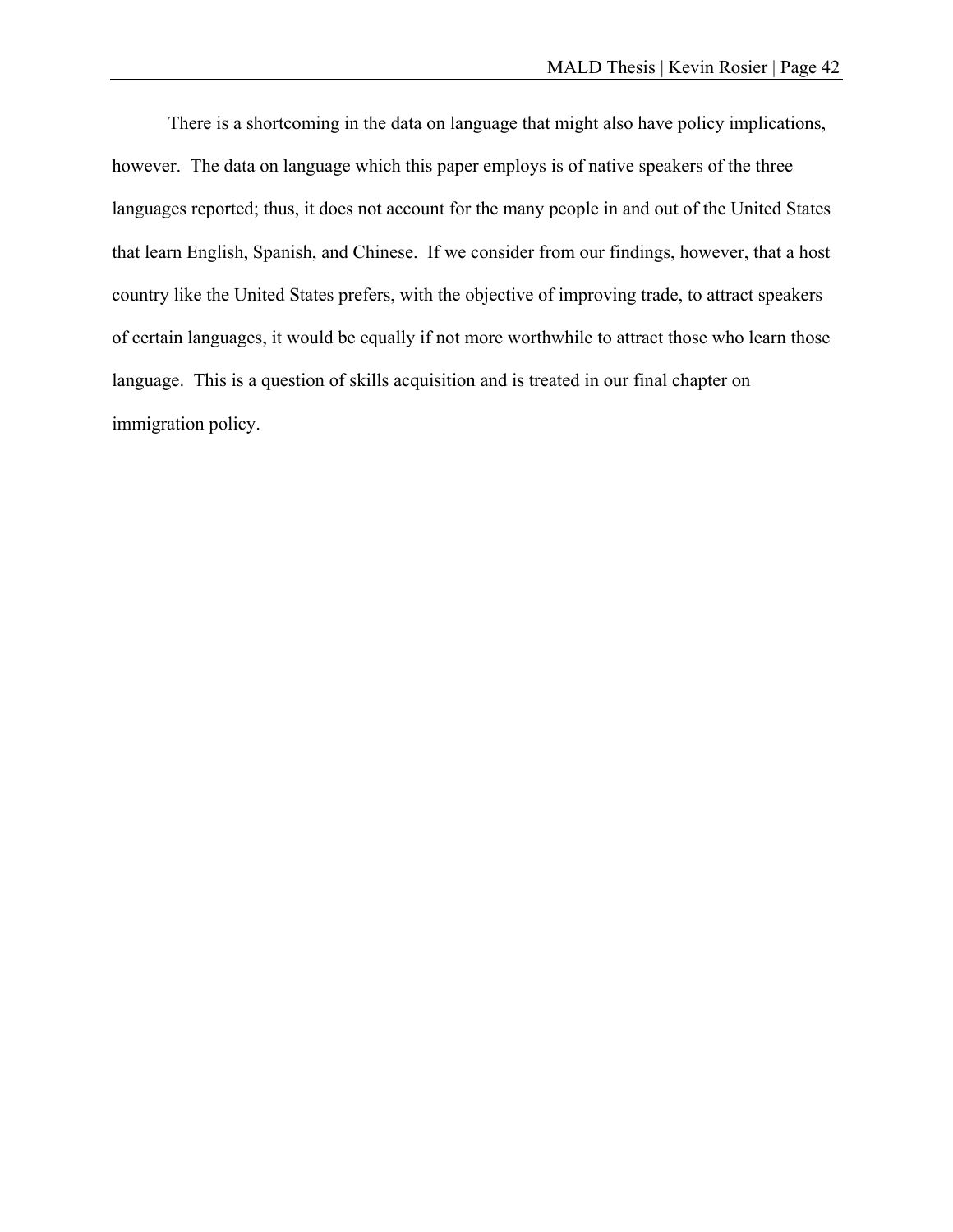There is a shortcoming in the data on language that might also have policy implications, however. The data on language which this paper employs is of native speakers of the three languages reported; thus, it does not account for the many people in and out of the United States that learn English, Spanish, and Chinese. If we consider from our findings, however, that a host country like the United States prefers, with the objective of improving trade, to attract speakers of certain languages, it would be equally if not more worthwhile to attract those who learn those language. This is a question of skills acquisition and is treated in our final chapter on immigration policy.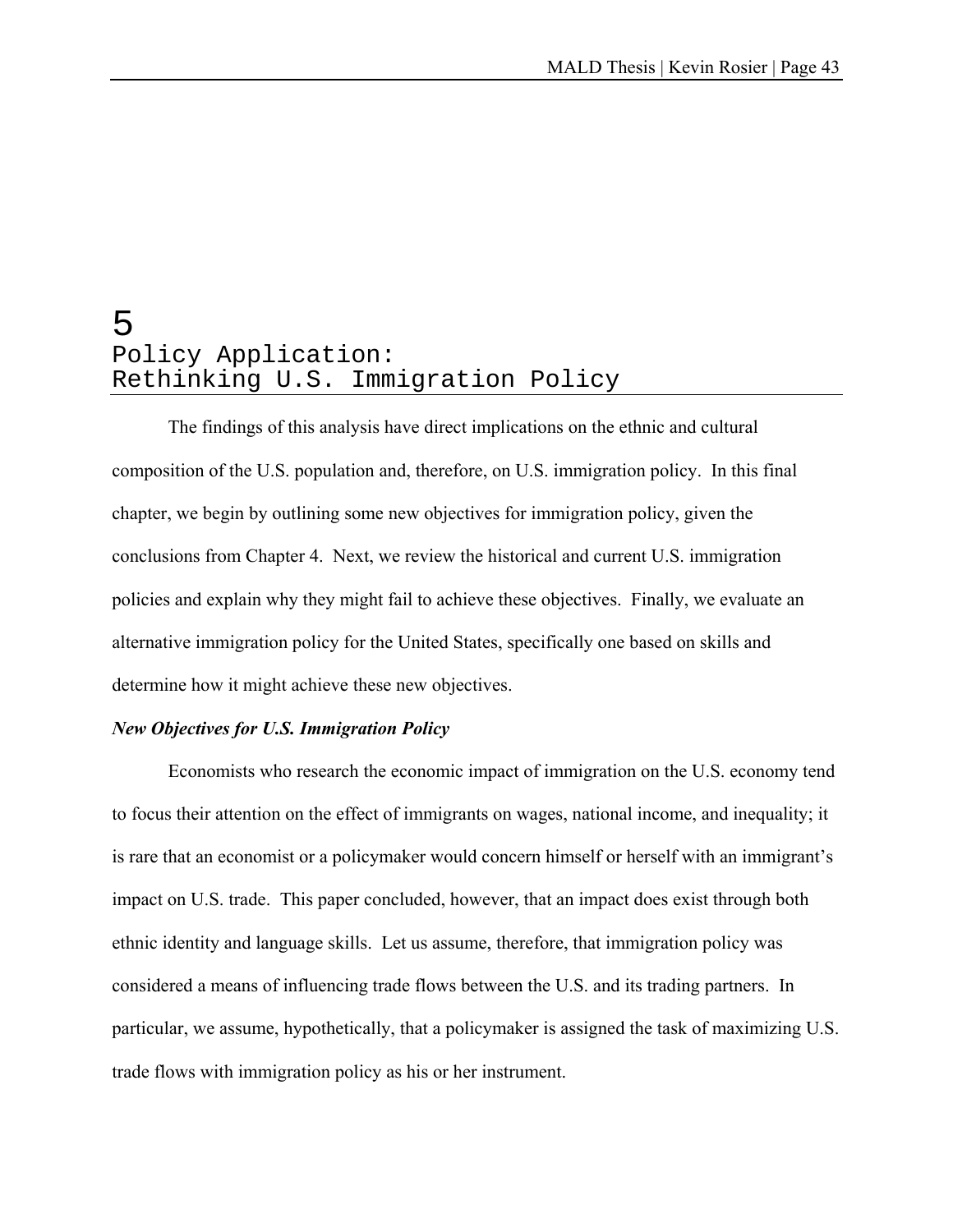# 5 Policy Application: Rethinking U.S. Immigration Policy

 The findings of this analysis have direct implications on the ethnic and cultural composition of the U.S. population and, therefore, on U.S. immigration policy. In this final chapter, we begin by outlining some new objectives for immigration policy, given the conclusions from Chapter 4. Next, we review the historical and current U.S. immigration policies and explain why they might fail to achieve these objectives. Finally, we evaluate an alternative immigration policy for the United States, specifically one based on skills and determine how it might achieve these new objectives.

#### *New Objectives for U.S. Immigration Policy*

 Economists who research the economic impact of immigration on the U.S. economy tend to focus their attention on the effect of immigrants on wages, national income, and inequality; it is rare that an economist or a policymaker would concern himself or herself with an immigrant's impact on U.S. trade. This paper concluded, however, that an impact does exist through both ethnic identity and language skills. Let us assume, therefore, that immigration policy was considered a means of influencing trade flows between the U.S. and its trading partners. In particular, we assume, hypothetically, that a policymaker is assigned the task of maximizing U.S. trade flows with immigration policy as his or her instrument.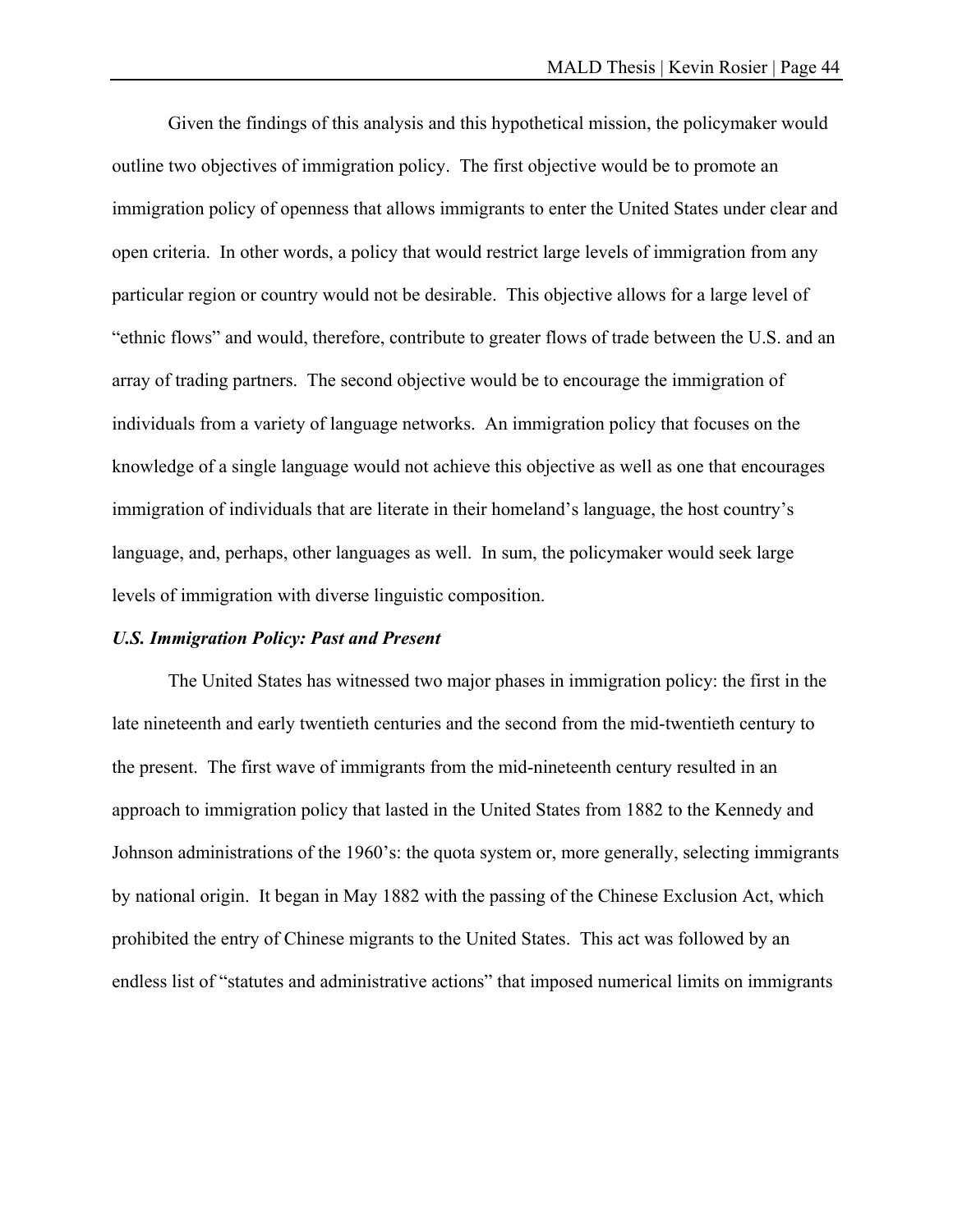Given the findings of this analysis and this hypothetical mission, the policymaker would outline two objectives of immigration policy. The first objective would be to promote an immigration policy of openness that allows immigrants to enter the United States under clear and open criteria. In other words, a policy that would restrict large levels of immigration from any particular region or country would not be desirable. This objective allows for a large level of "ethnic flows" and would, therefore, contribute to greater flows of trade between the U.S. and an array of trading partners. The second objective would be to encourage the immigration of individuals from a variety of language networks. An immigration policy that focuses on the knowledge of a single language would not achieve this objective as well as one that encourages immigration of individuals that are literate in their homeland's language, the host country's language, and, perhaps, other languages as well. In sum, the policymaker would seek large levels of immigration with diverse linguistic composition.

#### *U.S. Immigration Policy: Past and Present*

 The United States has witnessed two major phases in immigration policy: the first in the late nineteenth and early twentieth centuries and the second from the mid-twentieth century to the present. The first wave of immigrants from the mid-nineteenth century resulted in an approach to immigration policy that lasted in the United States from 1882 to the Kennedy and Johnson administrations of the 1960's: the quota system or, more generally, selecting immigrants by national origin. It began in May 1882 with the passing of the Chinese Exclusion Act, which prohibited the entry of Chinese migrants to the United States. This act was followed by an endless list of "statutes and administrative actions" that imposed numerical limits on immigrants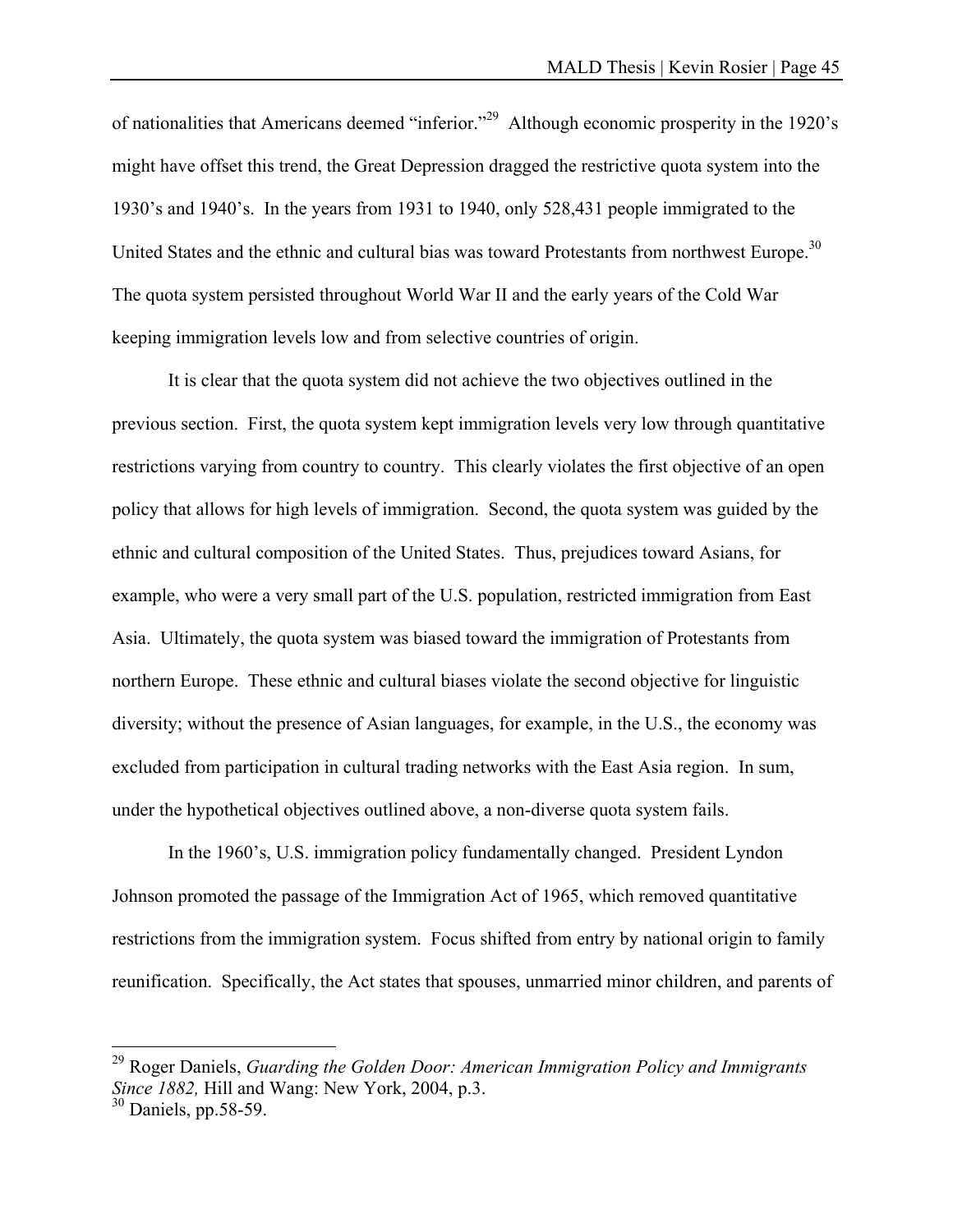of nationalities that Americans deemed "inferior."29 Although economic prosperity in the 1920's might have offset this trend, the Great Depression dragged the restrictive quota system into the 1930's and 1940's. In the years from 1931 to 1940, only 528,431 people immigrated to the United States and the ethnic and cultural bias was toward Protestants from northwest Europe.<sup>30</sup> The quota system persisted throughout World War II and the early years of the Cold War keeping immigration levels low and from selective countries of origin.

 It is clear that the quota system did not achieve the two objectives outlined in the previous section. First, the quota system kept immigration levels very low through quantitative restrictions varying from country to country. This clearly violates the first objective of an open policy that allows for high levels of immigration. Second, the quota system was guided by the ethnic and cultural composition of the United States. Thus, prejudices toward Asians, for example, who were a very small part of the U.S. population, restricted immigration from East Asia. Ultimately, the quota system was biased toward the immigration of Protestants from northern Europe. These ethnic and cultural biases violate the second objective for linguistic diversity; without the presence of Asian languages, for example, in the U.S., the economy was excluded from participation in cultural trading networks with the East Asia region. In sum, under the hypothetical objectives outlined above, a non-diverse quota system fails.

 In the 1960's, U.S. immigration policy fundamentally changed. President Lyndon Johnson promoted the passage of the Immigration Act of 1965, which removed quantitative restrictions from the immigration system. Focus shifted from entry by national origin to family reunification. Specifically, the Act states that spouses, unmarried minor children, and parents of

1

<sup>29</sup> Roger Daniels, *Guarding the Golden Door: American Immigration Policy and Immigrants Since 1882,* Hill and Wang: New York, 2004, p.3.

<sup>30</sup> Daniels, pp.58-59.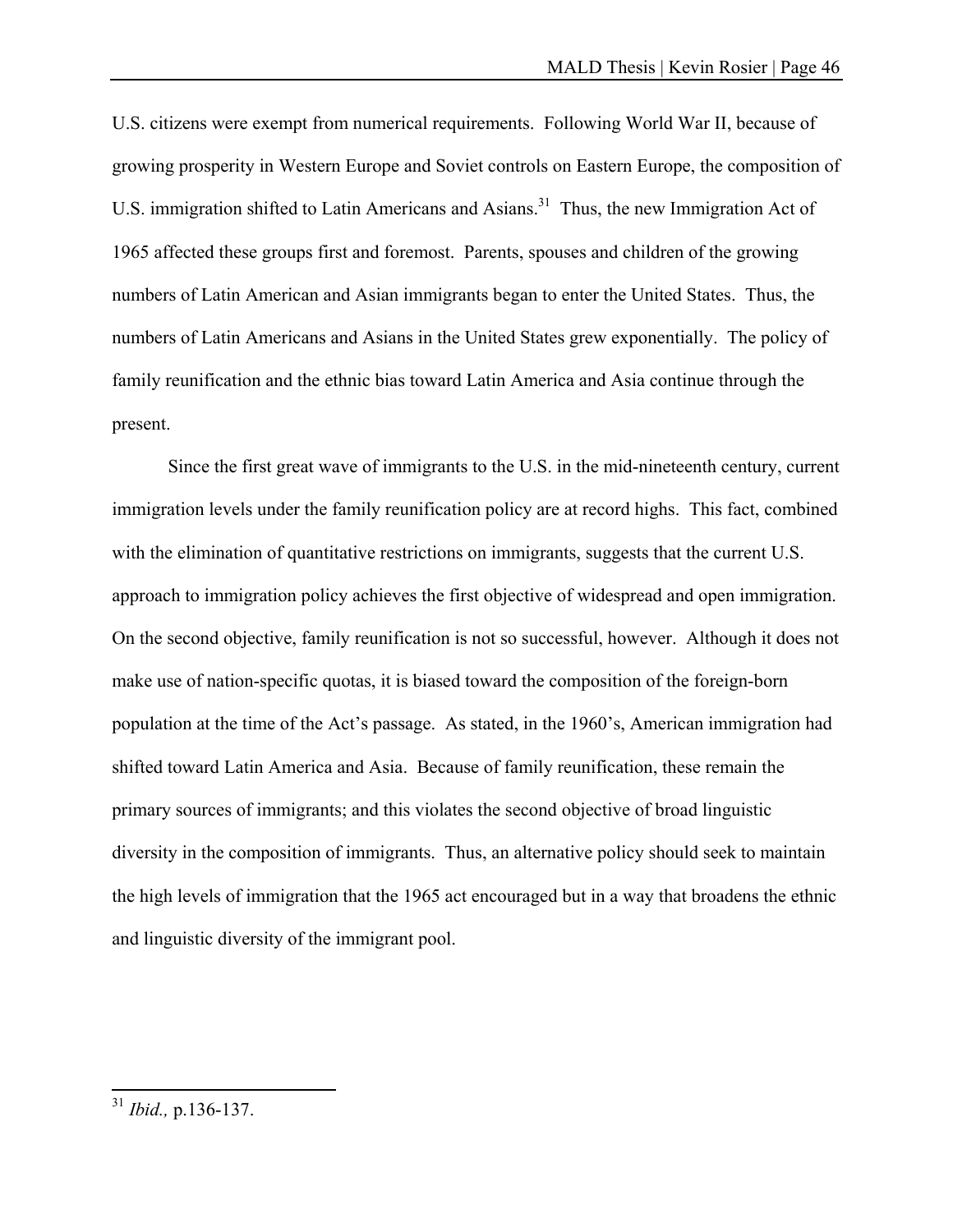U.S. citizens were exempt from numerical requirements. Following World War II, because of growing prosperity in Western Europe and Soviet controls on Eastern Europe, the composition of U.S. immigration shifted to Latin Americans and Asians.<sup>31</sup> Thus, the new Immigration Act of 1965 affected these groups first and foremost. Parents, spouses and children of the growing numbers of Latin American and Asian immigrants began to enter the United States. Thus, the numbers of Latin Americans and Asians in the United States grew exponentially. The policy of family reunification and the ethnic bias toward Latin America and Asia continue through the present.

 Since the first great wave of immigrants to the U.S. in the mid-nineteenth century, current immigration levels under the family reunification policy are at record highs. This fact, combined with the elimination of quantitative restrictions on immigrants, suggests that the current U.S. approach to immigration policy achieves the first objective of widespread and open immigration. On the second objective, family reunification is not so successful, however. Although it does not make use of nation-specific quotas, it is biased toward the composition of the foreign-born population at the time of the Act's passage. As stated, in the 1960's, American immigration had shifted toward Latin America and Asia. Because of family reunification, these remain the primary sources of immigrants; and this violates the second objective of broad linguistic diversity in the composition of immigrants. Thus, an alternative policy should seek to maintain the high levels of immigration that the 1965 act encouraged but in a way that broadens the ethnic and linguistic diversity of the immigrant pool.

 $\overline{a}$ 

<sup>31</sup> *Ibid.,* p.136-137.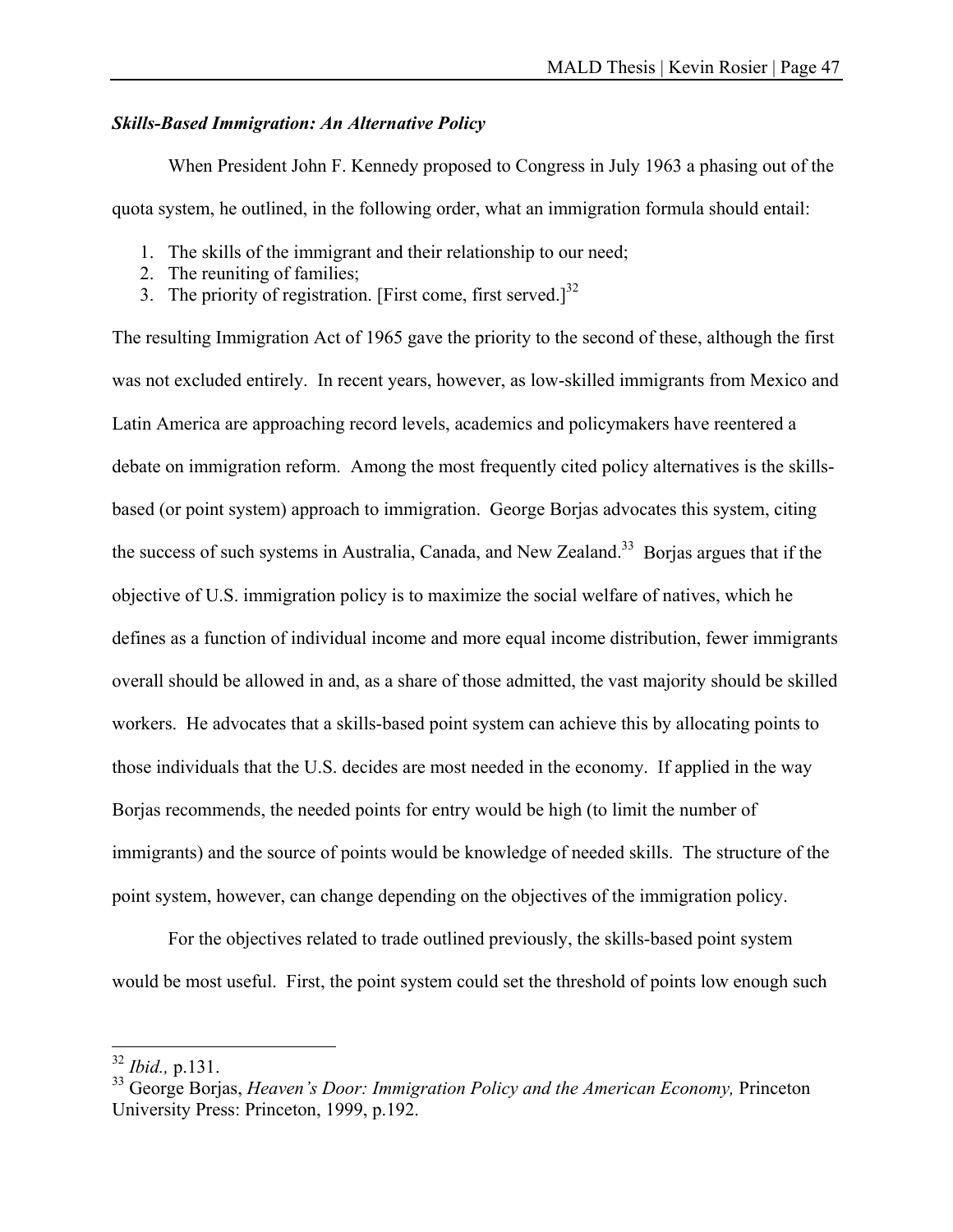### *Skills-Based Immigration: An Alternative Policy*

 When President John F. Kennedy proposed to Congress in July 1963 a phasing out of the quota system, he outlined, in the following order, what an immigration formula should entail:

- 1. The skills of the immigrant and their relationship to our need;
- 2. The reuniting of families;
- 3. The priority of registration. [First come, first served.] $^{32}$

The resulting Immigration Act of 1965 gave the priority to the second of these, although the first was not excluded entirely. In recent years, however, as low-skilled immigrants from Mexico and Latin America are approaching record levels, academics and policymakers have reentered a debate on immigration reform. Among the most frequently cited policy alternatives is the skillsbased (or point system) approach to immigration. George Borjas advocates this system, citing the success of such systems in Australia, Canada, and New Zealand.<sup>33</sup> Borjas argues that if the objective of U.S. immigration policy is to maximize the social welfare of natives, which he defines as a function of individual income and more equal income distribution, fewer immigrants overall should be allowed in and, as a share of those admitted, the vast majority should be skilled workers. He advocates that a skills-based point system can achieve this by allocating points to those individuals that the U.S. decides are most needed in the economy. If applied in the way Borjas recommends, the needed points for entry would be high (to limit the number of immigrants) and the source of points would be knowledge of needed skills. The structure of the point system, however, can change depending on the objectives of the immigration policy.

 For the objectives related to trade outlined previously, the skills-based point system would be most useful. First, the point system could set the threshold of points low enough such

 $\overline{a}$ 

<sup>32</sup> *Ibid.,* p.131.

<sup>&</sup>lt;sup>33</sup> George Borias, *Heaven's Door: Immigration Policy and the American Economy*, Princeton University Press: Princeton, 1999, p.192.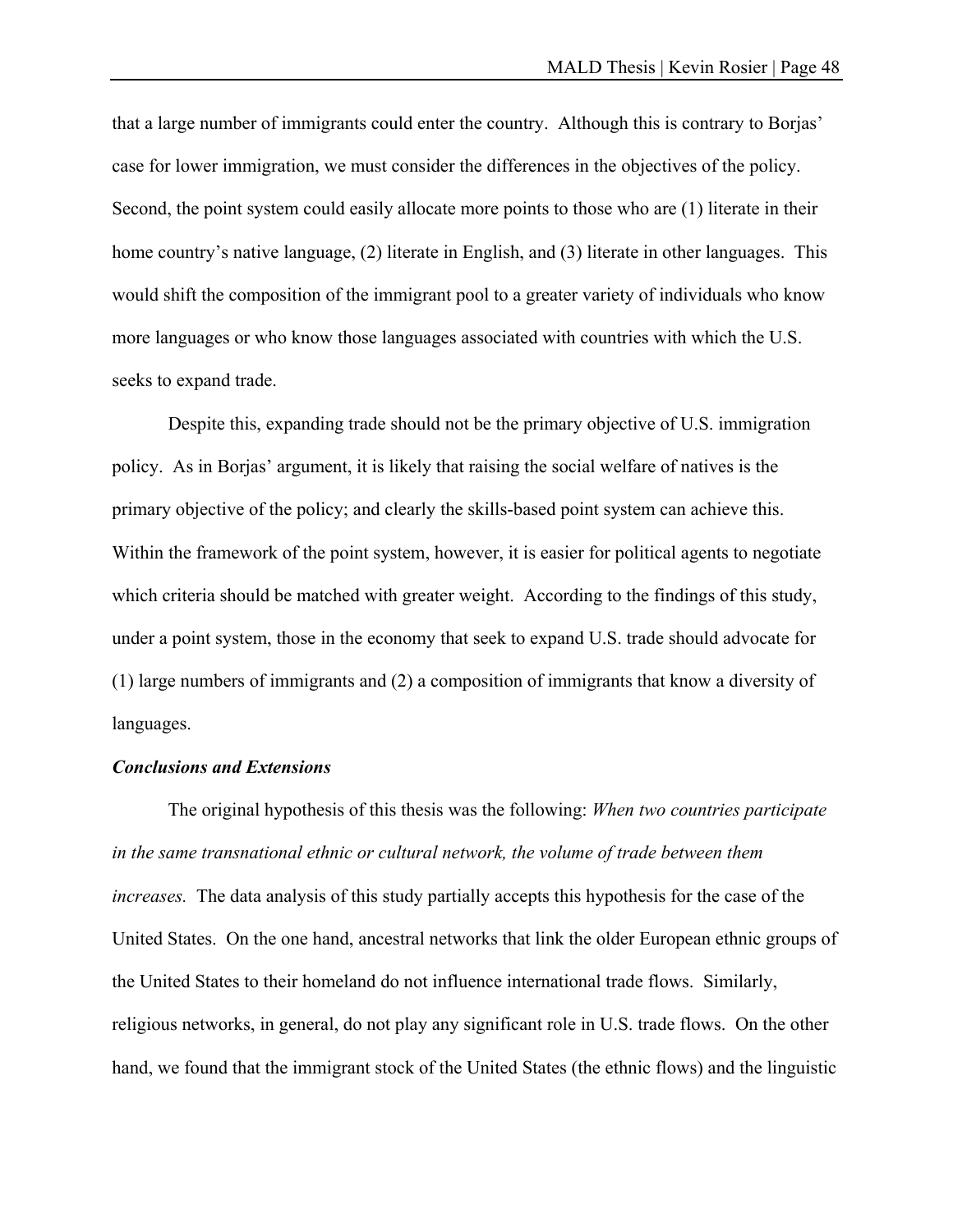that a large number of immigrants could enter the country. Although this is contrary to Borjas' case for lower immigration, we must consider the differences in the objectives of the policy. Second, the point system could easily allocate more points to those who are (1) literate in their home country's native language, (2) literate in English, and (3) literate in other languages. This would shift the composition of the immigrant pool to a greater variety of individuals who know more languages or who know those languages associated with countries with which the U.S. seeks to expand trade.

 Despite this, expanding trade should not be the primary objective of U.S. immigration policy. As in Borjas' argument, it is likely that raising the social welfare of natives is the primary objective of the policy; and clearly the skills-based point system can achieve this. Within the framework of the point system, however, it is easier for political agents to negotiate which criteria should be matched with greater weight. According to the findings of this study, under a point system, those in the economy that seek to expand U.S. trade should advocate for (1) large numbers of immigrants and (2) a composition of immigrants that know a diversity of languages.

#### *Conclusions and Extensions*

 The original hypothesis of this thesis was the following: *When two countries participate in the same transnational ethnic or cultural network, the volume of trade between them increases.* The data analysis of this study partially accepts this hypothesis for the case of the United States. On the one hand, ancestral networks that link the older European ethnic groups of the United States to their homeland do not influence international trade flows. Similarly, religious networks, in general, do not play any significant role in U.S. trade flows. On the other hand, we found that the immigrant stock of the United States (the ethnic flows) and the linguistic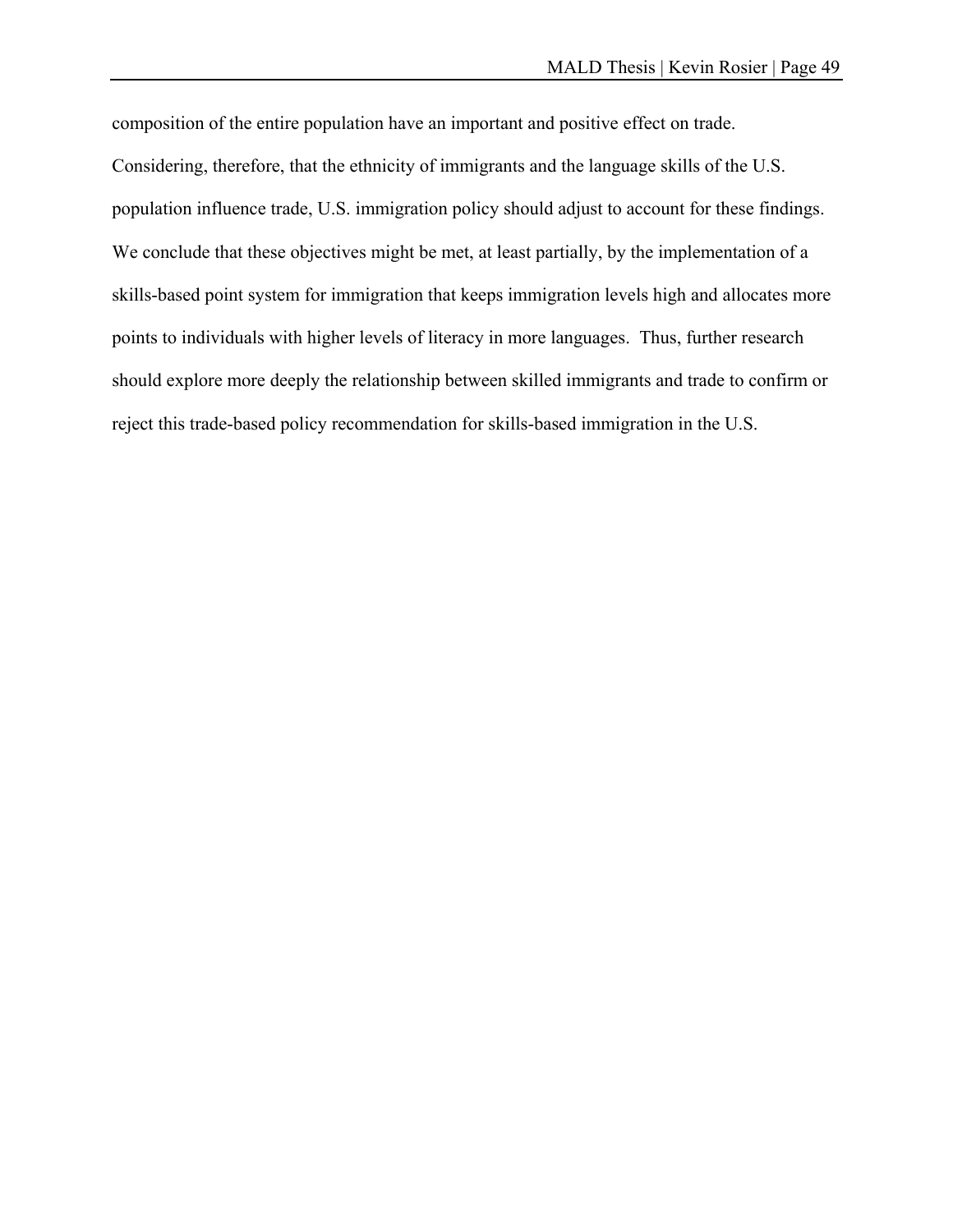composition of the entire population have an important and positive effect on trade. Considering, therefore, that the ethnicity of immigrants and the language skills of the U.S. population influence trade, U.S. immigration policy should adjust to account for these findings. We conclude that these objectives might be met, at least partially, by the implementation of a skills-based point system for immigration that keeps immigration levels high and allocates more points to individuals with higher levels of literacy in more languages. Thus, further research should explore more deeply the relationship between skilled immigrants and trade to confirm or reject this trade-based policy recommendation for skills-based immigration in the U.S.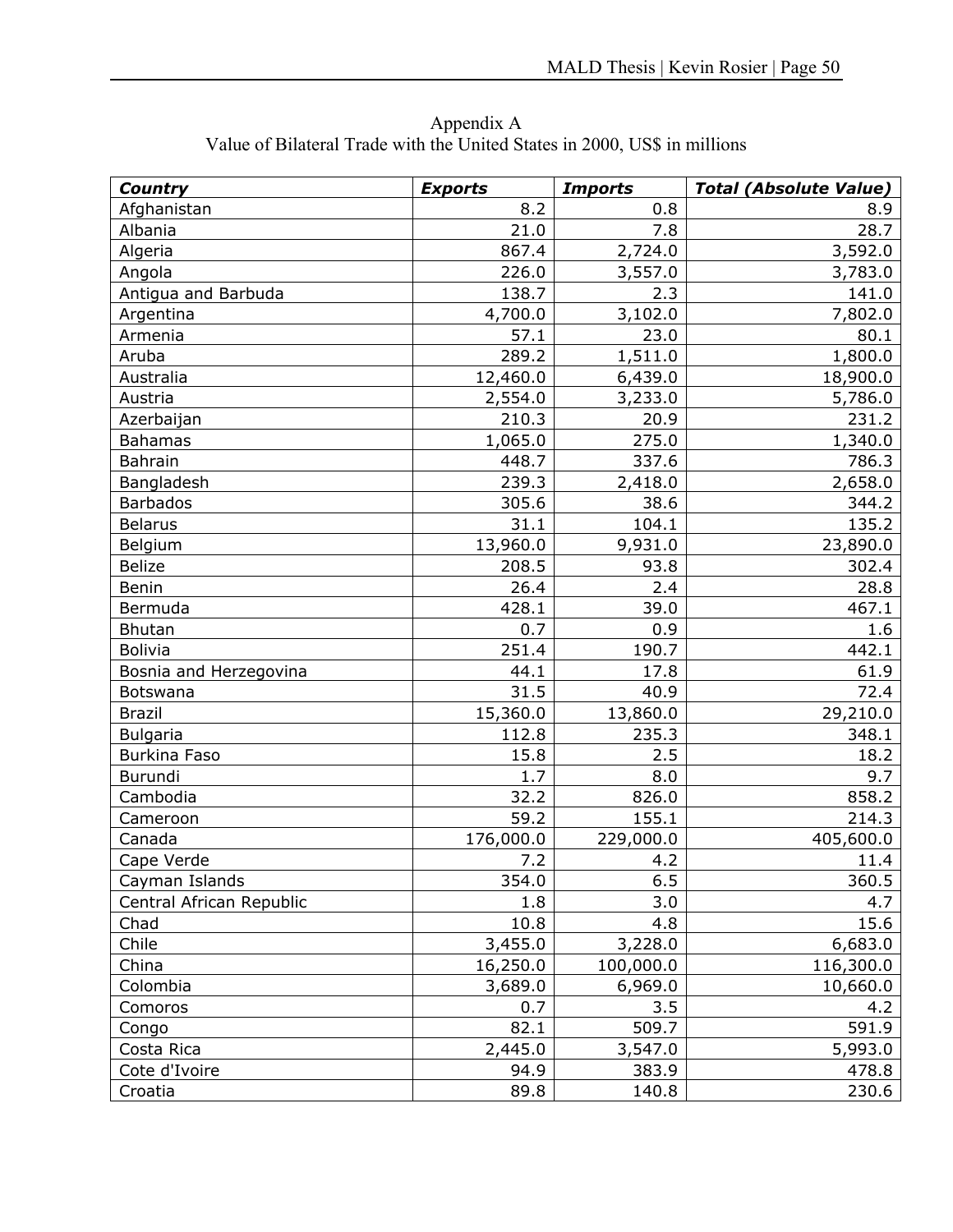| <b>Country</b>           | <b>Exports</b> | <b>Imports</b> | <b>Total (Absolute Value)</b> |
|--------------------------|----------------|----------------|-------------------------------|
| Afghanistan              | 8.2            | 0.8            | 8.9                           |
| Albania                  | 21.0           | 7.8            | 28.7                          |
| Algeria                  | 867.4          | 2,724.0        | 3,592.0                       |
| Angola                   | 226.0          | 3,557.0        | 3,783.0                       |
| Antigua and Barbuda      | 138.7          | 2.3            | 141.0                         |
| Argentina                | 4,700.0        | 3,102.0        | 7,802.0                       |
| Armenia                  | 57.1           | 23.0           | 80.1                          |
| Aruba                    | 289.2          | 1,511.0        | 1,800.0                       |
| Australia                | 12,460.0       | 6,439.0        | 18,900.0                      |
| Austria                  | 2,554.0        | 3,233.0        | 5,786.0                       |
| Azerbaijan               | 210.3          | 20.9           | 231.2                         |
| <b>Bahamas</b>           | 1,065.0        | 275.0          | 1,340.0                       |
| Bahrain                  | 448.7          | 337.6          | 786.3                         |
| Bangladesh               | 239.3          | 2,418.0        | 2,658.0                       |
| <b>Barbados</b>          | 305.6          | 38.6           | 344.2                         |
| <b>Belarus</b>           | 31.1           | 104.1          | 135.2                         |
| Belgium                  | 13,960.0       | 9,931.0        | 23,890.0                      |
| <b>Belize</b>            | 208.5          | 93.8           | 302.4                         |
| Benin                    | 26.4           | 2.4            | 28.8                          |
| Bermuda                  | 428.1          | 39.0           | 467.1                         |
| <b>Bhutan</b>            | 0.7            | 0.9            | 1.6                           |
| <b>Bolivia</b>           | 251.4          | 190.7          | 442.1                         |
| Bosnia and Herzegovina   | 44.1           | 17.8           | 61.9                          |
| Botswana                 | 31.5           | 40.9           | 72.4                          |
| <b>Brazil</b>            | 15,360.0       | 13,860.0       | 29,210.0                      |
| <b>Bulgaria</b>          | 112.8          | 235.3          | 348.1                         |
| Burkina Faso             | 15.8           | 2.5            | 18.2                          |
| Burundi                  | 1.7            | 8.0            | 9.7                           |
| Cambodia                 | 32.2           | 826.0          | 858.2                         |
| Cameroon                 | 59.2           | 155.1          | 214.3                         |
| Canada                   | 176,000.0      | 229,000.0      | 405,600.0                     |
| Cape Verde               | 7.2            | 4.2            | 11.4                          |
| Cayman Islands           | 354.0          | 6.5            | 360.5                         |
| Central African Republic | 1.8            | 3.0            | 4.7                           |
| Chad                     | 10.8           | 4.8            | 15.6                          |
| Chile                    | 3,455.0        | 3,228.0        | 6,683.0                       |
| China                    | 16,250.0       | 100,000.0      | 116,300.0                     |
| Colombia                 | 3,689.0        | 6,969.0        | 10,660.0                      |
| Comoros                  | 0.7            | 3.5            | 4.2                           |
| Congo                    | 82.1           | 509.7          | 591.9                         |
| Costa Rica               | 2,445.0        | 3,547.0        | 5,993.0                       |
| Cote d'Ivoire            | 94.9           | 383.9          | 478.8                         |
| Croatia                  | 89.8           | 140.8          | 230.6                         |

Appendix A Value of Bilateral Trade with the United States in 2000, US\$ in millions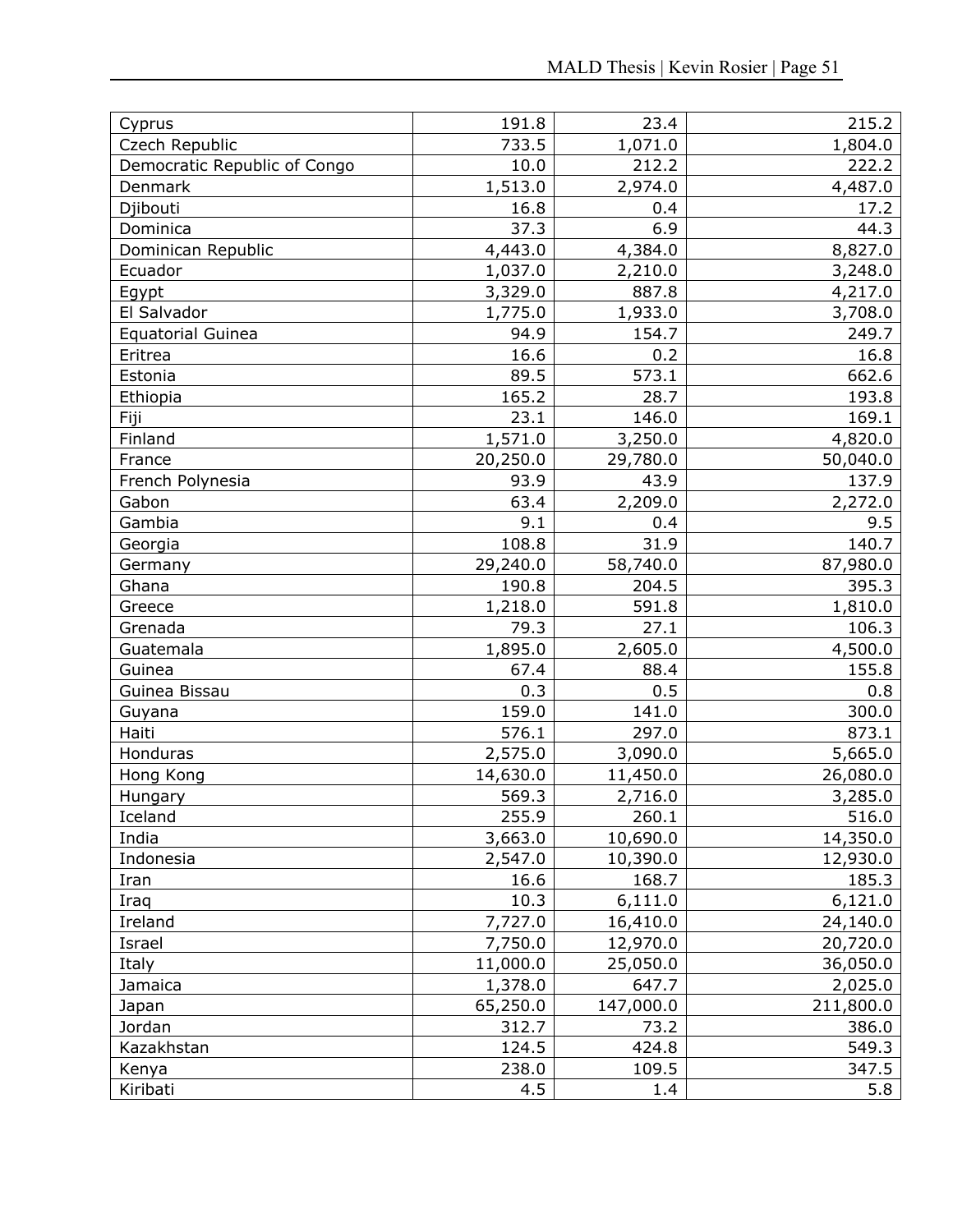| Cyprus                       | 191.8               | 23.4              | 215.2               |
|------------------------------|---------------------|-------------------|---------------------|
| Czech Republic               | 733.5               | 1,071.0           | 1,804.0             |
| Democratic Republic of Congo | 10.0                | 212.2             | 222.2               |
| Denmark                      | 1,513.0             | 2,974.0           | 4,487.0             |
| Djibouti                     | 16.8                | 0.4               | 17.2                |
| Dominica                     | 37.3                | 6.9               | 44.3                |
| Dominican Republic           | 4,443.0             | 4,384.0           | 8,827.0             |
| Ecuador                      | 1,037.0             | 2,210.0           | 3,248.0             |
| Egypt                        | 3,329.0             | 887.8             | 4,217.0             |
| El Salvador                  | 1,775.0             | 1,933.0           | 3,708.0             |
| <b>Equatorial Guinea</b>     | 94.9                | 154.7             | 249.7               |
| Eritrea                      | 16.6                | 0.2               | 16.8                |
| Estonia                      | 89.5                | 573.1             | 662.6               |
| Ethiopia                     | 165.2               | 28.7              | 193.8               |
| Fiji                         | 23.1                | 146.0             | 169.1               |
| Finland                      | 1,571.0             | 3,250.0           | 4,820.0             |
| France                       | 20,250.0            | 29,780.0          | 50,040.0            |
| French Polynesia             | 93.9                | 43.9              | 137.9               |
| Gabon                        | 63.4                | 2,209.0           | 2,272.0             |
| Gambia                       | 9.1                 | 0.4               | 9.5                 |
| Georgia                      | 108.8               | 31.9              | 140.7               |
| Germany                      | 29,240.0            | 58,740.0          | 87,980.0            |
| Ghana                        | 190.8               | 204.5             | 395.3               |
| Greece                       | 1,218.0             | 591.8             | 1,810.0             |
| Grenada                      | 79.3                | 27.1              | 106.3               |
| Guatemala                    | 1,895.0             | 2,605.0           | 4,500.0             |
| Guinea                       | 67.4                | 88.4              | 155.8               |
| Guinea Bissau                | 0.3                 | 0.5               | 0.8                 |
| Guyana                       | 159.0               | 141.0             | 300.0               |
| Haiti                        | 576.1               | 297.0             | 873.1               |
| Honduras                     | 2,575.0             | 3,090.0           | 5,665.0             |
| Hong Kong                    | 14,630.0            | 11,450.0          | 26,080.0            |
| Hungary                      | 569.3               | 2,716.0           | 3,285.0             |
| Iceland                      | 255.9               | 260.1             | 516.0               |
| India                        | 3,663.0             | 10,690.0          | 14,350.0            |
| Indonesia                    | 2,547.0<br>16.6     | 10,390.0          | 12,930.0            |
| Iran                         | 10.3                | 168.7             | 185.3               |
| Iraq                         |                     | 6,111.0           | 6,121.0             |
| Ireland                      | 7,727.0             | 16,410.0          | 24,140.0            |
| Israel                       | 7,750.0             | 12,970.0          | 20,720.0            |
| Italy<br>Jamaica             | 11,000.0<br>1,378.0 | 25,050.0<br>647.7 | 36,050.0<br>2,025.0 |
|                              | 65,250.0            |                   |                     |
| Japan<br>Jordan              | 312.7               | 147,000.0<br>73.2 | 211,800.0<br>386.0  |
| Kazakhstan                   | 124.5               | 424.8             | 549.3               |
|                              | 238.0               | 109.5             | 347.5               |
| Kenya<br>Kiribati            | 4.5                 | 1.4               | 5.8                 |
|                              |                     |                   |                     |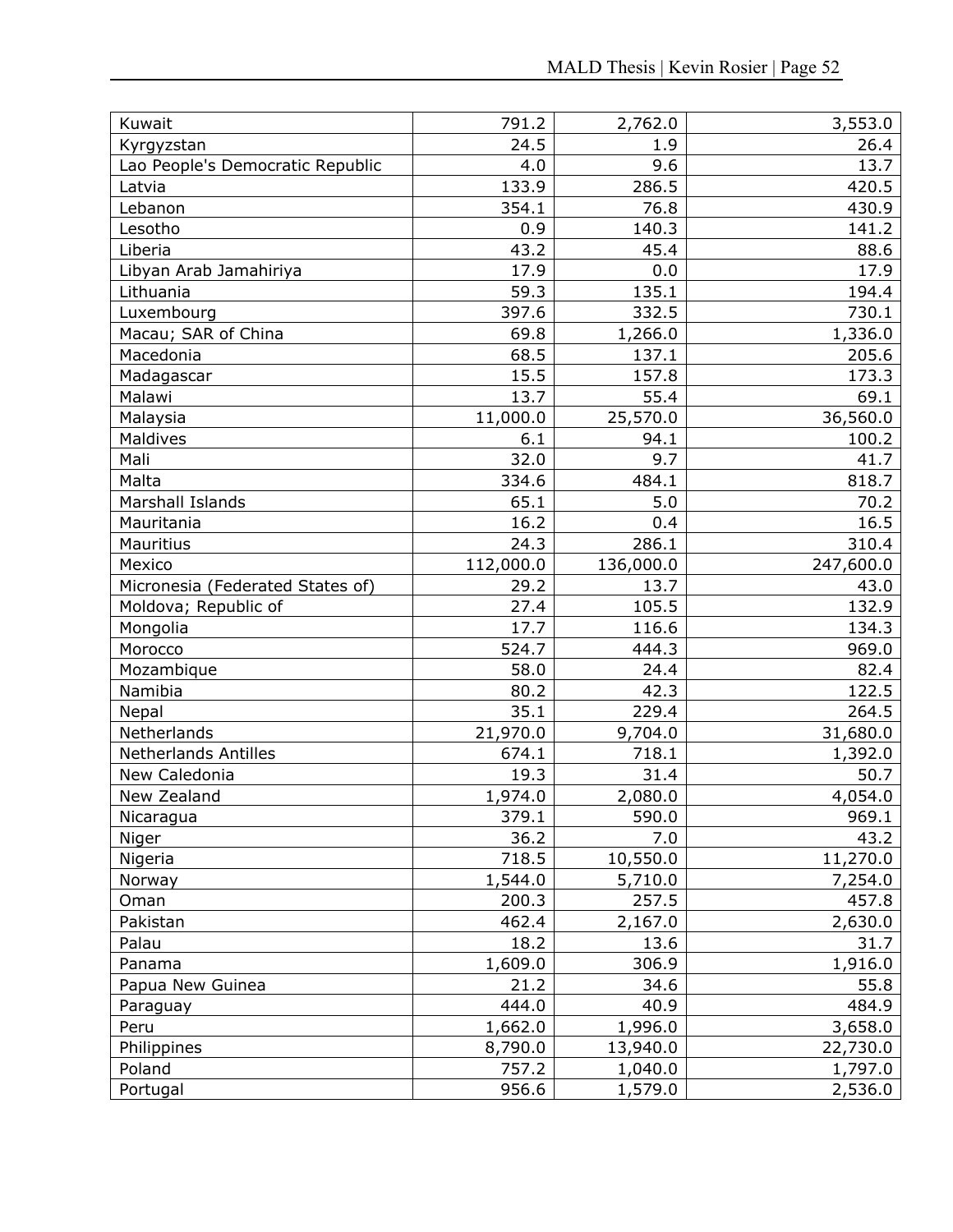| Kuwait                           | 791.2     | 2,762.0   | 3,553.0   |
|----------------------------------|-----------|-----------|-----------|
| Kyrgyzstan                       | 24.5      | 1.9       | 26.4      |
| Lao People's Democratic Republic | 4.0       | 9.6       | 13.7      |
| Latvia                           | 133.9     | 286.5     | 420.5     |
| Lebanon                          | 354.1     | 76.8      | 430.9     |
| Lesotho                          | 0.9       | 140.3     | 141.2     |
| Liberia                          | 43.2      | 45.4      | 88.6      |
| Libyan Arab Jamahiriya           | 17.9      | 0.0       | 17.9      |
| Lithuania                        | 59.3      | 135.1     | 194.4     |
| Luxembourg                       | 397.6     | 332.5     | 730.1     |
| Macau; SAR of China              | 69.8      | 1,266.0   | 1,336.0   |
| Macedonia                        | 68.5      | 137.1     | 205.6     |
| Madagascar                       | 15.5      | 157.8     | 173.3     |
| Malawi                           | 13.7      | 55.4      | 69.1      |
| Malaysia                         | 11,000.0  | 25,570.0  | 36,560.0  |
| <b>Maldives</b>                  | 6.1       | 94.1      | 100.2     |
| Mali                             | 32.0      | 9.7       | 41.7      |
| Malta                            | 334.6     | 484.1     | 818.7     |
| Marshall Islands                 | 65.1      | 5.0       | 70.2      |
| Mauritania                       | 16.2      | 0.4       | 16.5      |
| Mauritius                        | 24.3      | 286.1     | 310.4     |
| Mexico                           | 112,000.0 | 136,000.0 | 247,600.0 |
| Micronesia (Federated States of) | 29.2      | 13.7      | 43.0      |
| Moldova; Republic of             | 27.4      | 105.5     | 132.9     |
| Mongolia                         | 17.7      | 116.6     | 134.3     |
| Morocco                          | 524.7     | 444.3     | 969.0     |
| Mozambique                       | 58.0      | 24.4      | 82.4      |
| Namibia                          | 80.2      | 42.3      | 122.5     |
| Nepal                            | 35.1      | 229.4     | 264.5     |
| Netherlands                      | 21,970.0  | 9,704.0   | 31,680.0  |
| <b>Netherlands Antilles</b>      | 674.1     | 718.1     | 1,392.0   |
| New Caledonia                    | 19.3      | 31.4      | 50.7      |
| New Zealand                      | 1,974.0   | 2,080.0   | 4,054.0   |
| Nicaragua                        | 379.1     | 590.0     | 969.1     |
| Niger                            | 36.2      | 7.0       | 43.2      |
| Nigeria                          | 718.5     | 10,550.0  | 11,270.0  |
| Norway                           | 1,544.0   | 5,710.0   | 7,254.0   |
| Oman                             | 200.3     | 257.5     | 457.8     |
| Pakistan                         | 462.4     | 2,167.0   | 2,630.0   |
| Palau                            | 18.2      | 13.6      | 31.7      |
| Panama                           | 1,609.0   | 306.9     | 1,916.0   |
| Papua New Guinea                 | 21.2      | 34.6      | 55.8      |
| Paraguay                         | 444.0     | 40.9      | 484.9     |
| Peru                             | 1,662.0   | 1,996.0   | 3,658.0   |
| Philippines                      | 8,790.0   | 13,940.0  | 22,730.0  |
| Poland                           | 757.2     | 1,040.0   | 1,797.0   |
| Portugal                         | 956.6     | 1,579.0   | 2,536.0   |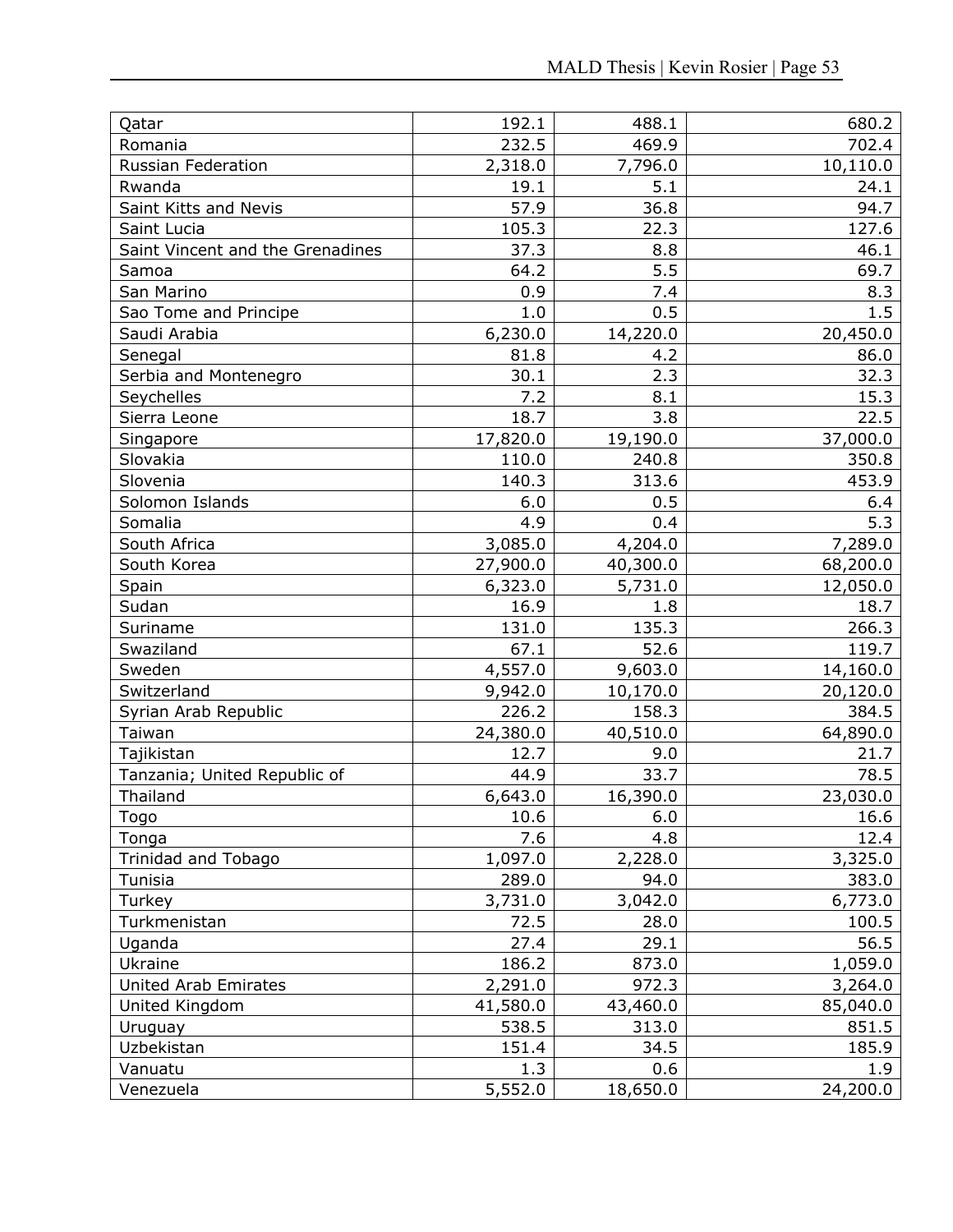| Qatar                            | 192.1    | 488.1    | 680.2    |
|----------------------------------|----------|----------|----------|
| Romania                          | 232.5    | 469.9    | 702.4    |
| Russian Federation               | 2,318.0  | 7,796.0  | 10,110.0 |
| Rwanda                           | 19.1     | 5.1      | 24.1     |
| Saint Kitts and Nevis            | 57.9     | 36.8     | 94.7     |
| Saint Lucia                      | 105.3    | 22.3     | 127.6    |
| Saint Vincent and the Grenadines | 37.3     | 8.8      | 46.1     |
| Samoa                            | 64.2     | 5.5      | 69.7     |
| San Marino                       | 0.9      | 7.4      | 8.3      |
| Sao Tome and Principe            | 1.0      | 0.5      | 1.5      |
| Saudi Arabia                     | 6,230.0  | 14,220.0 | 20,450.0 |
| Senegal                          | 81.8     | 4.2      | 86.0     |
| Serbia and Montenegro            | 30.1     | 2.3      | 32.3     |
| Seychelles                       | 7.2      | 8.1      | 15.3     |
| Sierra Leone                     | 18.7     | 3.8      | 22.5     |
| Singapore                        | 17,820.0 | 19,190.0 | 37,000.0 |
| Slovakia                         | 110.0    | 240.8    | 350.8    |
| Slovenia                         | 140.3    | 313.6    | 453.9    |
| Solomon Islands                  | 6.0      | 0.5      | 6.4      |
| Somalia                          | 4.9      | 0.4      | 5.3      |
| South Africa                     | 3,085.0  | 4,204.0  | 7,289.0  |
| South Korea                      | 27,900.0 | 40,300.0 | 68,200.0 |
| Spain                            | 6,323.0  | 5,731.0  | 12,050.0 |
| Sudan                            | 16.9     | 1.8      | 18.7     |
| Suriname                         | 131.0    | 135.3    | 266.3    |
| Swaziland                        | 67.1     | 52.6     | 119.7    |
| Sweden                           | 4,557.0  | 9,603.0  | 14,160.0 |
| Switzerland                      | 9,942.0  | 10,170.0 | 20,120.0 |
| Syrian Arab Republic             | 226.2    | 158.3    | 384.5    |
| Taiwan                           | 24,380.0 | 40,510.0 | 64,890.0 |
| Tajikistan                       | 12.7     | 9.0      | 21.7     |
| Tanzania; United Republic of     | 44.9     | 33.7     | 78.5     |
| Thailand                         | 6,643.0  | 16,390.0 | 23,030.0 |
| Togo                             | 10.6     | 6.0      | 16.6     |
| Tonga                            | 7.6      | 4.8      | 12.4     |
| Trinidad and Tobago              | 1,097.0  | 2,228.0  | 3,325.0  |
| Tunisia                          | 289.0    | 94.0     | 383.0    |
| Turkey                           | 3,731.0  | 3,042.0  | 6,773.0  |
| Turkmenistan                     | 72.5     | 28.0     | 100.5    |
| Uganda                           | 27.4     | 29.1     | 56.5     |
| Ukraine                          | 186.2    | 873.0    | 1,059.0  |
| <b>United Arab Emirates</b>      | 2,291.0  | 972.3    | 3,264.0  |
| United Kingdom                   | 41,580.0 | 43,460.0 | 85,040.0 |
| Uruguay                          | 538.5    | 313.0    | 851.5    |
| Uzbekistan                       | 151.4    | 34.5     | 185.9    |
| Vanuatu                          | 1.3      | 0.6      | 1.9      |
| Venezuela                        | 5,552.0  | 18,650.0 | 24,200.0 |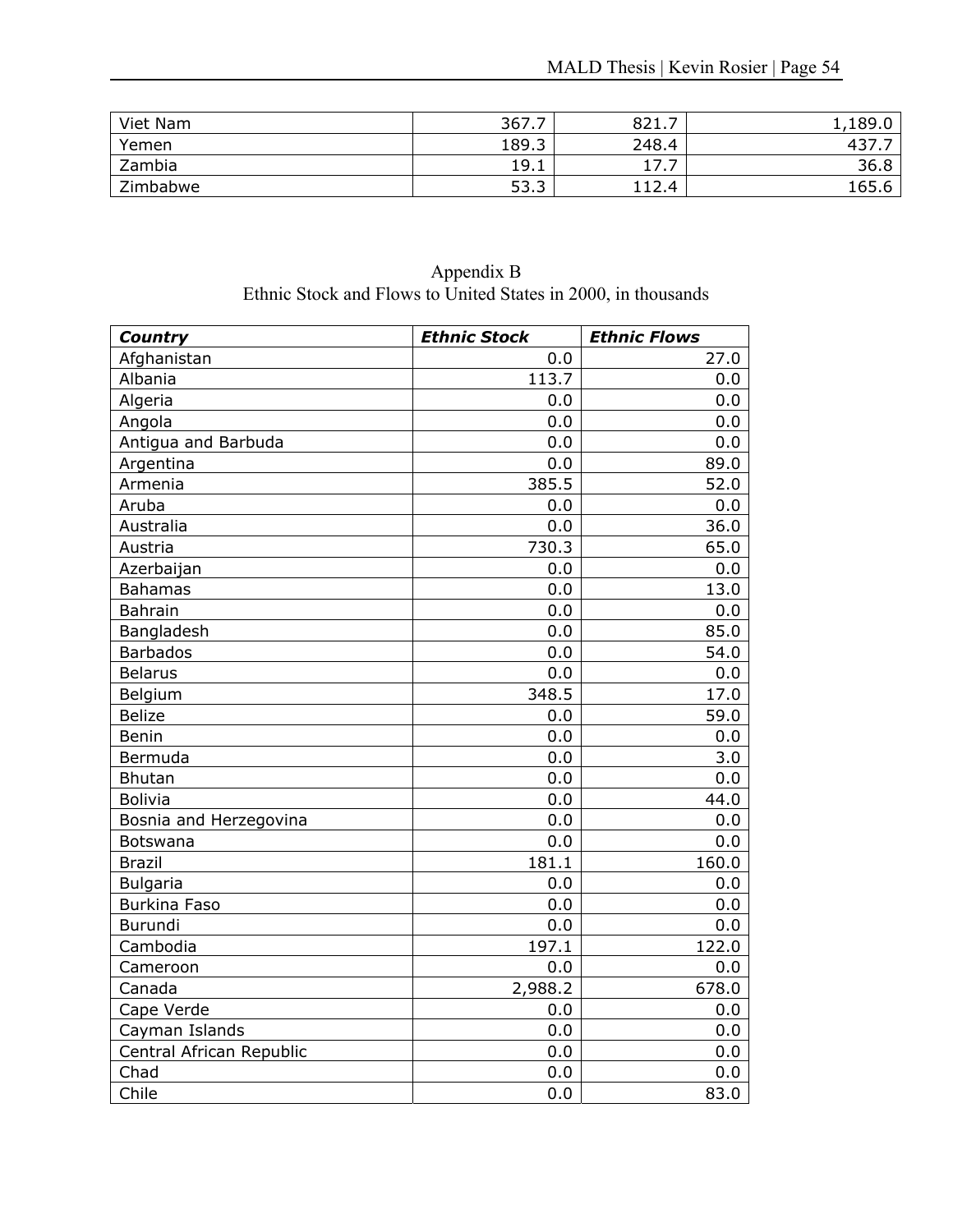| Viet Nam | 367.7 | 821.7            | ,189.0 |
|----------|-------|------------------|--------|
| Yemen    | 189.3 | 248.4            | -437   |
| Zambia   | 19.1  | ⇁<br><b>1</b> /1 | 36.8   |
| Zimbabwe | 53.3  | 112.4            | 165.6  |

Appendix B Ethnic Stock and Flows to United States in 2000, in thousands

| Country                  | <b>Ethnic Stock</b> | <b>Ethnic Flows</b> |
|--------------------------|---------------------|---------------------|
| Afghanistan              | 0.0                 | 27.0                |
| Albania                  | 113.7               | 0.0                 |
| Algeria                  | 0.0                 | 0.0                 |
| Angola                   | 0.0                 | 0.0                 |
| Antigua and Barbuda      | 0.0                 | 0.0                 |
| Argentina                | 0.0                 | 89.0                |
| Armenia                  | 385.5               | 52.0                |
| Aruba                    | 0.0                 | 0.0                 |
| Australia                | 0.0                 | 36.0                |
| Austria                  | 730.3               | 65.0                |
| Azerbaijan               | 0.0                 | 0.0                 |
| <b>Bahamas</b>           | 0.0                 | 13.0                |
| <b>Bahrain</b>           | 0.0                 | 0.0                 |
| Bangladesh               | 0.0                 | 85.0                |
| <b>Barbados</b>          | 0.0                 | 54.0                |
| <b>Belarus</b>           | 0.0                 | 0.0                 |
| Belgium                  | 348.5               | 17.0                |
| <b>Belize</b>            | 0.0                 | 59.0                |
| Benin                    | 0.0                 | 0.0                 |
| Bermuda                  | 0.0                 | 3.0                 |
| <b>Bhutan</b>            | 0.0                 | 0.0                 |
| <b>Bolivia</b>           | 0.0                 | 44.0                |
| Bosnia and Herzegovina   | 0.0                 | 0.0                 |
| Botswana                 | 0.0                 | 0.0                 |
| <b>Brazil</b>            | 181.1               | 160.0               |
| <b>Bulgaria</b>          | 0.0                 | 0.0                 |
| <b>Burkina Faso</b>      | 0.0                 | 0.0                 |
| Burundi                  | 0.0                 | 0.0                 |
| Cambodia                 | 197.1               | 122.0               |
| Cameroon                 | 0.0                 | 0.0                 |
| Canada                   | 2,988.2             | 678.0               |
| Cape Verde               | 0.0                 | 0.0                 |
| Cayman Islands           | 0.0                 | 0.0                 |
| Central African Republic | 0.0                 | 0.0                 |
| Chad                     | 0.0                 | 0.0                 |
| Chile                    | 0.0                 | 83.0                |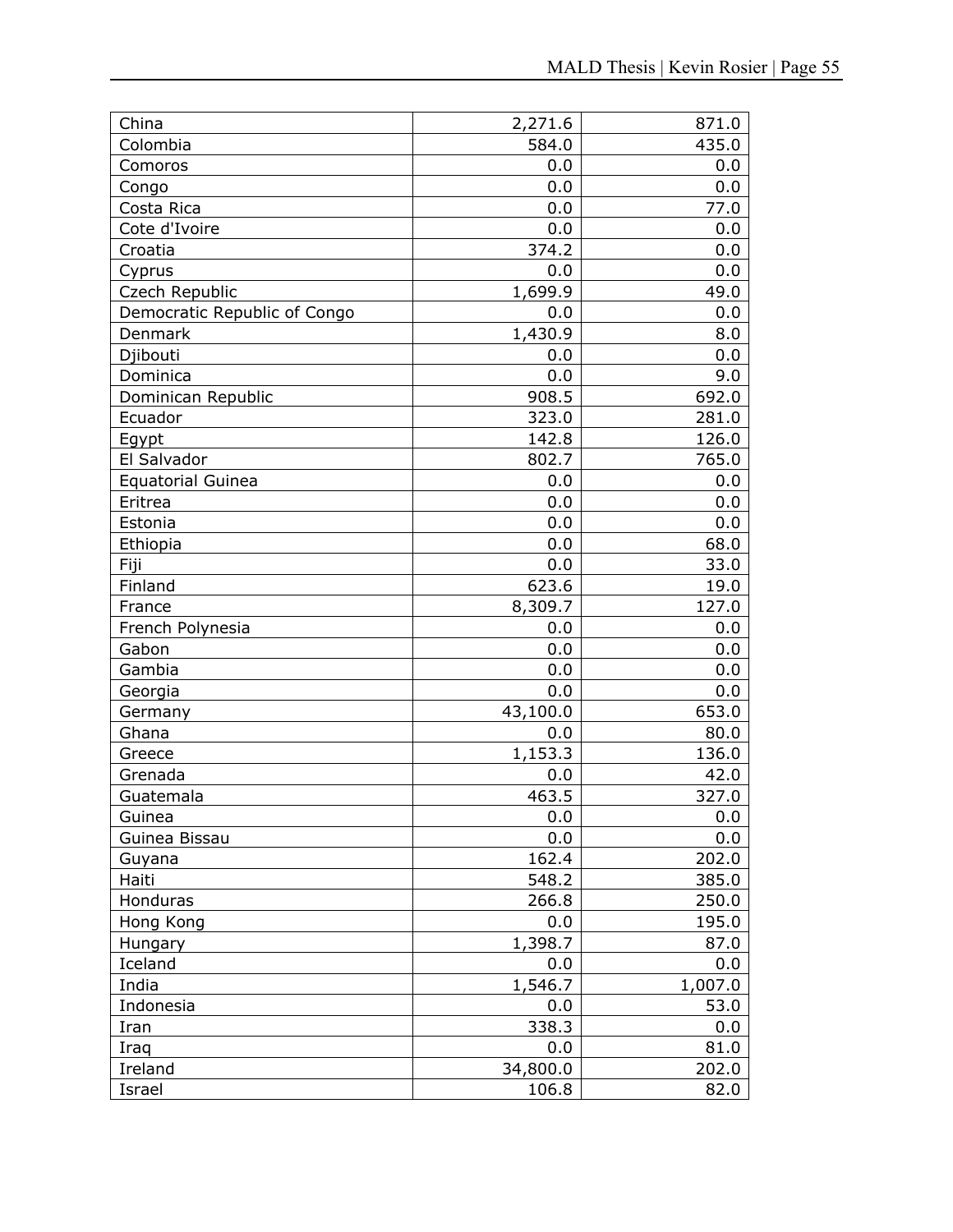| China                        | 2,271.6  | 871.0   |
|------------------------------|----------|---------|
| Colombia                     | 584.0    | 435.0   |
| Comoros                      | 0.0      | 0.0     |
| Congo                        | 0.0      | 0.0     |
| Costa Rica                   | 0.0      | 77.0    |
| Cote d'Ivoire                | 0.0      | 0.0     |
| Croatia                      | 374.2    | 0.0     |
| Cyprus                       | 0.0      | 0.0     |
| Czech Republic               | 1,699.9  | 49.0    |
| Democratic Republic of Congo | 0.0      | 0.0     |
| Denmark                      | 1,430.9  | 8.0     |
| Djibouti                     | 0.0      | 0.0     |
| Dominica                     | 0.0      | 9.0     |
| Dominican Republic           | 908.5    | 692.0   |
| Ecuador                      | 323.0    | 281.0   |
| Egypt                        | 142.8    | 126.0   |
| El Salvador                  | 802.7    | 765.0   |
| <b>Equatorial Guinea</b>     | 0.0      | 0.0     |
| Eritrea                      | 0.0      | 0.0     |
| Estonia                      | 0.0      | 0.0     |
| Ethiopia                     | 0.0      | 68.0    |
| Fiji                         | 0.0      | 33.0    |
| Finland                      | 623.6    | 19.0    |
| France                       | 8,309.7  | 127.0   |
| French Polynesia             | 0.0      | 0.0     |
| Gabon                        | 0.0      | 0.0     |
| Gambia                       | 0.0      | 0.0     |
| Georgia                      | 0.0      | 0.0     |
| Germany                      | 43,100.0 | 653.0   |
| Ghana                        | 0.0      | 80.0    |
| Greece                       | 1,153.3  | 136.0   |
| Grenada                      | 0.0      | 42.0    |
| Guatemala                    | 463.5    | 327.0   |
| Guinea                       | 0.0      | 0.0     |
| Guinea Bissau                | 0.0      | 0.0     |
| Guyana                       | 162.4    | 202.0   |
| Haiti                        | 548.2    | 385.0   |
| Honduras                     | 266.8    | 250.0   |
| Hong Kong                    | 0.0      | 195.0   |
| Hungary                      | 1,398.7  | 87.0    |
| Iceland                      | 0.0      | 0.0     |
| India                        | 1,546.7  | 1,007.0 |
| Indonesia                    | 0.0      | 53.0    |
| Iran                         | 338.3    | 0.0     |
| Iraq                         | 0.0      | 81.0    |
| Ireland                      | 34,800.0 | 202.0   |
| Israel                       | 106.8    | 82.0    |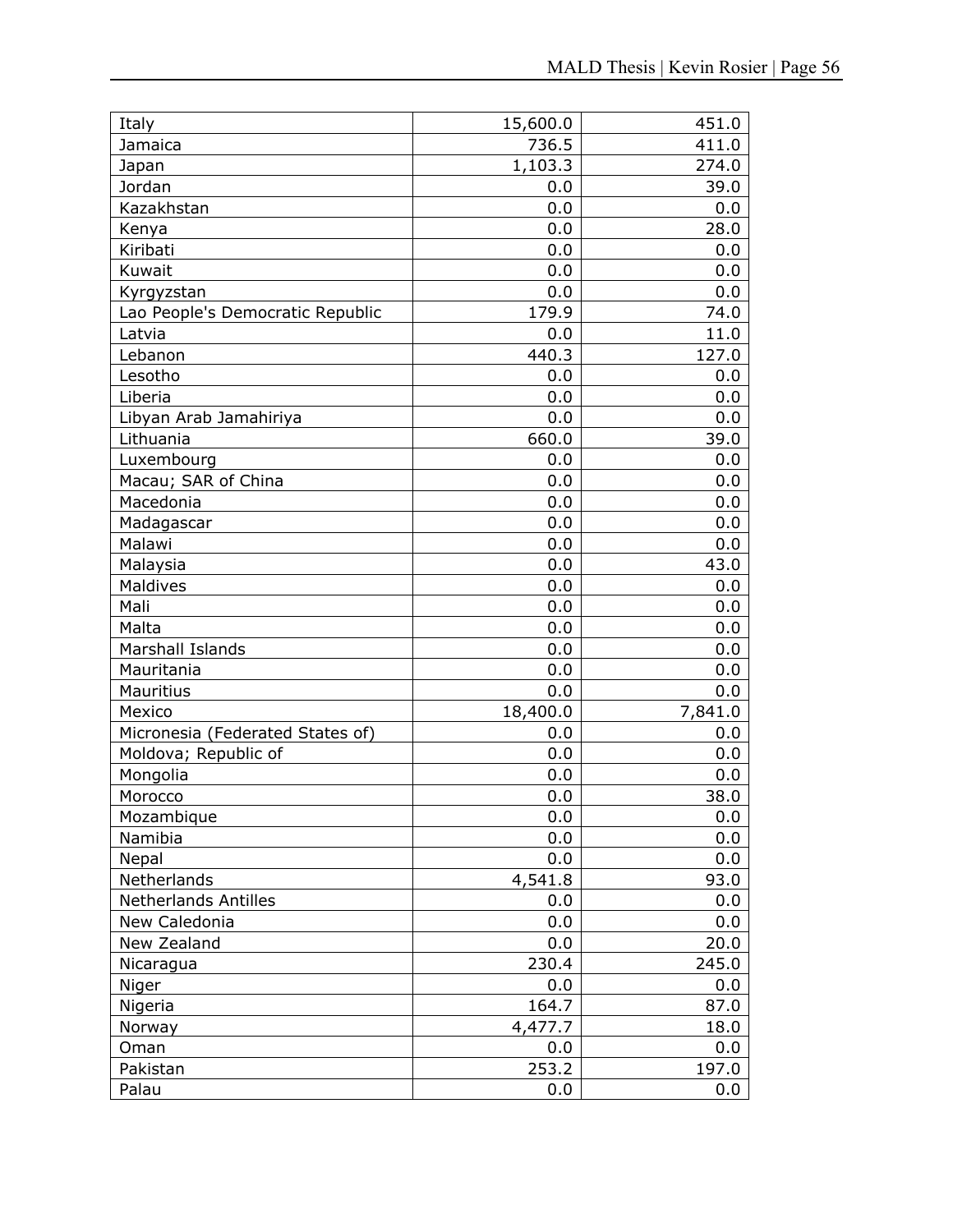| Italy                            | 15,600.0 | 451.0   |
|----------------------------------|----------|---------|
| Jamaica                          | 736.5    | 411.0   |
| Japan                            | 1,103.3  | 274.0   |
| Jordan                           | 0.0      | 39.0    |
| Kazakhstan                       | 0.0      | 0.0     |
| Kenya                            | 0.0      | 28.0    |
| Kiribati                         | 0.0      | 0.0     |
| Kuwait                           | 0.0      | 0.0     |
| Kyrgyzstan                       | 0.0      | 0.0     |
| Lao People's Democratic Republic | 179.9    | 74.0    |
| Latvia                           | 0.0      | 11.0    |
| Lebanon                          | 440.3    | 127.0   |
| Lesotho                          | 0.0      | 0.0     |
| Liberia                          | 0.0      | 0.0     |
| Libyan Arab Jamahiriya           | 0.0      | 0.0     |
| Lithuania                        | 660.0    | 39.0    |
| Luxembourg                       | 0.0      | 0.0     |
| Macau; SAR of China              | 0.0      | 0.0     |
| Macedonia                        | 0.0      | 0.0     |
| Madagascar                       | 0.0      | 0.0     |
| Malawi                           | 0.0      | 0.0     |
| Malaysia                         | 0.0      | 43.0    |
| Maldives                         | 0.0      | 0.0     |
| Mali                             | 0.0      | 0.0     |
| Malta                            | 0.0      | 0.0     |
| Marshall Islands                 | 0.0      | 0.0     |
| Mauritania                       | 0.0      | 0.0     |
| <b>Mauritius</b>                 | 0.0      | 0.0     |
| Mexico                           | 18,400.0 | 7,841.0 |
| Micronesia (Federated States of) | 0.0      | 0.0     |
| Moldova; Republic of             | 0.0      | 0.0     |
| Mongolia                         | 0.0      | 0.0     |
| Morocco                          | 0.0      | 38.0    |
| Mozambique                       | 0.0      | 0.0     |
| Namibia                          | 0.0      | 0.0     |
| Nepal                            | 0.0      | 0.0     |
| Netherlands                      | 4,541.8  | 93.0    |
| <b>Netherlands Antilles</b>      | 0.0      | 0.0     |
| New Caledonia                    | 0.0      | 0.0     |
| New Zealand                      | 0.0      | 20.0    |
| Nicaragua                        | 230.4    | 245.0   |
| Niger                            | 0.0      | 0.0     |
| Nigeria                          | 164.7    | 87.0    |
| Norway                           | 4,477.7  | 18.0    |
| Oman                             | 0.0      | 0.0     |
| Pakistan                         | 253.2    | 197.0   |
| Palau                            | 0.0      | 0.0     |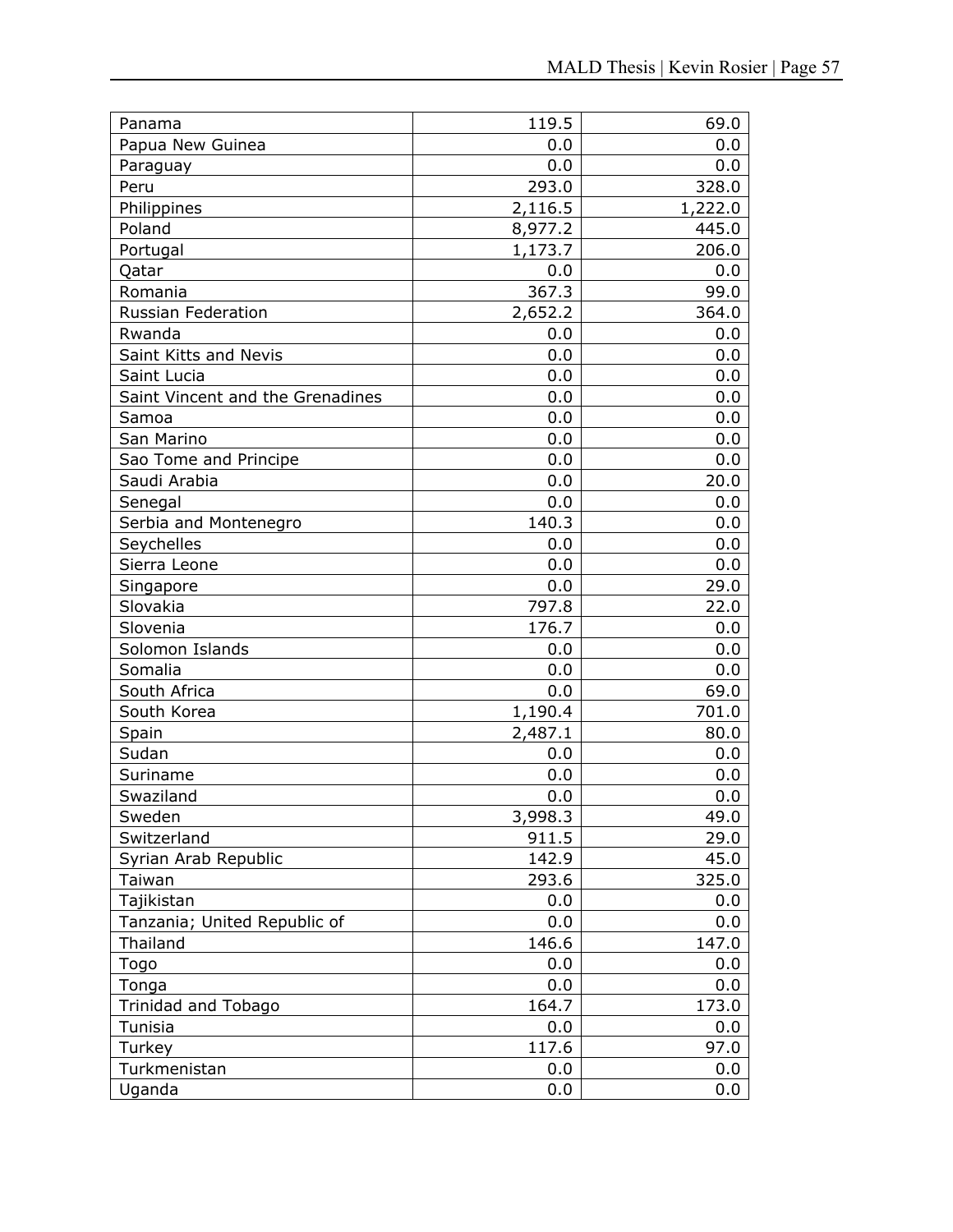| Panama                           | 119.5   | 69.0    |
|----------------------------------|---------|---------|
| Papua New Guinea                 | 0.0     | 0.0     |
| Paraguay                         | 0.0     | 0.0     |
| Peru                             | 293.0   | 328.0   |
| Philippines                      | 2,116.5 | 1,222.0 |
| Poland                           | 8,977.2 | 445.0   |
| Portugal                         | 1,173.7 | 206.0   |
| Qatar                            | 0.0     | 0.0     |
| Romania                          | 367.3   | 99.0    |
| <b>Russian Federation</b>        | 2,652.2 | 364.0   |
| Rwanda                           | 0.0     | 0.0     |
| Saint Kitts and Nevis            | 0.0     | 0.0     |
| Saint Lucia                      | 0.0     | 0.0     |
| Saint Vincent and the Grenadines | 0.0     | 0.0     |
| Samoa                            | 0.0     | 0.0     |
| San Marino                       | 0.0     | 0.0     |
| Sao Tome and Principe            | 0.0     | 0.0     |
| Saudi Arabia                     | 0.0     | 20.0    |
| Senegal                          | 0.0     | 0.0     |
| Serbia and Montenegro            | 140.3   | 0.0     |
| Seychelles                       | 0.0     | 0.0     |
| Sierra Leone                     | 0.0     | 0.0     |
| Singapore                        | 0.0     | 29.0    |
| Slovakia                         | 797.8   | 22.0    |
| Slovenia                         | 176.7   | 0.0     |
| Solomon Islands                  | 0.0     | 0.0     |
| Somalia                          | 0.0     | 0.0     |
| South Africa                     | 0.0     | 69.0    |
| South Korea                      | 1,190.4 | 701.0   |
| Spain                            | 2,487.1 | 80.0    |
| Sudan                            | 0.0     | 0.0     |
| Suriname                         | 0.0     | 0.0     |
| Swaziland                        | 0.0     | 0.0     |
| Sweden                           | 3,998.3 | 49.0    |
| Switzerland                      | 911.5   | 29.0    |
| Syrian Arab Republic             | 142.9   | 45.0    |
| Taiwan                           | 293.6   | 325.0   |
| Tajikistan                       | 0.0     | 0.0     |
| Tanzania; United Republic of     | 0.0     | 0.0     |
| Thailand                         | 146.6   | 147.0   |
| Togo                             | 0.0     | 0.0     |
| Tonga                            | 0.0     | 0.0     |
| Trinidad and Tobago              | 164.7   | 173.0   |
| Tunisia                          | 0.0     | 0.0     |
| Turkey                           | 117.6   | 97.0    |
| Turkmenistan                     | 0.0     | 0.0     |
| Uganda                           | 0.0     | 0.0     |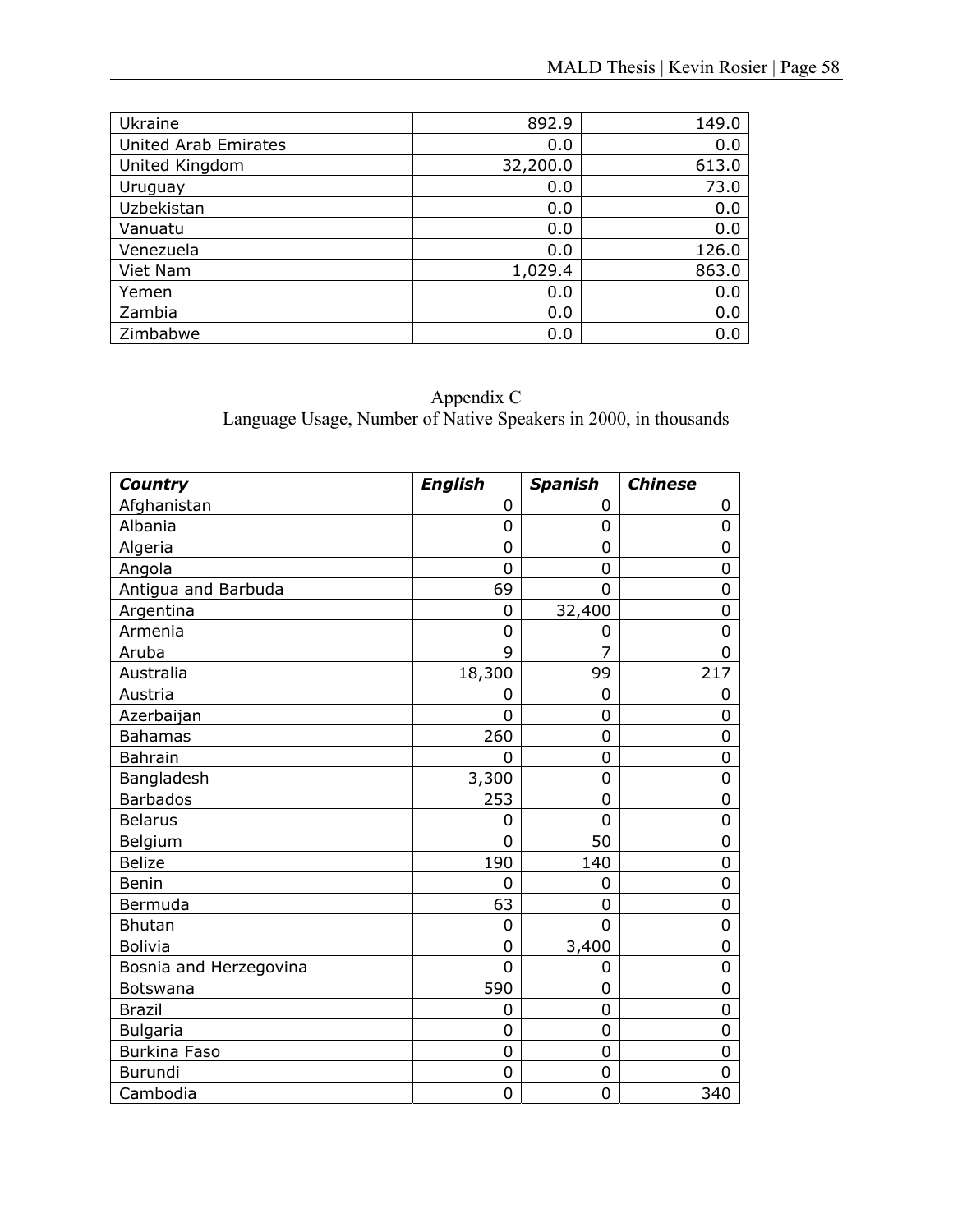| Ukraine                     | 892.9    | 149.0 |
|-----------------------------|----------|-------|
| <b>United Arab Emirates</b> | 0.0      | 0.0   |
| United Kingdom              | 32,200.0 | 613.0 |
| Uruguay                     | 0.0      | 73.0  |
| Uzbekistan                  | 0.0      | 0.0   |
| Vanuatu                     | 0.0      | 0.0   |
| Venezuela                   | 0.0      | 126.0 |
| Viet Nam                    | 1,029.4  | 863.0 |
| Yemen                       | 0.0      | 0.0   |
| Zambia                      | 0.0      | 0.0   |
| Zimbabwe                    | 0.0      | 0.0   |

### Appendix C Language Usage, Number of Native Speakers in 2000, in thousands

| Country                | <b>English</b> | <b>Spanish</b> | <b>Chinese</b> |
|------------------------|----------------|----------------|----------------|
| Afghanistan            | 0              | 0              | 0              |
| Albania                | 0              | 0              | 0              |
| Algeria                | 0              | 0              | 0              |
| Angola                 | 0              | $\Omega$       | 0              |
| Antigua and Barbuda    | 69             | 0              | 0              |
| Argentina              | 0              | 32,400         | 0              |
| Armenia                | 0              | 0              | 0              |
| Aruba                  | 9              | 7              | 0              |
| Australia              | 18,300         | 99             | 217            |
| Austria                | 0              | 0              | 0              |
| Azerbaijan             | $\overline{0}$ | 0              | 0              |
| <b>Bahamas</b>         | 260            | 0              | $\overline{0}$ |
| <b>Bahrain</b>         | 0              | 0              | 0              |
| Bangladesh             | 3,300          | 0              | $\overline{0}$ |
| <b>Barbados</b>        | 253            | $\overline{0}$ | $\overline{0}$ |
| <b>Belarus</b>         | 0              | $\Omega$       | $\overline{0}$ |
| Belgium                | $\overline{0}$ | 50             | $\overline{0}$ |
| <b>Belize</b>          | 190            | 140            | $\overline{0}$ |
| <b>Benin</b>           | 0              | 0              | $\overline{0}$ |
| Bermuda                | 63             | 0              | 0              |
| <b>Bhutan</b>          | 0              | 0              | $\overline{0}$ |
| <b>Bolivia</b>         | 0              | 3,400          | 0              |
| Bosnia and Herzegovina | $\overline{0}$ | $\overline{0}$ | $\overline{0}$ |
| Botswana               | 590            | $\Omega$       | 0              |
| <b>Brazil</b>          | 0              | 0              | $\overline{0}$ |
| <b>Bulgaria</b>        | 0              | 0              | 0              |
| <b>Burkina Faso</b>    | 0              | 0              | 0              |
| Burundi                | 0              | 0              | 0              |
| Cambodia               | 0              | 0              | 340            |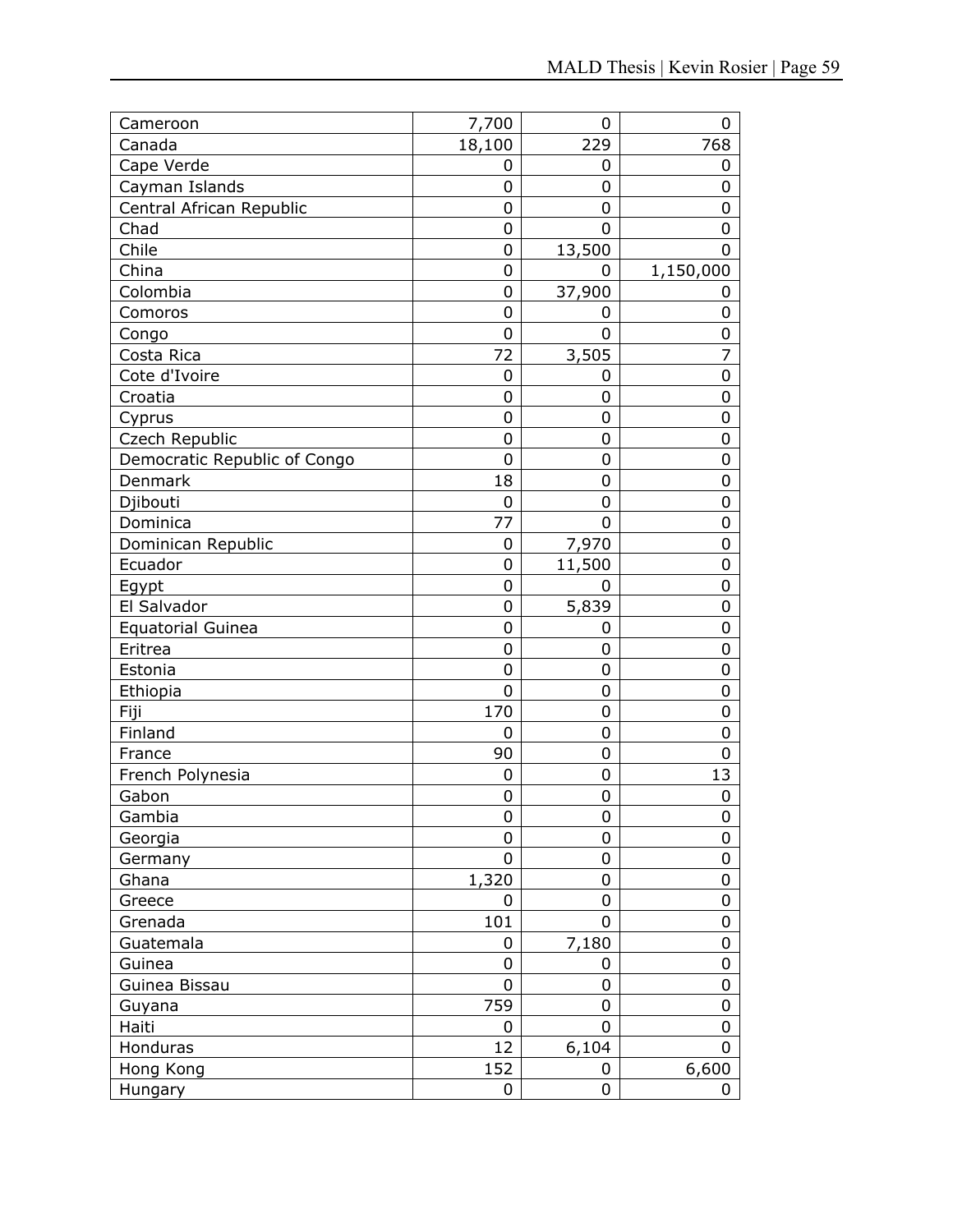| Cameroon                     | 7,700          | 0              | 0         |
|------------------------------|----------------|----------------|-----------|
| Canada                       | 18,100         | 229            | 768       |
| Cape Verde                   | 0              | 0              | 0         |
| Cayman Islands               | $\overline{0}$ | 0              | 0         |
| Central African Republic     | 0              | 0              | 0         |
| Chad                         | 0              | 0              | 0         |
| Chile                        | 0              | 13,500         | 0         |
| China                        | 0              | 0              | 1,150,000 |
| Colombia                     | 0              | 37,900         | 0         |
| Comoros                      | 0              | 0              | 0         |
| Congo                        | $\overline{0}$ | 0              | 0         |
| Costa Rica                   | 72             | 3,505          | 7         |
| Cote d'Ivoire                | 0              | 0              | 0         |
| Croatia                      | 0              | 0              | 0         |
| Cyprus                       | $\overline{0}$ | 0              | 0         |
| Czech Republic               | $\overline{0}$ | 0              | 0         |
| Democratic Republic of Congo | 0              | 0              | 0         |
| Denmark                      | 18             | 0              | 0         |
| Djibouti                     | $\mathbf 0$    | 0              | 0         |
| Dominica                     | 77             | $\overline{0}$ | 0         |
| Dominican Republic           | 0              | 7,970          | 0         |
| Ecuador                      | 0              | 11,500         | 0         |
| Egypt                        | 0              | 0              | 0         |
| El Salvador                  | 0              | 5,839          | 0         |
| <b>Equatorial Guinea</b>     | 0              | 0              | 0         |
| Eritrea                      | 0              | 0              | 0         |
| Estonia                      | $\overline{0}$ | 0              | 0         |
| Ethiopia                     | $\overline{0}$ | 0              | 0         |
| Fiji                         | 170            | 0              | 0         |
| Finland                      | 0              | 0              | 0         |
| France                       | 90             | 0              | 0         |
| French Polynesia             | 0              | 0              | 13        |
| Gabon                        | 0              | 0              | 0         |
| Gambia                       | 0              | 0              | 0         |
| Georgia                      | 0              | 0              | 0         |
| Germany                      | 0              | 0              | 0         |
| Ghana                        | 1,320          | 0              | 0         |
| Greece                       | 0              | 0              | 0         |
| Grenada                      | 101            | 0              | 0         |
| Guatemala                    | 0              | 7,180          | 0         |
| Guinea                       | 0              | 0              | 0         |
| Guinea Bissau                | 0              | 0              | 0         |
| Guyana                       | 759            | 0              | 0         |
| Haiti                        | 0              | 0              | 0         |
| Honduras                     | 12             | 6,104          | 0         |
| Hong Kong                    | 152            | 0              | 6,600     |
| Hungary                      | 0              | 0              | 0         |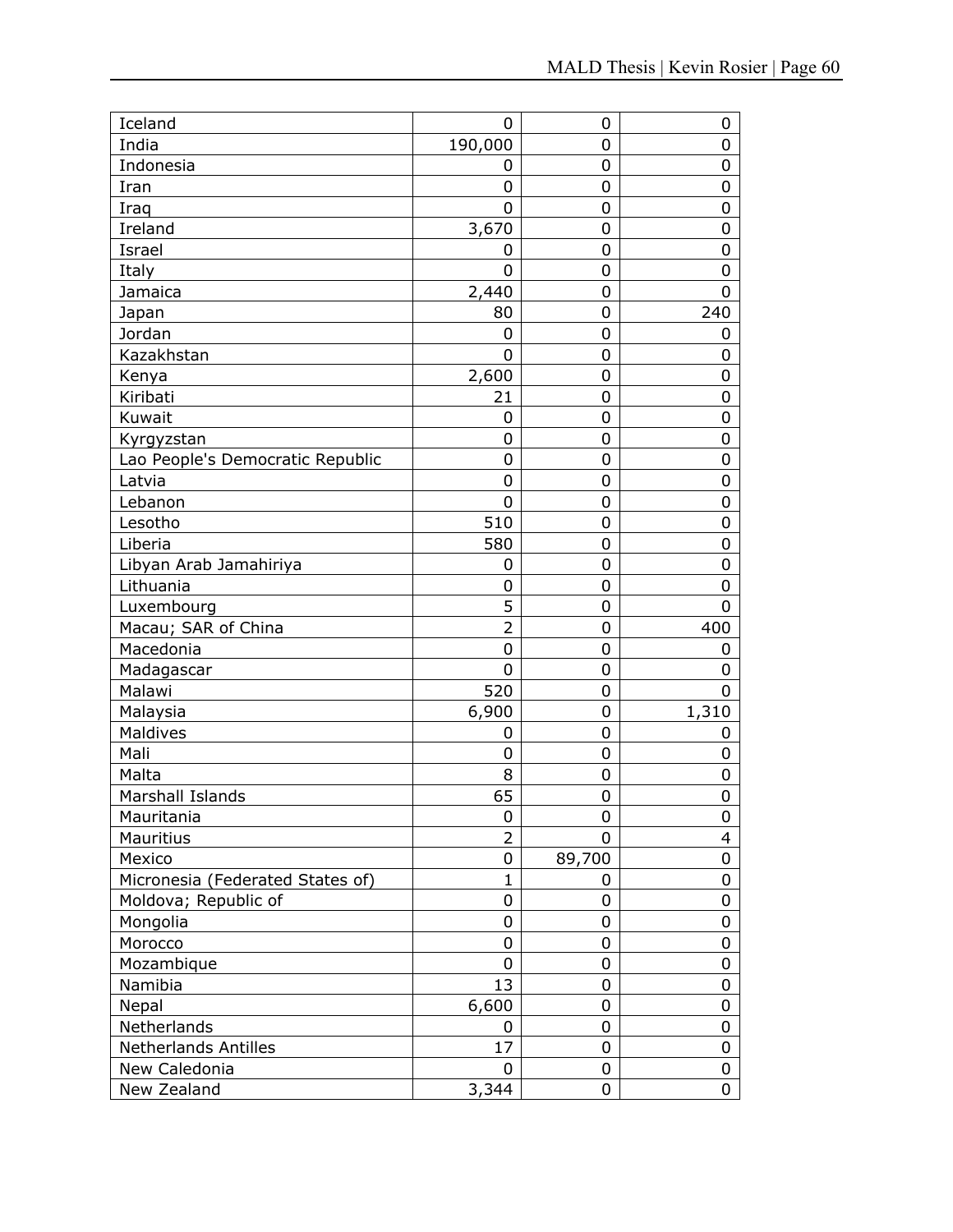| Iceland                          | 0              | 0                | $\mathbf 0$    |
|----------------------------------|----------------|------------------|----------------|
| India                            | 190,000        | 0                | 0              |
| Indonesia                        | 0              | 0                | $\mathbf 0$    |
| Iran                             | 0              | 0                | $\mathbf 0$    |
| Iraq                             | 0              | 0                | $\mathbf 0$    |
| Ireland                          | 3,670          | 0                | $\mathbf 0$    |
| Israel                           | 0              | 0                | $\mathbf 0$    |
| Italy                            | $\overline{0}$ | 0                | $\mathbf 0$    |
| Jamaica                          | 2,440          | 0                | $\overline{0}$ |
| Japan                            | 80             | 0                | 240            |
| Jordan                           | 0              | 0                | 0              |
| Kazakhstan                       | $\overline{0}$ | 0                | $\mathbf 0$    |
| Kenya                            | 2,600          | 0                | $\mathbf 0$    |
| Kiribati                         | 21             | 0                | $\mathbf 0$    |
| Kuwait                           | 0              | 0                | $\mathbf 0$    |
| Kyrgyzstan                       | $\mathbf 0$    | 0                | $\mathbf 0$    |
| Lao People's Democratic Republic | 0              | 0                | $\mathbf 0$    |
| Latvia                           | $\mathbf 0$    | 0                | $\mathbf 0$    |
| Lebanon                          | 0              | 0                | $\mathbf 0$    |
| Lesotho                          | 510            | 0                | $\mathbf 0$    |
| Liberia                          | 580            | 0                | $\mathbf 0$    |
| Libyan Arab Jamahiriya           | 0              | 0                | $\mathbf 0$    |
| Lithuania                        | 0              | 0                | $\mathbf 0$    |
| Luxembourg                       | 5              | 0                | 0              |
| Macau; SAR of China              | $\overline{2}$ | 0                | 400            |
| Macedonia                        | $\mathbf 0$    | 0                | 0              |
| Madagascar                       | $\overline{0}$ | 0                | $\mathbf 0$    |
| Malawi                           | 520            | 0                | $\mathbf 0$    |
| Malaysia                         | 6,900          | $\mathbf 0$      | 1,310          |
| Maldives                         | 0              | $\boldsymbol{0}$ | $\mathbf 0$    |
| Mali                             | 0              | 0                | $\mathbf 0$    |
| Malta                            | 8              | 0                | $\mathbf 0$    |
| Marshall Islands                 | 65             | 0                | $\mathbf 0$    |
| Mauritania                       | 0              | 0                | 0              |
| Mauritius                        | $\overline{2}$ | 0                | $\overline{4}$ |
| Mexico                           | 0              | 89,700           | 0              |
| Micronesia (Federated States of) | $\mathbf{1}$   | 0                | 0              |
| Moldova; Republic of             | 0              | 0                | $\pmb{0}$      |
| Mongolia                         | 0              | 0                | $\mathbf 0$    |
| Morocco                          | 0              | 0                | 0              |
| Mozambique                       | 0              | 0                | $\pmb{0}$      |
| Namibia                          | 13             | 0                | $\pmb{0}$      |
| Nepal                            | 6,600          | 0                | $\mathbf 0$    |
| Netherlands                      | 0              | 0                | 0              |
| <b>Netherlands Antilles</b>      | 17             | 0                | 0              |
| New Caledonia                    | 0              | 0                | 0              |
| New Zealand                      | 3,344          | 0                | 0              |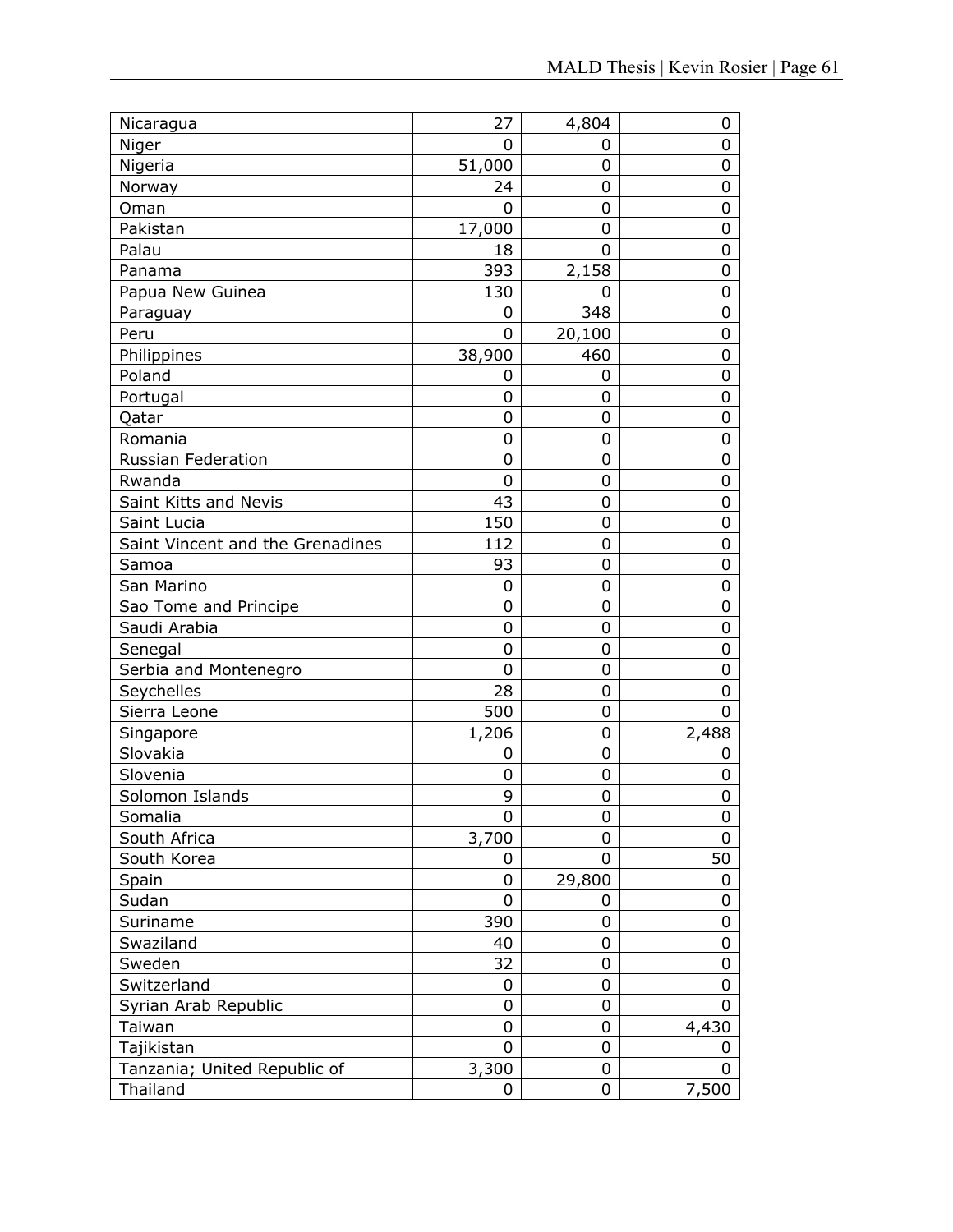| Nicaragua                        | 27     | 4,804          | 0     |
|----------------------------------|--------|----------------|-------|
| Niger                            | 0      | 0              | 0     |
| Nigeria                          | 51,000 | $\overline{0}$ | 0     |
| Norway                           | 24     | 0              | 0     |
| Oman                             | 0      | 0              | 0     |
| Pakistan                         | 17,000 | 0              | 0     |
| Palau                            | 18     | 0              | 0     |
| Panama                           | 393    | 2,158          | 0     |
| Papua New Guinea                 | 130    | 0              | 0     |
| Paraguay                         | 0      | 348            | 0     |
| Peru                             | 0      | 20,100         | 0     |
| Philippines                      | 38,900 | 460            | 0     |
| Poland                           | 0      | 0              | 0     |
| Portugal                         | 0      | 0              | 0     |
| Qatar                            | 0      | 0              | 0     |
| Romania                          | 0      | 0              | 0     |
| <b>Russian Federation</b>        | 0      | 0              | 0     |
| Rwanda                           | 0      | 0              | 0     |
| Saint Kitts and Nevis            | 43     | 0              | 0     |
| Saint Lucia                      | 150    | 0              | 0     |
| Saint Vincent and the Grenadines | 112    | 0              | 0     |
| Samoa                            | 93     | 0              | 0     |
| San Marino                       | 0      | 0              | 0     |
| Sao Tome and Principe            | 0      | 0              | 0     |
| Saudi Arabia                     | 0      | 0              | 0     |
| Senegal                          | 0      | 0              | 0     |
| Serbia and Montenegro            | 0      | 0              | 0     |
| Seychelles                       | 28     | 0              | 0     |
| Sierra Leone                     | 500    | 0              | 0     |
| Singapore                        | 1,206  | 0              | 2,488 |
| Slovakia                         | 0      | 0              | 0     |
| Slovenia                         | 0      | 0              | 0     |
| Solomon Islands                  | 9      | 0              | 0     |
| Somalia                          | 0      | 0              | 0     |
| South Africa                     | 3,700  | 0              | 0     |
| South Korea                      | 0      | 0              | 50    |
| Spain                            | 0      | 29,800         | 0     |
| Sudan                            | 0      | 0              | 0     |
| Suriname                         | 390    | 0              | 0     |
| Swaziland                        | 40     | 0              | 0     |
| Sweden                           | 32     | 0              | 0     |
| Switzerland                      | 0      | 0              | 0     |
| Syrian Arab Republic             | 0      | 0              | 0     |
| Taiwan                           | 0      | 0              | 4,430 |
| Tajikistan                       | 0      | 0              | 0     |
| Tanzania; United Republic of     | 3,300  | 0              | 0     |
| Thailand                         | 0      | 0              | 7,500 |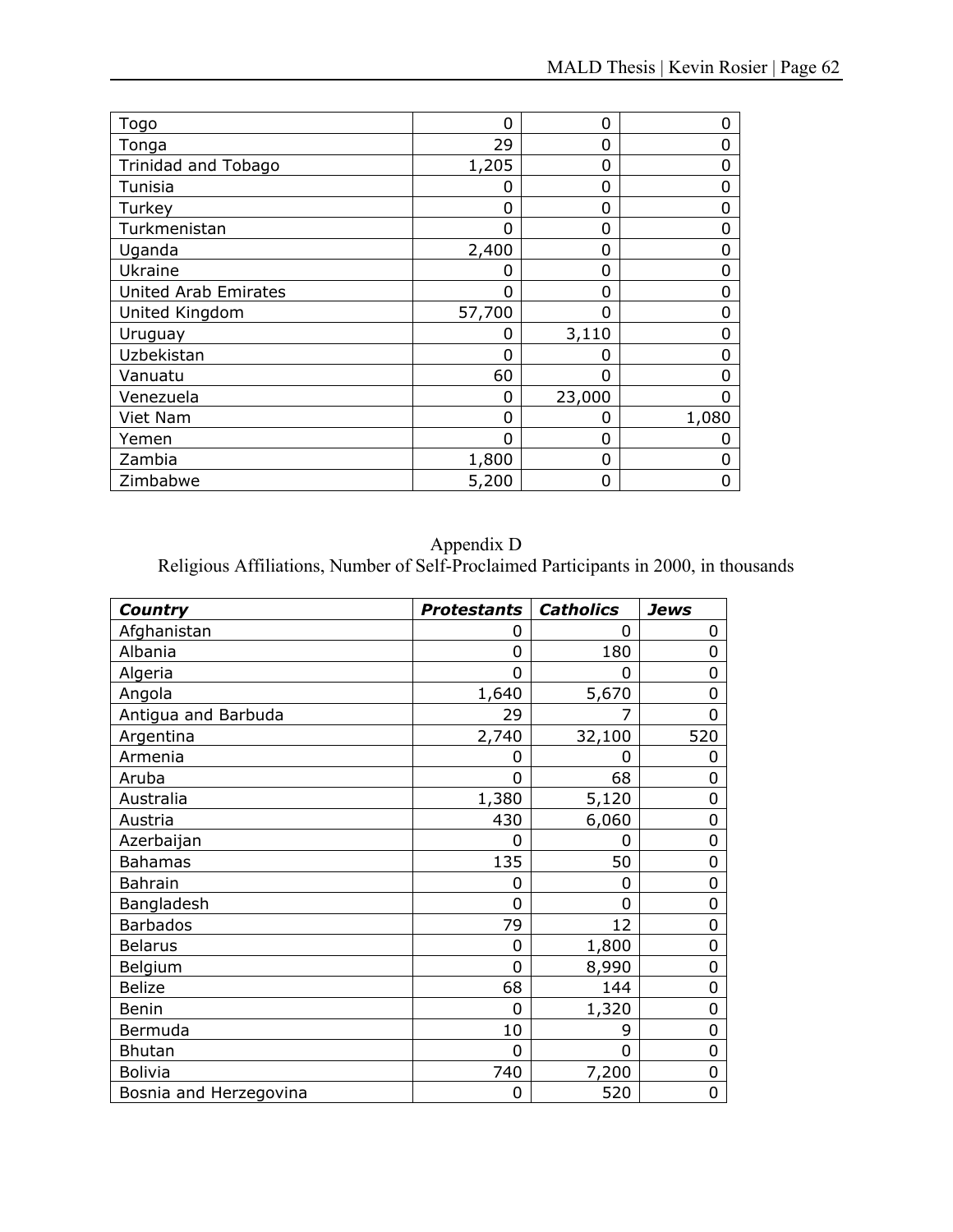| Togo                        | 0      | 0      | O     |
|-----------------------------|--------|--------|-------|
| Tonga                       | 29     | 0      | 0     |
| Trinidad and Tobago         | 1,205  | 0      | Ω     |
| Tunisia                     | ი      | 0      | 0     |
| Turkey                      | ი      | 0      | Ω     |
| Turkmenistan                | Ⴖ      | 0      | 0     |
| Uganda                      | 2,400  | 0      | O     |
| Ukraine                     | 0      | 0      | 0     |
| <b>United Arab Emirates</b> | ი      | 0      | O     |
| United Kingdom              | 57,700 | 0      | 0     |
| Uruguay                     | 0      | 3,110  |       |
| Uzbekistan                  | ი      | O      |       |
| Vanuatu                     | 60     | 0      | Ω     |
| Venezuela                   | 0      | 23,000 | 0     |
| Viet Nam                    | 0      | 0      | 1,080 |
| Yemen                       | 0      | 0      |       |
| Zambia                      | 1,800  | 0      | 0     |
| Zimbabwe                    | 5,200  | 0      | O     |

# Appendix D

| Country                | <b>Protestants</b> | <b>Catholics</b> | Jews           |
|------------------------|--------------------|------------------|----------------|
| Afghanistan            | 0                  | 0                | 0              |
| Albania                | 0                  | 180              | 0              |
| Algeria                | 0                  | 0                | 0              |
| Angola                 | 1,640              | 5,670            | 0              |
| Antigua and Barbuda    | 29                 |                  | $\overline{0}$ |
| Argentina              | 2,740              | 32,100           | 520            |
| Armenia                | 0                  | 0                | 0              |
| Aruba                  | ი                  | 68               | 0              |
| Australia              | 1,380              | 5,120            | $\mathbf 0$    |
| Austria                | 430                | 6,060            | $\mathbf 0$    |
| Azerbaijan             | 0                  | 0                | $\overline{0}$ |
| <b>Bahamas</b>         | 135                | 50               | $\mathbf 0$    |
| <b>Bahrain</b>         | 0                  | 0                | 0              |
| Bangladesh             | ი                  | 0                | 0              |
| <b>Barbados</b>        | 79                 | 12               | 0              |
| <b>Belarus</b>         | 0                  | 1,800            | 0              |
| Belgium                | 0                  | 8,990            | 0              |
| <b>Belize</b>          | 68                 | 144              | 0              |
| Benin                  | 0                  | 1,320            | 0              |
| Bermuda                | 10                 | 9                | $\mathbf 0$    |
| <b>Bhutan</b>          | 0                  | 0                | 0              |
| <b>Bolivia</b>         | 740                | 7,200            | $\mathbf 0$    |
| Bosnia and Herzegovina | 0                  | 520              | $\overline{0}$ |

Religious Affiliations, Number of Self-Proclaimed Participants in 2000, in thousands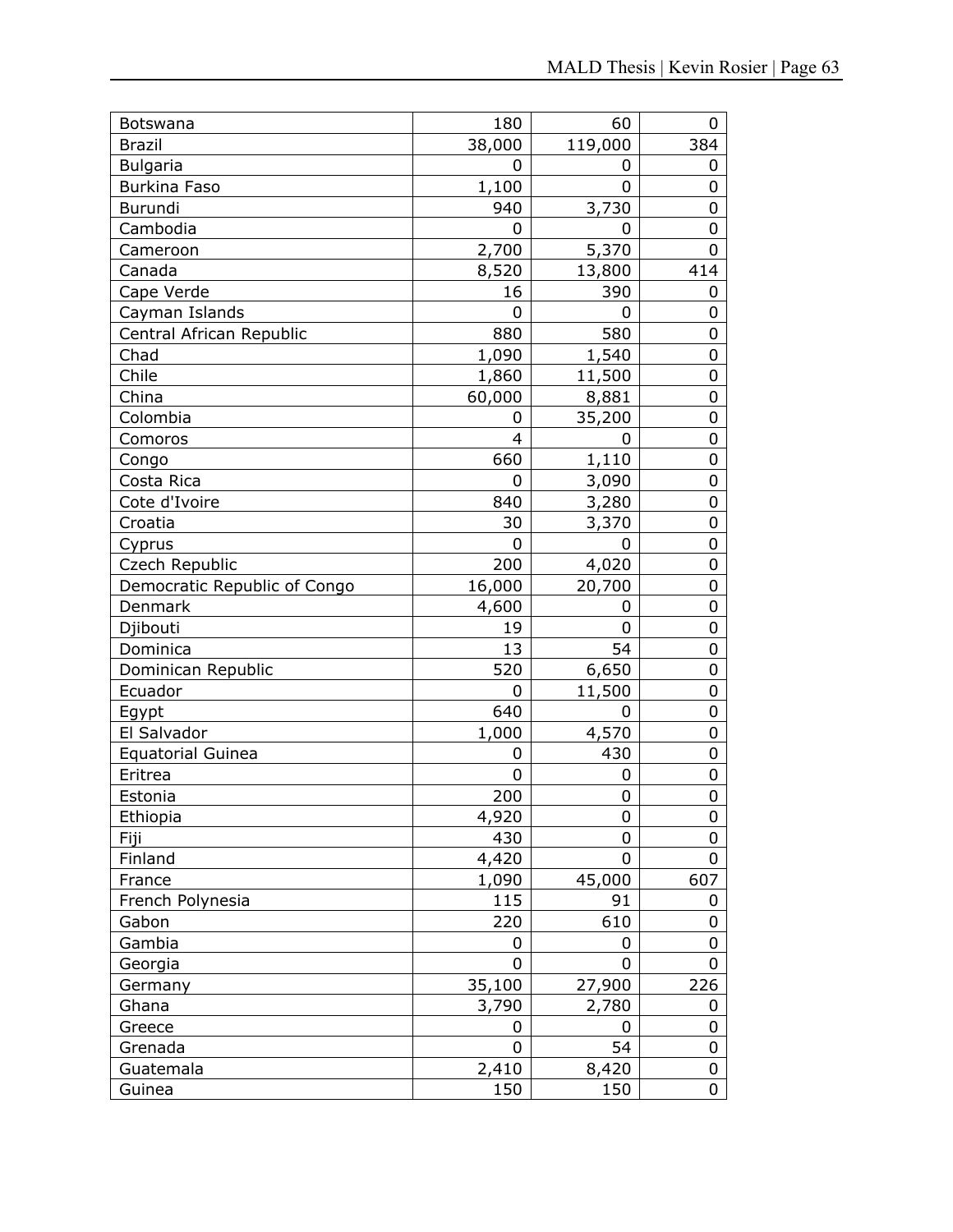| Botswana                     | 180         | 60      | 0   |
|------------------------------|-------------|---------|-----|
| <b>Brazil</b>                | 38,000      | 119,000 | 384 |
| <b>Bulgaria</b>              | 0           | 0       | 0   |
| <b>Burkina Faso</b>          | 1,100       | 0       | 0   |
| Burundi                      | 940         | 3,730   | 0   |
| Cambodia                     | 0           | 0       | 0   |
| Cameroon                     | 2,700       | 5,370   | 0   |
| Canada                       | 8,520       | 13,800  | 414 |
| Cape Verde                   | 16          | 390     | 0   |
| Cayman Islands               | 0           | 0       | 0   |
| Central African Republic     | 880         | 580     | 0   |
| Chad                         | 1,090       | 1,540   | 0   |
| Chile                        | 1,860       | 11,500  | 0   |
| China                        | 60,000      | 8,881   | 0   |
| Colombia                     | 0           | 35,200  | 0   |
| Comoros                      | 4           | 0       | 0   |
| Congo                        | 660         | 1,110   | 0   |
| Costa Rica                   | 0           | 3,090   | 0   |
| Cote d'Ivoire                | 840         | 3,280   | 0   |
| Croatia                      | 30          | 3,370   | 0   |
| Cyprus                       | 0           | 0       | 0   |
| Czech Republic               | 200         | 4,020   | 0   |
| Democratic Republic of Congo | 16,000      | 20,700  | 0   |
| Denmark                      | 4,600       | 0       | 0   |
| Djibouti                     | 19          | 0       | 0   |
| Dominica                     | 13          | 54      | 0   |
| Dominican Republic           | 520         | 6,650   | 0   |
| Ecuador                      | 0           | 11,500  | 0   |
| Egypt                        | 640         | 0       | 0   |
| El Salvador                  | 1,000       | 4,570   | 0   |
| <b>Equatorial Guinea</b>     | 0           | 430     | 0   |
| Eritrea                      | $\mathbf 0$ | 0       | 0   |
| Estonia                      | 200         | 0       | 0   |
| Ethiopia                     | 4,920       | 0       | 0   |
| Fiji                         | 430         | 0       | 0   |
| Finland                      | 4,420       | 0       | 0   |
| France                       | 1,090       | 45,000  | 607 |
| French Polynesia             | 115         | 91      | 0   |
| Gabon                        | 220         | 610     | 0   |
| Gambia                       | 0           | 0       | 0   |
| Georgia                      | 0           | 0       | 0   |
| Germany                      | 35,100      | 27,900  | 226 |
| Ghana                        | 3,790       | 2,780   | 0   |
| Greece                       | 0           | 0       | 0   |
| Grenada                      | 0           | 54      | 0   |
| Guatemala                    | 2,410       | 8,420   | 0   |
| Guinea                       | 150         | 150     | 0   |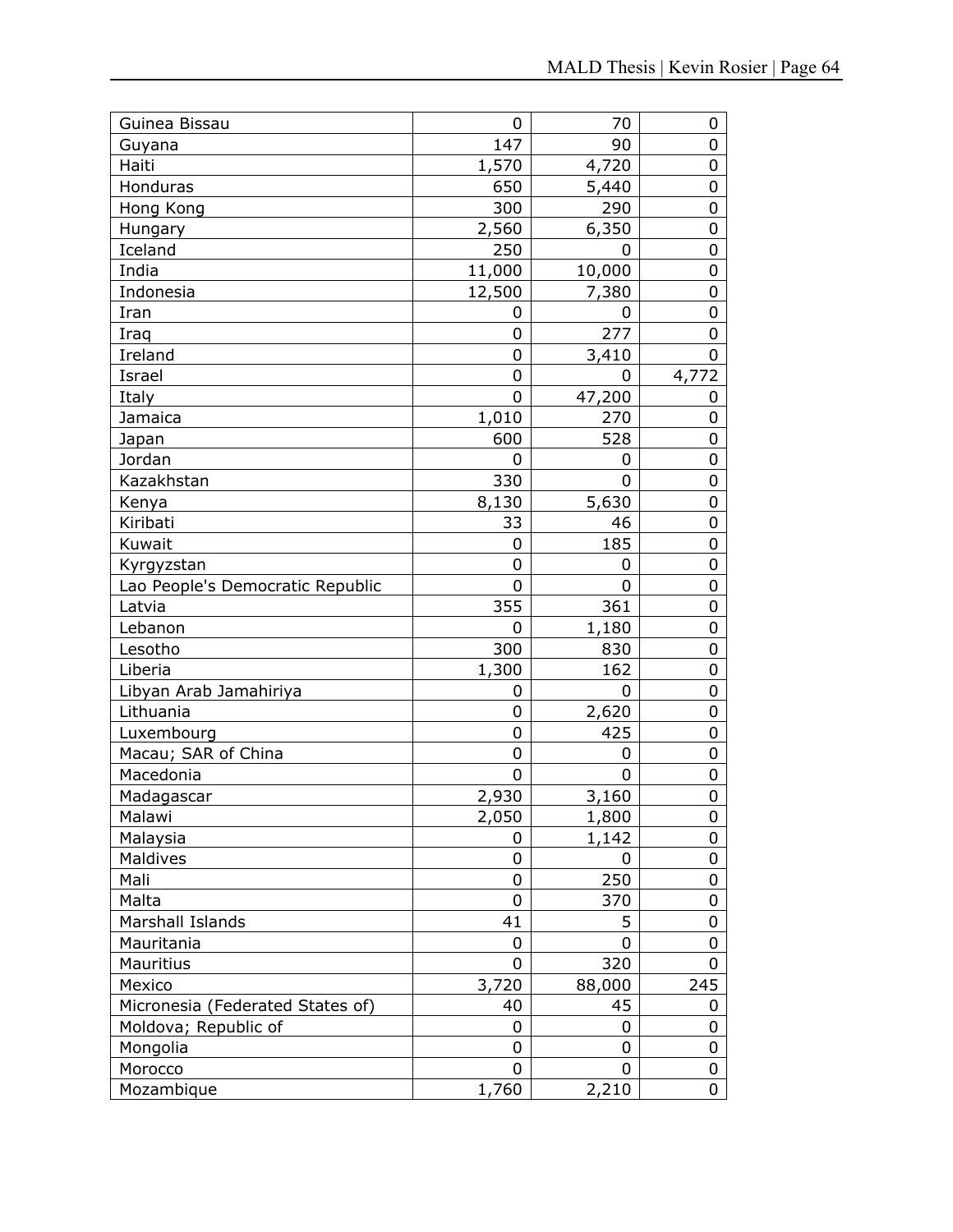| Guinea Bissau                    | 0      | 70     | 0                |
|----------------------------------|--------|--------|------------------|
| Guyana                           | 147    | 90     | 0                |
| Haiti                            | 1,570  | 4,720  | 0                |
| Honduras                         | 650    | 5,440  | 0                |
| Hong Kong                        | 300    | 290    | 0                |
| Hungary                          | 2,560  | 6,350  | $\boldsymbol{0}$ |
| Iceland                          | 250    | 0      | 0                |
| India                            | 11,000 | 10,000 | 0                |
| Indonesia                        | 12,500 | 7,380  | 0                |
| Iran                             | 0      | 0      | 0                |
| Iraq                             | 0      | 277    | 0                |
| Ireland                          | 0      | 3,410  | 0                |
| Israel                           | 0      | 0      | 4,772            |
| Italy                            | 0      | 47,200 | 0                |
| Jamaica                          | 1,010  | 270    | 0                |
| Japan                            | 600    | 528    | 0                |
| Jordan                           | 0      | 0      | 0                |
| Kazakhstan                       | 330    | 0      | $\mathbf 0$      |
| Kenya                            | 8,130  | 5,630  | 0                |
| Kiribati                         | 33     | 46     | 0                |
| Kuwait                           | 0      | 185    | 0                |
| Kyrgyzstan                       | 0      | 0      | $\boldsymbol{0}$ |
| Lao People's Democratic Republic | 0      | 0      | 0                |
| Latvia                           | 355    | 361    | 0                |
| Lebanon                          | 0      | 1,180  | 0                |
| Lesotho                          | 300    | 830    | $\mathbf 0$      |
| Liberia                          | 1,300  | 162    | 0                |
| Libyan Arab Jamahiriya           | 0      | 0      | 0                |
| Lithuania                        | 0      | 2,620  | 0                |
| Luxembourg                       | 0      | 425    | $\pmb{0}$        |
| Macau; SAR of China              | 0      | 0      | 0                |
| Macedonia                        | 0      | 0      | 0                |
| Madagascar                       | 2,930  | 3,160  | 0                |
| Malawi                           | 2,050  | 1,800  | 0                |
| Malaysia                         | 0      | 1,142  | 0                |
| Maldives                         | 0      | 0      | 0                |
| Mali                             | 0      | 250    | 0                |
| Malta                            | 0      | 370    | 0                |
| Marshall Islands                 | 41     | 5      | 0                |
| Mauritania                       | 0      | 0      | 0                |
| Mauritius                        | 0      | 320    | 0                |
| Mexico                           | 3,720  | 88,000 | 245              |
| Micronesia (Federated States of) | 40     | 45     | 0                |
| Moldova; Republic of             | 0      | 0      | 0                |
| Mongolia                         | 0      | 0      | 0                |
| Morocco                          | 0      | 0      | 0                |
| Mozambique                       | 1,760  | 2,210  | 0                |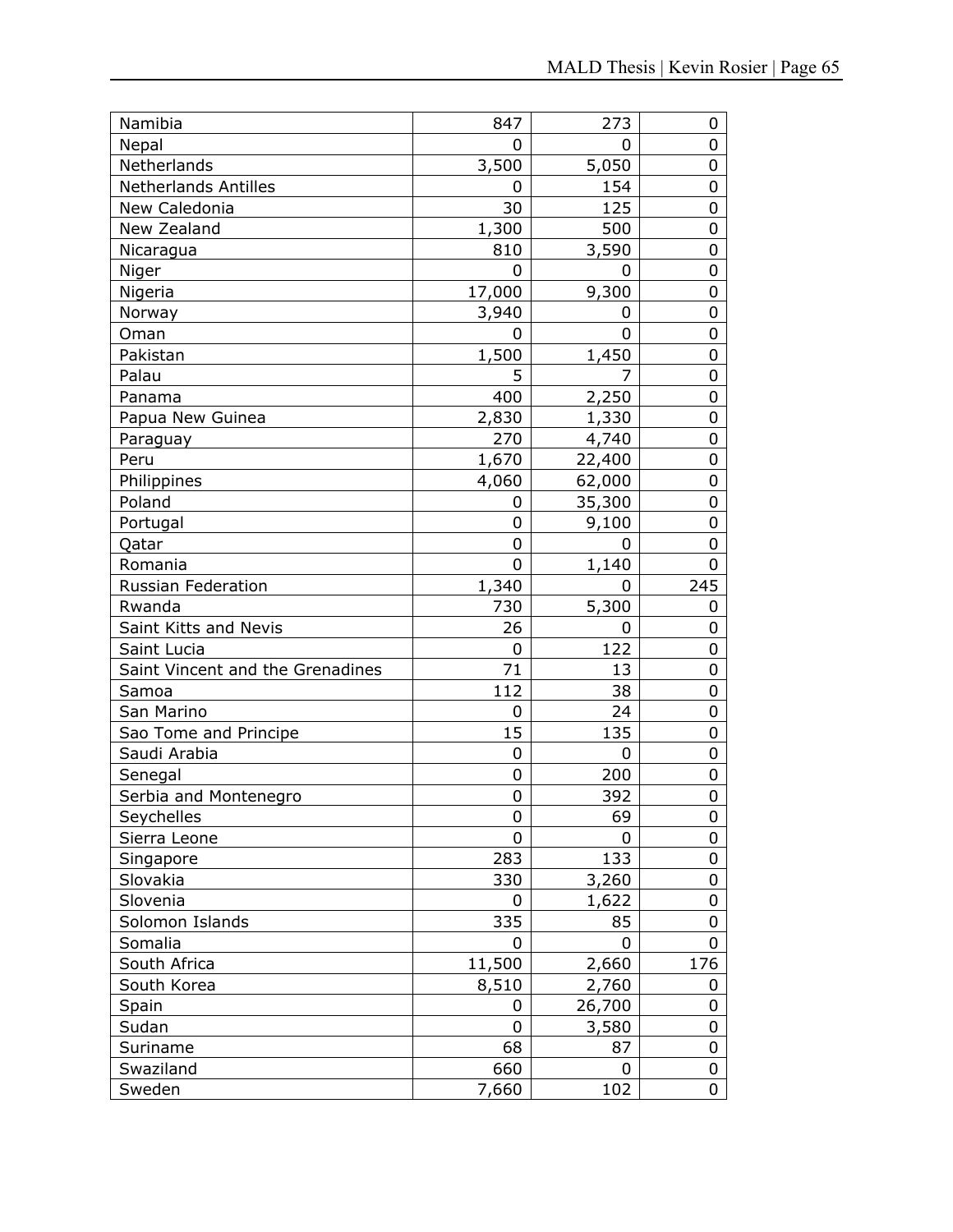| Namibia                          | 847    | 273    | 0   |
|----------------------------------|--------|--------|-----|
| Nepal                            | 0      | 0      | 0   |
| Netherlands                      | 3,500  | 5,050  | 0   |
| <b>Netherlands Antilles</b>      | 0      | 154    | 0   |
| New Caledonia                    | 30     | 125    | 0   |
| New Zealand                      | 1,300  | 500    | 0   |
| Nicaragua                        | 810    | 3,590  | 0   |
| Niger                            | 0      | 0      | 0   |
| Nigeria                          | 17,000 | 9,300  | 0   |
| Norway                           | 3,940  | 0      | 0   |
| Oman                             | 0      | 0      | 0   |
| Pakistan                         | 1,500  | 1,450  | 0   |
| Palau                            | 5      | 7      | 0   |
| Panama                           | 400    | 2,250  | 0   |
| Papua New Guinea                 | 2,830  | 1,330  | 0   |
| Paraguay                         | 270    | 4,740  | 0   |
| Peru                             | 1,670  | 22,400 | 0   |
| Philippines                      | 4,060  | 62,000 | 0   |
| Poland                           | 0      | 35,300 | 0   |
| Portugal                         | 0      | 9,100  | 0   |
| Qatar                            | 0      | 0      | 0   |
| Romania                          | 0      | 1,140  | 0   |
| Russian Federation               | 1,340  | 0      | 245 |
| Rwanda                           | 730    | 5,300  | 0   |
| Saint Kitts and Nevis            | 26     | 0      | 0   |
| Saint Lucia                      | 0      | 122    | 0   |
| Saint Vincent and the Grenadines | 71     | 13     | 0   |
| Samoa                            | 112    | 38     | 0   |
| San Marino                       | 0      | 24     | 0   |
| Sao Tome and Principe            | 15     | 135    | 0   |
| Saudi Arabia                     | 0      | 0      | 0   |
| Senegal                          | 0      | 200    | 0   |
| Serbia and Montenegro            | 0      | 392    | 0   |
| Seychelles                       | 0      | 69     | 0   |
| Sierra Leone                     | 0      | 0      | 0   |
| Singapore                        | 283    | 133    | 0   |
| Slovakia                         | 330    | 3,260  | 0   |
| Slovenia                         | 0      | 1,622  | 0   |
| Solomon Islands                  | 335    | 85     | 0   |
| Somalia                          | 0      | 0      | 0   |
| South Africa                     | 11,500 | 2,660  | 176 |
| South Korea                      | 8,510  | 2,760  | 0   |
| Spain                            | 0      | 26,700 | 0   |
| Sudan                            | 0      | 3,580  | 0   |
| Suriname                         | 68     | 87     | 0   |
| Swaziland                        | 660    | 0      | 0   |
| Sweden                           | 7,660  | 102    | 0   |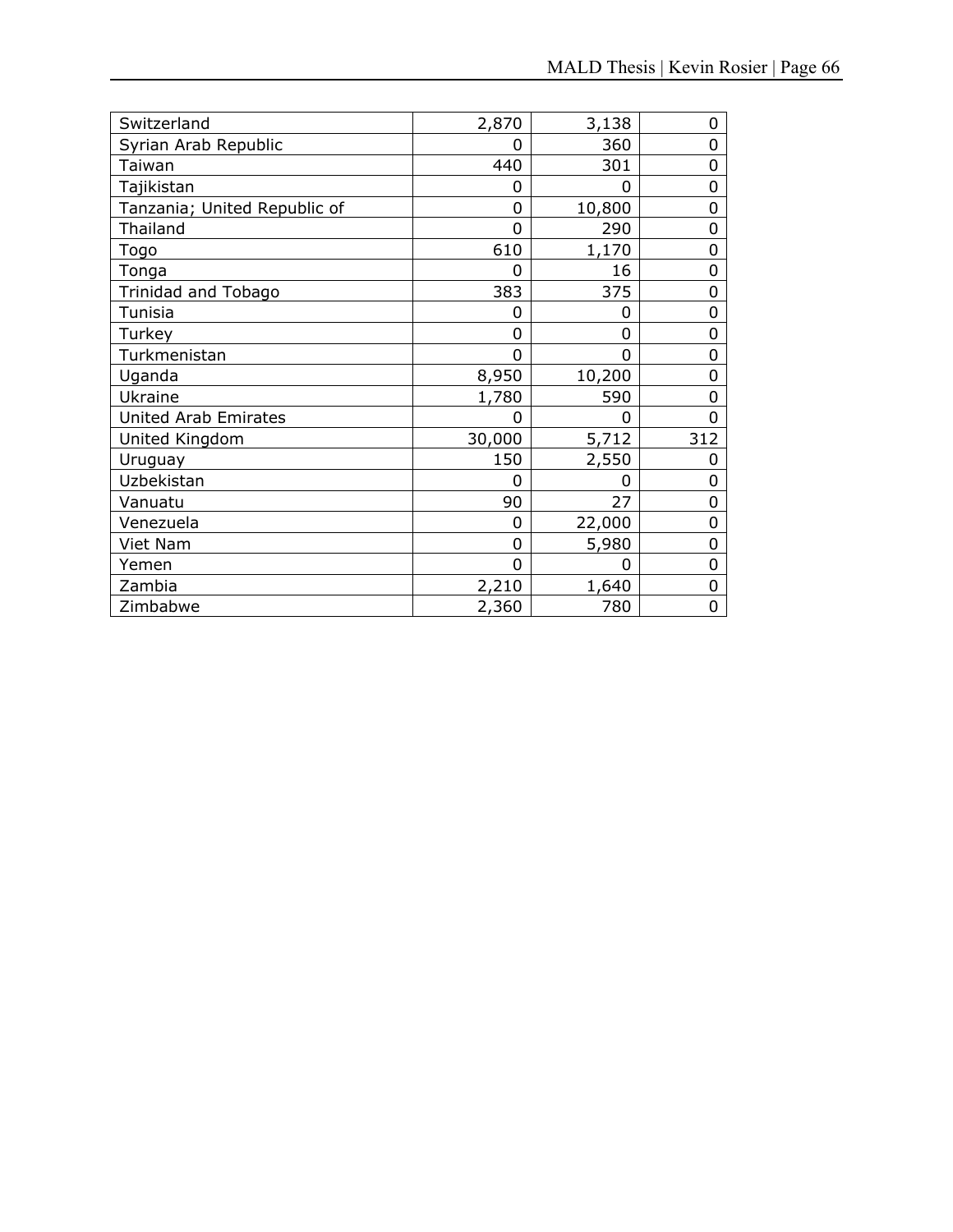| Switzerland                  | 2,870    | 3,138  | 0   |
|------------------------------|----------|--------|-----|
| Syrian Arab Republic         | 0        | 360    | 0   |
| Taiwan                       | 440      | 301    | 0   |
| Tajikistan                   | 0        | 0      | 0   |
| Tanzania; United Republic of | 0        | 10,800 | 0   |
| Thailand                     | 0        | 290    | 0   |
| Togo                         | 610      | 1,170  | 0   |
| Tonga                        | 0        | 16     | 0   |
| Trinidad and Tobago          | 383      | 375    | 0   |
| Tunisia                      | 0        | 0      | 0   |
| Turkey                       | 0        | 0      | 0   |
| Turkmenistan                 | $\Omega$ | 0      | 0   |
| Uganda                       | 8,950    | 10,200 | 0   |
| Ukraine                      | 1,780    | 590    | 0   |
| <b>United Arab Emirates</b>  | 0        | 0      | ი   |
| United Kingdom               | 30,000   | 5,712  | 312 |
| Uruguay                      | 150      | 2,550  | 0   |
| Uzbekistan                   | 0        | 0      | 0   |
| Vanuatu                      | 90       | 27     | 0   |
| Venezuela                    | 0        | 22,000 | 0   |
| Viet Nam                     | 0        | 5,980  | 0   |
| Yemen                        | $\Omega$ | 0      | 0   |
| Zambia                       | 2,210    | 1,640  | 0   |
| Zimbabwe                     | 2,360    | 780    | 0   |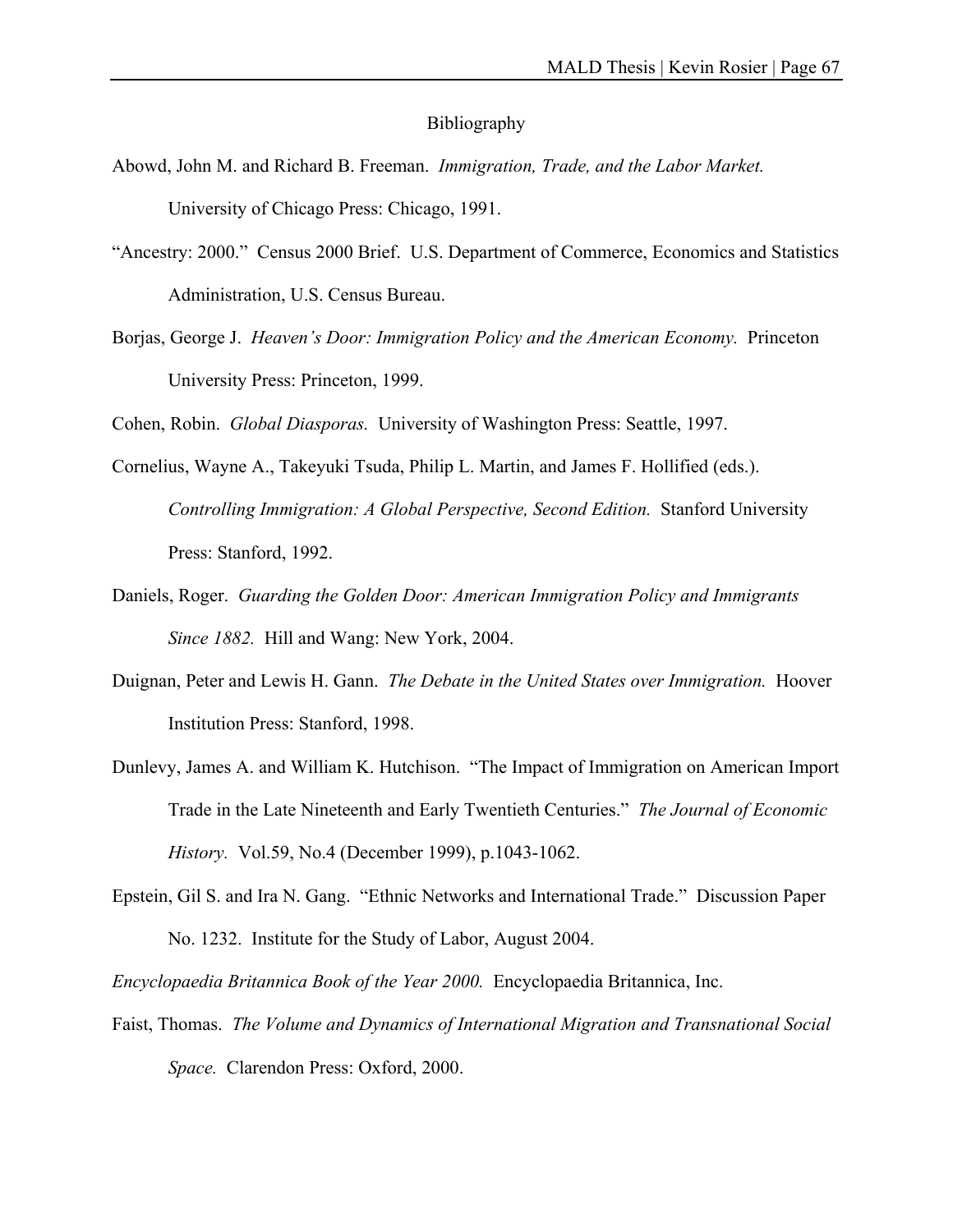#### Bibliography

- Abowd, John M. and Richard B. Freeman. *Immigration, Trade, and the Labor Market.*  University of Chicago Press: Chicago, 1991.
- "Ancestry: 2000." Census 2000 Brief. U.S. Department of Commerce, Economics and Statistics Administration, U.S. Census Bureau.
- Borjas, George J. *Heaven's Door: Immigration Policy and the American Economy.* Princeton University Press: Princeton, 1999.

Cohen, Robin. *Global Diasporas.* University of Washington Press: Seattle, 1997.

- Cornelius, Wayne A., Takeyuki Tsuda, Philip L. Martin, and James F. Hollified (eds.). *Controlling Immigration: A Global Perspective, Second Edition.* Stanford University Press: Stanford, 1992.
- Daniels, Roger. *Guarding the Golden Door: American Immigration Policy and Immigrants Since 1882.* Hill and Wang: New York, 2004.
- Duignan, Peter and Lewis H. Gann. *The Debate in the United States over Immigration.* Hoover Institution Press: Stanford, 1998.
- Dunlevy, James A. and William K. Hutchison. "The Impact of Immigration on American Import Trade in the Late Nineteenth and Early Twentieth Centuries." *The Journal of Economic History.* Vol.59, No.4 (December 1999), p.1043-1062.
- Epstein, Gil S. and Ira N. Gang. "Ethnic Networks and International Trade." Discussion Paper No. 1232. Institute for the Study of Labor, August 2004.

*Encyclopaedia Britannica Book of the Year 2000.* Encyclopaedia Britannica, Inc.

Faist, Thomas. *The Volume and Dynamics of International Migration and Transnational Social Space.* Clarendon Press: Oxford, 2000.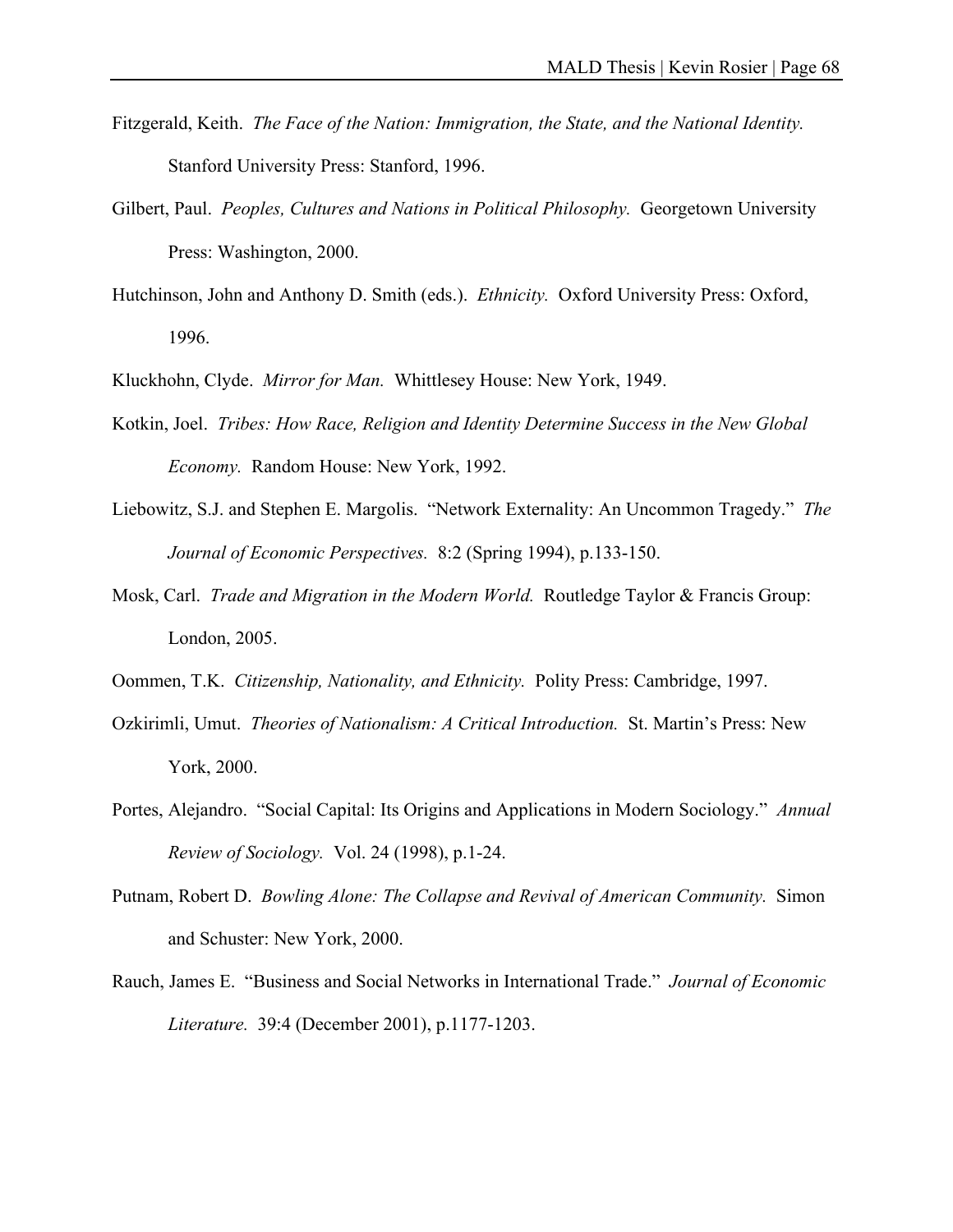- Fitzgerald, Keith. *The Face of the Nation: Immigration, the State, and the National Identity.*  Stanford University Press: Stanford, 1996.
- Gilbert, Paul. *Peoples, Cultures and Nations in Political Philosophy.* Georgetown University Press: Washington, 2000.
- Hutchinson, John and Anthony D. Smith (eds.). *Ethnicity.* Oxford University Press: Oxford, 1996.
- Kluckhohn, Clyde. *Mirror for Man.* Whittlesey House: New York, 1949.
- Kotkin, Joel. *Tribes: How Race, Religion and Identity Determine Success in the New Global Economy.* Random House: New York, 1992.
- Liebowitz, S.J. and Stephen E. Margolis. "Network Externality: An Uncommon Tragedy." *The Journal of Economic Perspectives.* 8:2 (Spring 1994), p.133-150.
- Mosk, Carl. *Trade and Migration in the Modern World.* Routledge Taylor & Francis Group: London, 2005.
- Oommen, T.K. *Citizenship, Nationality, and Ethnicity.* Polity Press: Cambridge, 1997.
- Ozkirimli, Umut. *Theories of Nationalism: A Critical Introduction.* St. Martin's Press: New York, 2000.
- Portes, Alejandro. "Social Capital: Its Origins and Applications in Modern Sociology." *Annual Review of Sociology.* Vol. 24 (1998), p.1-24.
- Putnam, Robert D. *Bowling Alone: The Collapse and Revival of American Community.* Simon and Schuster: New York, 2000.
- Rauch, James E. "Business and Social Networks in International Trade." *Journal of Economic Literature.* 39:4 (December 2001), p.1177-1203.